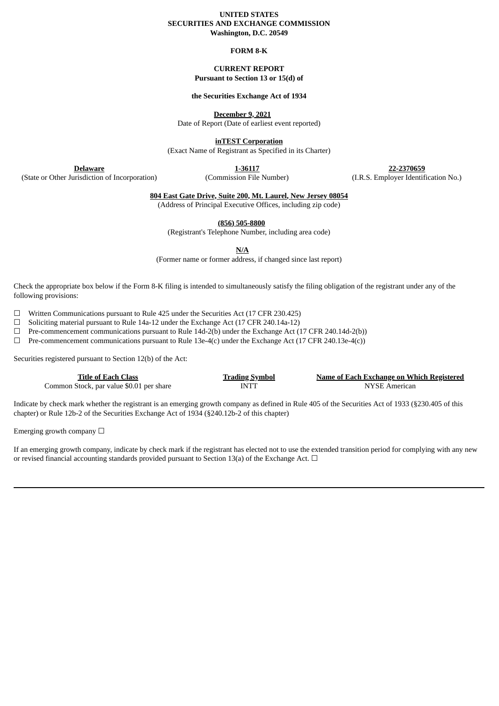## **UNITED STATES SECURITIES AND EXCHANGE COMMISSION Washington, D.C. 20549**

#### **FORM 8-K**

## **CURRENT REPORT Pursuant to Section 13 or 15(d) of**

## **the Securities Exchange Act of 1934**

**December 9, 2021**

Date of Report (Date of earliest event reported)

**inTEST Corporation**

(Exact Name of Registrant as Specified in its Charter)

**Delaware**

(State or Other Jurisdiction of Incorporation)

**1-36117**

**22-2370659** (I.R.S. Employer Identification No.)

(Commission File Number)

**804 East Gate Drive, Suite 200, Mt. Laurel, New Jersey 08054**

(Address of Principal Executive Offices, including zip code)

**(856) 505-8800**

(Registrant's Telephone Number, including area code)

**N/A**

(Former name or former address, if changed since last report)

Check the appropriate box below if the Form 8-K filing is intended to simultaneously satisfy the filing obligation of the registrant under any of the following provisions:

☐ Written Communications pursuant to Rule 425 under the Securities Act (17 CFR 230.425)

 $\Box$  Soliciting material pursuant to Rule 14a-12 under the Exchange Act (17 CFR 240.14a-12)

 $\Box$  Pre-commencement communications pursuant to Rule 14d-2(b) under the Exchange Act (17 CFR 240.14d-2(b))

 $\Box$  Pre-commencement communications pursuant to Rule 13e-4(c) under the Exchange Act (17 CFR 240.13e-4(c))

Securities registered pursuant to Section 12(b) of the Act:

| <b>Title of Each Class</b>               | <b>Trading Symbol</b> | Name of Each Exchange on Which Registered |
|------------------------------------------|-----------------------|-------------------------------------------|
| Common Stock, par value \$0.01 per share | INTT                  | NYSE American                             |

Indicate by check mark whether the registrant is an emerging growth company as defined in Rule 405 of the Securities Act of 1933 (§230.405 of this chapter) or Rule 12b-2 of the Securities Exchange Act of 1934 (§240.12b-2 of this chapter)

Emerging growth company  $\Box$ 

If an emerging growth company, indicate by check mark if the registrant has elected not to use the extended transition period for complying with any new or revised financial accounting standards provided pursuant to Section 13(a) of the Exchange Act.  $\Box$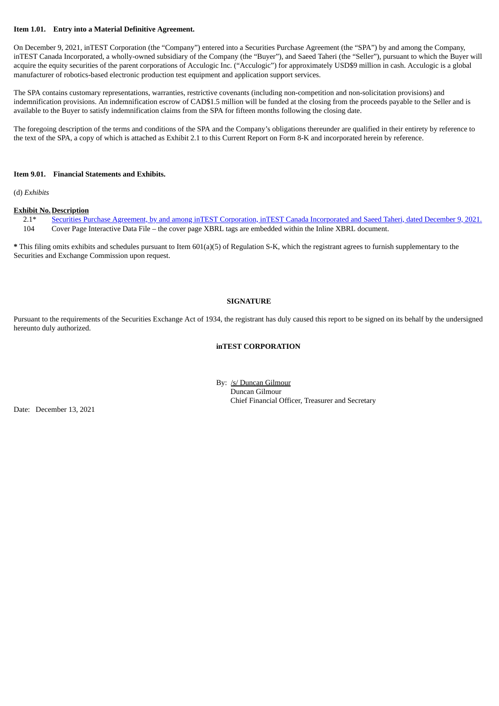## **Item 1.01. Entry into a Material Definitive Agreement.**

On December 9, 2021, inTEST Corporation (the "Company") entered into a Securities Purchase Agreement (the "SPA") by and among the Company, inTEST Canada Incorporated, a wholly-owned subsidiary of the Company (the "Buyer"), and Saeed Taheri (the "Seller"), pursuant to which the Buyer will acquire the equity securities of the parent corporations of Acculogic Inc. ("Acculogic") for approximately USD\$9 million in cash. Acculogic is a global manufacturer of robotics-based electronic production test equipment and application support services.

The SPA contains customary representations, warranties, restrictive covenants (including non-competition and non-solicitation provisions) and indemnification provisions. An indemnification escrow of CAD\$1.5 million will be funded at the closing from the proceeds payable to the Seller and is available to the Buyer to satisfy indemnification claims from the SPA for fifteen months following the closing date.

The foregoing description of the terms and conditions of the SPA and the Company's obligations thereunder are qualified in their entirety by reference to the text of the SPA, a copy of which is attached as Exhibit 2.1 to this Current Report on Form 8-K and incorporated herein by reference.

#### **Item 9.01. Financial Statements and Exhibits.**

(d) *Exhibits*

#### **Exhibit No.Description**

2.1\* Securities Purchase Agreement, by and among inTEST Corporation, inTEST Canada [Incorporated](#page-2-0) and Saeed Taheri, dated December 9, 2021. 104 Cover Page Interactive Data File – the cover page XBRL tags are embedded within the Inline XBRL document.

**\*** This filing omits exhibits and schedules pursuant to Item 601(a)(5) of Regulation S-K, which the registrant agrees to furnish supplementary to the Securities and Exchange Commission upon request.

## **SIGNATURE**

Pursuant to the requirements of the Securities Exchange Act of 1934, the registrant has duly caused this report to be signed on its behalf by the undersigned hereunto duly authorized.

## **inTEST CORPORATION**

By: /s/ Duncan Gilmour Duncan Gilmour Chief Financial Officer, Treasurer and Secretary

Date: December 13, 2021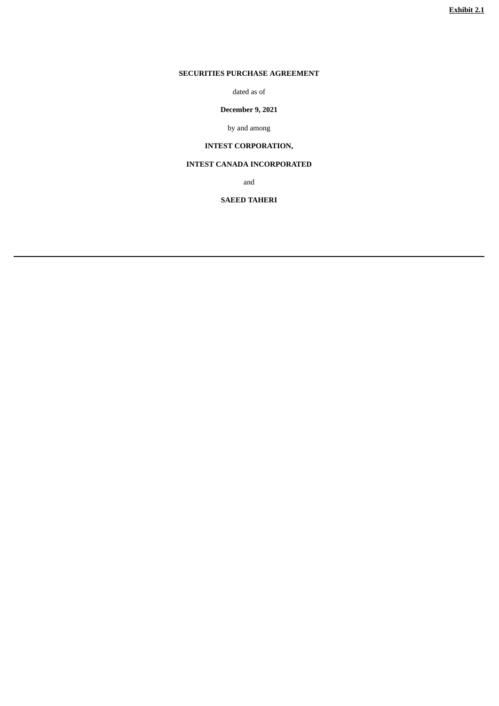# <span id="page-2-0"></span>**SECURITIES PURCHASE AGREEMENT**

dated as of

# **December 9, 2021**

by and among

# **INTEST CORPORATION,**

# **INTEST CANADA INCORPORATED**

and

## **SAEED TAHERI**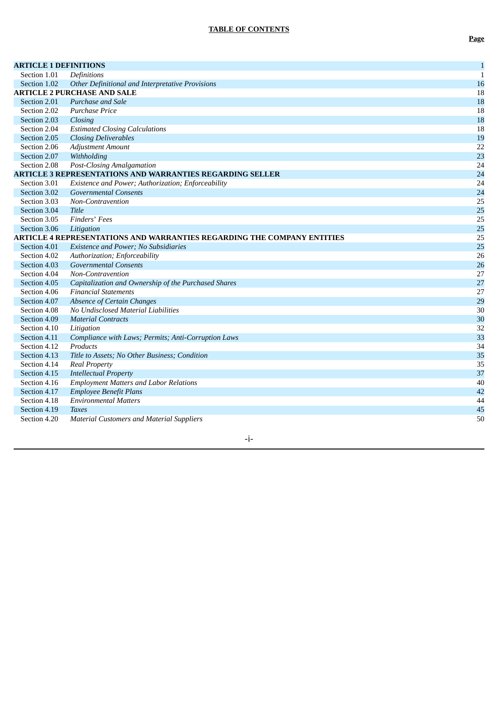| <b>ARTICLE 1 DEFINITIONS</b> |                                                                         | $\mathbf 1$  |
|------------------------------|-------------------------------------------------------------------------|--------------|
| Section 1.01                 | Definitions                                                             | $\mathbf{1}$ |
| Section 1.02                 | Other Definitional and Interpretative Provisions                        | 16           |
|                              | <b>ARTICLE 2 PURCHASE AND SALE</b>                                      | 18           |
| Section 2.01                 | Purchase and Sale                                                       | 18           |
| Section 2.02                 | <b>Purchase Price</b>                                                   | 18           |
| Section 2.03                 | Closing                                                                 | 18           |
| Section 2.04                 | <b>Estimated Closing Calculations</b>                                   | 18           |
| Section 2.05                 | <b>Closing Deliverables</b>                                             | 19           |
| Section 2.06                 | <b>Adjustment Amount</b>                                                | 22           |
| Section 2.07                 | Withholding                                                             | 23           |
| Section 2.08                 | <b>Post-Closing Amalgamation</b>                                        | 24           |
|                              | <b>ARTICLE 3 REPRESENTATIONS AND WARRANTIES REGARDING SELLER</b>        | 24           |
| Section 3.01                 | Existence and Power; Authorization; Enforceability                      | 24           |
| Section 3.02                 | <b>Governmental Consents</b>                                            | 24           |
| Section 3.03                 | Non-Contravention                                                       | 25           |
| Section 3.04                 | <b>Title</b>                                                            | 25           |
| Section 3.05                 | Finders' Fees                                                           | 25           |
| Section 3.06                 | Litigation                                                              | 25           |
|                              | ARTICLE 4 REPRESENTATIONS AND WARRANTIES REGARDING THE COMPANY ENTITIES | 25           |
| Section 4.01                 | <b>Existence and Power; No Subsidiaries</b>                             | 25           |
| Section 4.02                 | Authorization; Enforceability                                           | 26           |
| Section 4.03                 | <b>Governmental Consents</b>                                            | 26           |
| Section 4.04                 | Non-Contravention                                                       | 27           |
| Section 4.05                 | Capitalization and Ownership of the Purchased Shares                    | 27           |
| Section 4.06                 | <b>Financial Statements</b>                                             | 27           |
| Section 4.07                 | <b>Absence of Certain Changes</b>                                       | 29           |
| Section 4.08                 | No Undisclosed Material Liabilities                                     | 30           |
| Section 4.09                 | <b>Material Contracts</b>                                               | 30           |
| Section 4.10                 | Litigation                                                              | 32           |
| Section 4.11                 | Compliance with Laws; Permits; Anti-Corruption Laws                     | 33           |
| Section 4.12                 | Products                                                                | 34           |
| Section 4.13                 | Title to Assets; No Other Business; Condition                           | 35           |
| Section 4.14                 | <b>Real Property</b>                                                    | 35           |
| Section 4.15                 | <b>Intellectual Property</b>                                            | 37           |
| Section 4.16                 | <b>Employment Matters and Labor Relations</b>                           | 40           |
| Section 4.17                 | <b>Employee Benefit Plans</b>                                           | 42           |
| Section 4.18                 | <b>Environmental Matters</b>                                            | 44           |
| Section 4.19                 | <b>Taxes</b>                                                            | 45           |
| Section 4.20                 | <b>Material Customers and Material Suppliers</b>                        | 50           |
|                              |                                                                         |              |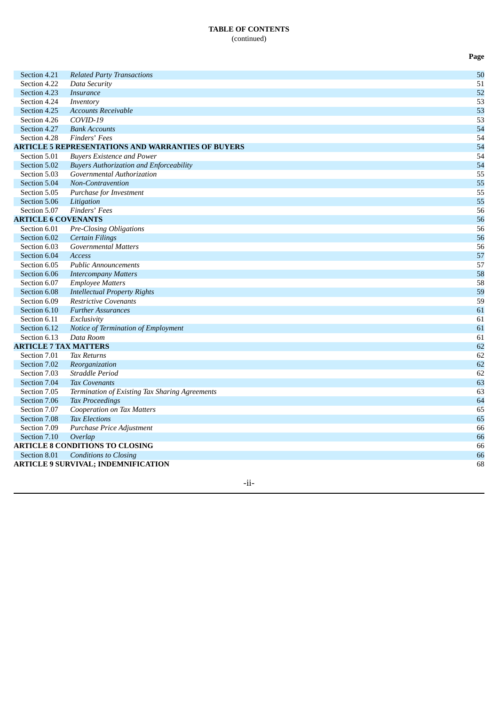## **TABLE OF CONTENTS** (continued)

**P a g e**

Section 4.21 *Related Party Transactions* 5 0 Section 4.22 *Data Security* 5 1 Section 4.23 *Insurance* 5 2 Section 4.24 *Inventory* 5 3 Section 4.25 Accounts Receivable 5 3 Section 4.26 *C O VID - 1 9* 5 3 Section 4.27 *Bank Accounts* 5 4 Section 4.28 *F i n d e r s* ' *F e e s* 5 4 **ARTICLE 5 REPRESENTATIONS AND WARRANTIES OF BUYERS** 5 4 Section 5.01 Buyers Existence and Power 5 4 Section 5.02 **Buyers Authorization and Enforceability** 5 4 Section 5.03 *Governmental Authorization* 5 5 Section 5.04 *Non-Contravention* 5 5 Section 5.05 *Purchase for Investment* 5 5 Section 5.06 *Litigation* 5 5 Section 5.07 *Finders' Fees* 5 6 **ARTICLE 6 COVENANTS** 5 6 Section 6.01 *Pre-Closing Obligations* 5 6 Section 6.02 *<i>Certain Filings* 5 6 Section 6.03 Governmental Matters 5 6 Section 6.04 *A c c e s s* 5 7 Section 6.05 *Public Announcements* 5 7 Section 6.06 *Intercompany Matters* 5 8 Section 6.07 *Employee Matters* 5 8 Section 6.08 *Intellectual Property Rights* 5 9 Section 6.09 *Restrictive Covenants* 5 9 Section 6.10 *Further Assurances* 6 1 Section 6.11 *E x c l u s i v i ty* 6 1 Section 6.12 Notice of Termination of Employment 6 1 Section 6.13 *D a t a R o o m* 6 1 **ARTICLE 7 TAX MATTERS** 6 2 Section 7.01 *Ta x R e t u r n s* 6 2 Section 7.02 *Reorganization* 6 2 Section 7.03 *Straddle Period* 6 2 Section 7.04 *Tax Covenants* 6 3 Section 7.05 Termination of Existing Tax Sharing Agreements 6 3 Section 7.06 *Ta x P ro c e e d i n g s* 6 4 Section 7.07 *Cooperation on Tax Matters* 6 5 Section 7.08 *Tax Elections* 6 5 Section 7.09 *Purchase Price Adjustment* 6 6 Section 7.10 *<i><u>Overlap</u>* 6 6 **ARTICLE 8 CONDITIONS TO CLOSING** 6 6 Section 8.01 *Conditions to Closing* 6 6 **ARTICLE 9 SURVIVAL; INDEMNIFICATION** 6 8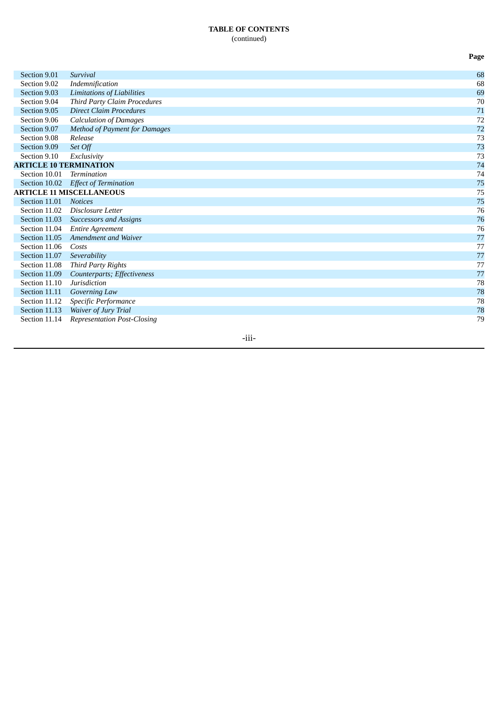## **TABLE OF CONTENTS** (continued)

Section 9.01 *Survival* Section 9.02 *Indemnification* Section 9.03 *L*imitations of Liabilities Section 9.04 *Third Party Claim Procedures* Section 9.05 *Direct Claim Procedures* Section 9.06 *Calculation of Damages* Section 9.07 *Method of Payment for Damages* Section 9.08 *R e l e a s e* Section 9.09 *S e t O ff* Section 9.10 *Exclusivity* **ARTICLE 10 TERMINATION** Section 10.01 *Termination* Section 10.02 *Effect of Termination* **ARTICLE 11 MISCELLANEOUS** Section 11.01 Notices Section 11.02 Disclosure Letter Section 11.03 Successors and Assigns Section 11.04 *Entire* Agreement Section 11.05 Amendment and Waiver Section 11.06 Costs Section 11.07 *S e v e r a b i l i ty* Section 11.08 *Th i rd P a r ty R i g h ts* Section 11.09 *Counterparts; Effectiveness* Section 11.10 *J u r i s d i c t i o n* Section 11.11 *Governing Law* Section 11.12 *Specific Performance* Section 11.13 *Waiver* of *Jury Trial* Section 11.14 Representation Post-Closing

-iii-

**P a g e**

6 8

6 8

6 9

7 0

7 1

7 2

7 2

7 3

7 3

7 3

7 4

7 4

7 5

7 5

7 5

7 6

7 6

7 6

7 7

7 7

7 7

7 7

7 7

7 8

7 8

7 8

7 8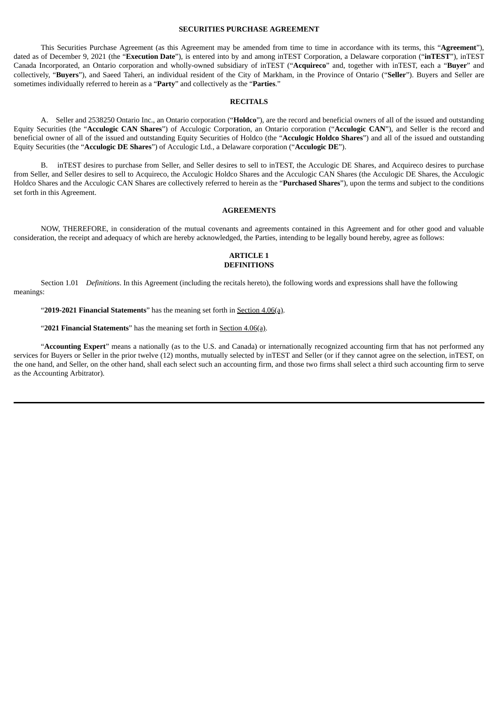## **SECURITIES PURCHASE AGREEMENT**

This Securities Purchase Agreement (as this Agreement may be amended from time to time in accordance with its terms, this "**Agreement**"), dated as of December 9, 2021 (the "**Execution Date**"), is entered into by and among inTEST Corporation, a Delaware corporation ("**inTEST**"), inTEST Canada Incorporated, an Ontario corporation and wholly-owned subsidiary of inTEST ("**Acquireco**" and, together with inTEST, each a "**Buyer**" and collectively, "**Buyers**"), and Saeed Taheri, an individual resident of the City of Markham, in the Province of Ontario ("**Seller**"). Buyers and Seller are sometimes individually referred to herein as a "**Party**" and collectively as the "**Parties**."

## **RECITALS**

A. Seller and 2538250 Ontario Inc., an Ontario corporation ("**Holdco**"), are the record and beneficial owners of all of the issued and outstanding Equity Securities (the "**Acculogic CAN Shares**") of Acculogic Corporation, an Ontario corporation ("**Acculogic CAN**"), and Seller is the record and beneficial owner of all of the issued and outstanding Equity Securities of Holdco (the "**Acculogic Holdco Shares**") and all of the issued and outstanding Equity Securities (the "**Acculogic DE Shares**") of Acculogic Ltd., a Delaware corporation ("**Acculogic DE**").

B. inTEST desires to purchase from Seller, and Seller desires to sell to inTEST, the Acculogic DE Shares, and Acquireco desires to purchase from Seller, and Seller desires to sell to Acquireco, the Acculogic Holdco Shares and the Acculogic CAN Shares (the Acculogic DE Shares, the Acculogic Holdco Shares and the Acculogic CAN Shares are collectively referred to herein as the "**Purchased Shares**"), upon the terms and subject to the conditions set forth in this Agreement.

#### **AGREEMENTS**

NOW, THEREFORE, in consideration of the mutual covenants and agreements contained in this Agreement and for other good and valuable consideration, the receipt and adequacy of which are hereby acknowledged, the Parties, intending to be legally bound hereby, agree as follows:

#### **ARTICLE 1 DEFINITIONS**

Section 1.01 *Definitions*. In this Agreement (including the recitals hereto), the following words and expressions shall have the following meanings:

"**2019-2021 Financial Statements**" has the meaning set forth in Section 4.06(a).

"**2021 Financial Statements**" has the meaning set forth in Section 4.06(a).

"**Accounting Expert**" means a nationally (as to the U.S. and Canada) or internationally recognized accounting firm that has not performed any services for Buyers or Seller in the prior twelve (12) months, mutually selected by inTEST and Seller (or if they cannot agree on the selection, inTEST, on the one hand, and Seller, on the other hand, shall each select such an accounting firm, and those two firms shall select a third such accounting firm to serve as the Accounting Arbitrator).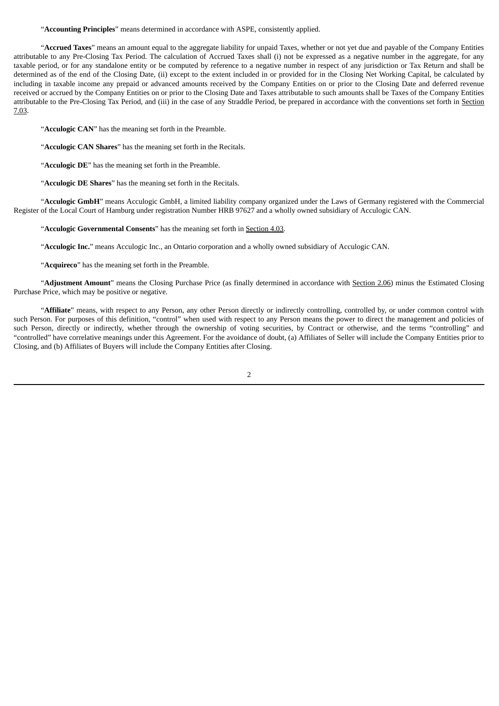## "**Accounting Principles**" means determined in accordance with ASPE, consistently applied.

"**Accrued Taxes**" means an amount equal to the aggregate liability for unpaid Taxes, whether or not yet due and payable of the Company Entities attributable to any Pre-Closing Tax Period. The calculation of Accrued Taxes shall (i) not be expressed as a negative number in the aggregate, for any taxable period, or for any standalone entity or be computed by reference to a negative number in respect of any jurisdiction or Tax Return and shall be determined as of the end of the Closing Date, (ii) except to the extent included in or provided for in the Closing Net Working Capital, be calculated by including in taxable income any prepaid or advanced amounts received by the Company Entities on or prior to the Closing Date and deferred revenue received or accrued by the Company Entities on or prior to the Closing Date and Taxes attributable to such amounts shall be Taxes of the Company Entities attributable to the Pre-Closing Tax Period, and (iii) in the case of any Straddle Period, be prepared in accordance with the conventions set forth in Section 7.03.

"**Acculogic CAN**" has the meaning set forth in the Preamble.

"**Acculogic CAN Shares**" has the meaning set forth in the Recitals.

"**Acculogic DE**" has the meaning set forth in the Preamble.

"**Acculogic DE Shares**" has the meaning set forth in the Recitals.

"**Acculogic GmbH**" means Acculogic GmbH, a limited liability company organized under the Laws of Germany registered with the Commercial Register of the Local Court of Hamburg under registration Number HRB 97627 and a wholly owned subsidiary of Acculogic CAN.

"**Acculogic Governmental Consents**" has the meaning set forth in Section 4.03.

"**Acculogic Inc.**" means Acculogic Inc., an Ontario corporation and a wholly owned subsidiary of Acculogic CAN.

"**Acquireco**" has the meaning set forth in the Preamble.

"**Adjustment Amount**" means the Closing Purchase Price (as finally determined in accordance with Section 2.06) minus the Estimated Closing Purchase Price, which may be positive or negative.

"**Affiliate**" means, with respect to any Person, any other Person directly or indirectly controlling, controlled by, or under common control with such Person. For purposes of this definition, "control" when used with respect to any Person means the power to direct the management and policies of such Person, directly or indirectly, whether through the ownership of voting securities, by Contract or otherwise, and the terms "controlling" and "controlled" have correlative meanings under this Agreement. For the avoidance of doubt, (a) Affiliates of Seller will include the Company Entities prior to Closing, and (b) Affiliates of Buyers will include the Company Entities after Closing.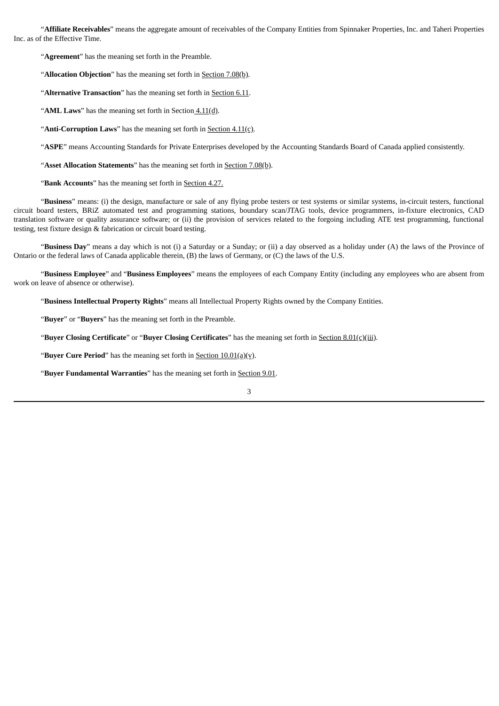"**Affiliate Receivables**" means the aggregate amount of receivables of the Company Entities from Spinnaker Properties, Inc. and Taheri Properties Inc. as of the Effective Time.

"**Agreement**" has the meaning set forth in the Preamble.

"**Allocation Objection**" has the meaning set forth in **Section 7.08(b)**.

"Alternative Transaction" has the meaning set forth in **Section 6.11**.

"**AML Laws**" has the meaning set forth in Section 4.11(d).

"**Anti-Corruption Laws**" has the meaning set forth in **Section 4.11(c)**.

"**ASPE**" means Accounting Standards for Private Enterprises developed by the Accounting Standards Board of Canada applied consistently.

"**Asset Allocation Statements**" has the meaning set forth in Section 7.08(b).

"**Bank Accounts**" has the meaning set forth in Section 4.27.

"**Business**" means: (i) the design, manufacture or sale of any flying probe testers or test systems or similar systems, in-circuit testers, functional circuit board testers, BRiZ automated test and programming stations, boundary scan/JTAG tools, device programmers, in-fixture electronics, CAD translation software or quality assurance software; or (ii) the provision of services related to the forgoing including ATE test programming, functional testing, test fixture design & fabrication or circuit board testing.

"**Business Day**" means a day which is not (i) a Saturday or a Sunday; or (ii) a day observed as a holiday under (A) the laws of the Province of Ontario or the federal laws of Canada applicable therein, (B) the laws of Germany, or (C) the laws of the U.S.

"**Business Employee**" and "**Business Employees**" means the employees of each Company Entity (including any employees who are absent from work on leave of absence or otherwise).

"**Business Intellectual Property Rights**" means all Intellectual Property Rights owned by the Company Entities.

"**Buyer**" or "**Buyers**" has the meaning set forth in the Preamble.

"**Buyer Closing Certificate**" or "**Buyer Closing Certificates**" has the meaning set forth in Section 8.01(c)(iii).

"**Buyer Cure Period**" has the meaning set forth in Section 10.01(a)(v).

"**Buyer Fundamental Warranties**" has the meaning set forth in Section 9.01.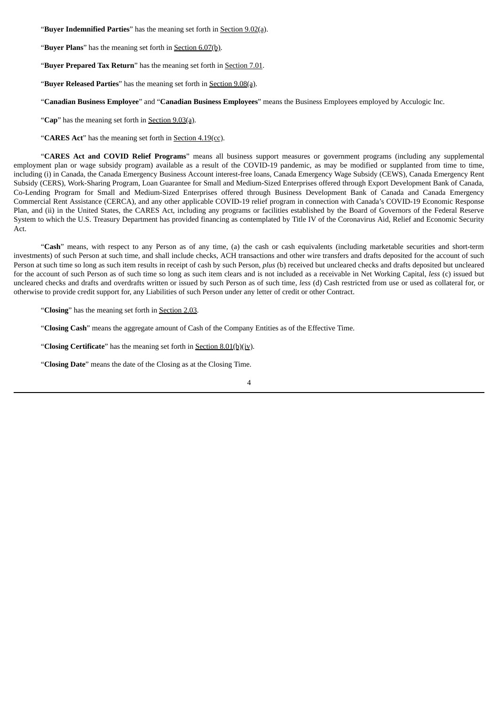"**Buyer Indemnified Parties**" has the meaning set forth in Section 9.02(a).

"**Buyer Plans**" has the meaning set forth in Section 6.07(b).

"**Buyer Prepared Tax Return**" has the meaning set forth in Section 7.01.

"**Buyer Released Parties**" has the meaning set forth in Section 9.08(a).

"**Canadian Business Employee**" and "**Canadian Business Employees**" means the Business Employees employed by Acculogic Inc.

"**Cap**" has the meaning set forth in Section 9.03(a).

"**CARES Act**" has the meaning set forth in Section 4.19(cc).

"**CARES Act and COVID Relief Programs**" means all business support measures or government programs (including any supplemental employment plan or wage subsidy program) available as a result of the COVID-19 pandemic, as may be modified or supplanted from time to time, including (i) in Canada, the Canada Emergency Business Account interest-free loans, Canada Emergency Wage Subsidy (CEWS), Canada Emergency Rent Subsidy (CERS), Work-Sharing Program, Loan Guarantee for Small and Medium-Sized Enterprises offered through Export Development Bank of Canada, Co-Lending Program for Small and Medium-Sized Enterprises offered through Business Development Bank of Canada and Canada Emergency Commercial Rent Assistance (CERCA), and any other applicable COVID-19 relief program in connection with Canada's COVID-19 Economic Response Plan, and (ii) in the United States, the CARES Act, including any programs or facilities established by the Board of Governors of the Federal Reserve System to which the U.S. Treasury Department has provided financing as contemplated by Title IV of the Coronavirus Aid, Relief and Economic Security Act.

"**Cash**" means, with respect to any Person as of any time, (a) the cash or cash equivalents (including marketable securities and short-term investments) of such Person at such time, and shall include checks, ACH transactions and other wire transfers and drafts deposited for the account of such Person at such time so long as such item results in receipt of cash by such Person, *plus* (b) received but uncleared checks and drafts deposited but uncleared for the account of such Person as of such time so long as such item clears and is not included as a receivable in Net Working Capital, *less* (c) issued but uncleared checks and drafts and overdrafts written or issued by such Person as of such time, *less* (d) Cash restricted from use or used as collateral for, or otherwise to provide credit support for, any Liabilities of such Person under any letter of credit or other Contract.

"**Closing**" has the meaning set forth in Section 2.03.

"**Closing Cash**" means the aggregate amount of Cash of the Company Entities as of the Effective Time.

"**Closing Certificate**" has the meaning set forth in Section 8.01(b)(iv).

"**Closing Date**" means the date of the Closing as at the Closing Time.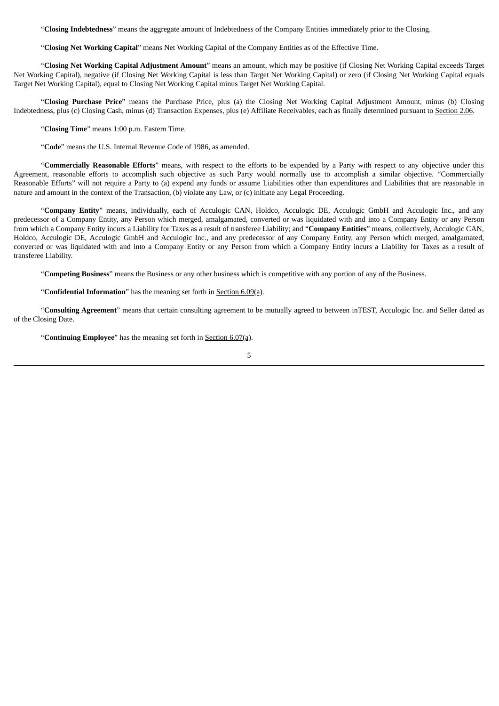"**Closing Indebtedness**" means the aggregate amount of Indebtedness of the Company Entities immediately prior to the Closing.

"**Closing Net Working Capital**" means Net Working Capital of the Company Entities as of the Effective Time.

"**Closing Net Working Capital Adjustment Amount**" means an amount, which may be positive (if Closing Net Working Capital exceeds Target Net Working Capital), negative (if Closing Net Working Capital is less than Target Net Working Capital) or zero (if Closing Net Working Capital equals Target Net Working Capital), equal to Closing Net Working Capital minus Target Net Working Capital.

"**Closing Purchase Price**" means the Purchase Price, plus (a) the Closing Net Working Capital Adjustment Amount, minus (b) Closing Indebtedness, plus (c) Closing Cash, minus (d) Transaction Expenses, plus (e) Affiliate Receivables, each as finally determined pursuant to Section 2.06.

"**Closing Time**" means 1:00 p.m. Eastern Time.

"**Code**" means the U.S. Internal Revenue Code of 1986, as amended.

"**Commercially Reasonable Efforts**" means, with respect to the efforts to be expended by a Party with respect to any objective under this Agreement, reasonable efforts to accomplish such objective as such Party would normally use to accomplish a similar objective. "Commercially Reasonable Efforts" will not require a Party to (a) expend any funds or assume Liabilities other than expenditures and Liabilities that are reasonable in nature and amount in the context of the Transaction, (b) violate any Law, or (c) initiate any Legal Proceeding.

"**Company Entity**" means, individually, each of Acculogic CAN, Holdco, Acculogic DE, Acculogic GmbH and Acculogic Inc., and any predecessor of a Company Entity, any Person which merged, amalgamated, converted or was liquidated with and into a Company Entity or any Person from which a Company Entity incurs a Liability for Taxes as a result of transferee Liability; and "**Company Entities**" means, collectively, Acculogic CAN, Holdco, Acculogic DE, Acculogic GmbH and Acculogic Inc., and any predecessor of any Company Entity, any Person which merged, amalgamated, converted or was liquidated with and into a Company Entity or any Person from which a Company Entity incurs a Liability for Taxes as a result of transferee Liability.

"**Competing Business**" means the Business or any other business which is competitive with any portion of any of the Business.

"**Confidential Information**" has the meaning set forth in Section 6.09(a).

"**Consulting Agreement**" means that certain consulting agreement to be mutually agreed to between inTEST, Acculogic Inc. and Seller dated as of the Closing Date.

"**Continuing Employee**" has the meaning set forth in Section 6.07(a).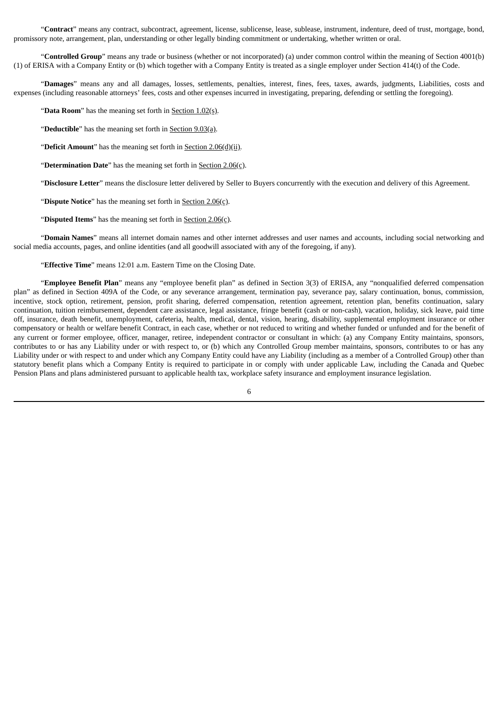"**Contract**" means any contract, subcontract, agreement, license, sublicense, lease, sublease, instrument, indenture, deed of trust, mortgage, bond, promissory note, arrangement, plan, understanding or other legally binding commitment or undertaking, whether written or oral.

"**Controlled Group**" means any trade or business (whether or not incorporated) (a) under common control within the meaning of Section 4001(b) (1) of ERISA with a Company Entity or (b) which together with a Company Entity is treated as a single employer under Section 414(t) of the Code.

"**Damages**" means any and all damages, losses, settlements, penalties, interest, fines, fees, taxes, awards, judgments, Liabilities, costs and expenses (including reasonable attorneys' fees, costs and other expenses incurred in investigating, preparing, defending or settling the foregoing).

"**Data Room**" has the meaning set forth in Section 1.02(s).

"**Deductible**" has the meaning set forth in Section 9.03(a).

"**Deficit Amount**" has the meaning set forth in Section 2.06(d)(ii).

"**Determination Date**" has the meaning set forth in Section 2.06(c).

"**Disclosure Letter**" means the disclosure letter delivered by Seller to Buyers concurrently with the execution and delivery of this Agreement.

"**Dispute Notice**" has the meaning set forth in Section 2.06(c).

"**Disputed Items**" has the meaning set forth in Section 2.06(c).

"**Domain Names**" means all internet domain names and other internet addresses and user names and accounts, including social networking and social media accounts, pages, and online identities (and all goodwill associated with any of the foregoing, if any).

"**Effective Time**" means 12:01 a.m. Eastern Time on the Closing Date.

"**Employee Benefit Plan**" means any "employee benefit plan" as defined in Section 3(3) of ERISA, any "nonqualified deferred compensation plan" as defined in Section 409A of the Code, or any severance arrangement, termination pay, severance pay, salary continuation, bonus, commission, incentive, stock option, retirement, pension, profit sharing, deferred compensation, retention agreement, retention plan, benefits continuation, salary continuation, tuition reimbursement, dependent care assistance, legal assistance, fringe benefit (cash or non-cash), vacation, holiday, sick leave, paid time off, insurance, death benefit, unemployment, cafeteria, health, medical, dental, vision, hearing, disability, supplemental employment insurance or other compensatory or health or welfare benefit Contract, in each case, whether or not reduced to writing and whether funded or unfunded and for the benefit of any current or former employee, officer, manager, retiree, independent contractor or consultant in which: (a) any Company Entity maintains, sponsors, contributes to or has any Liability under or with respect to, or (b) which any Controlled Group member maintains, sponsors, contributes to or has any Liability under or with respect to and under which any Company Entity could have any Liability (including as a member of a Controlled Group) other than statutory benefit plans which a Company Entity is required to participate in or comply with under applicable Law, including the Canada and Quebec Pension Plans and plans administered pursuant to applicable health tax, workplace safety insurance and employment insurance legislation.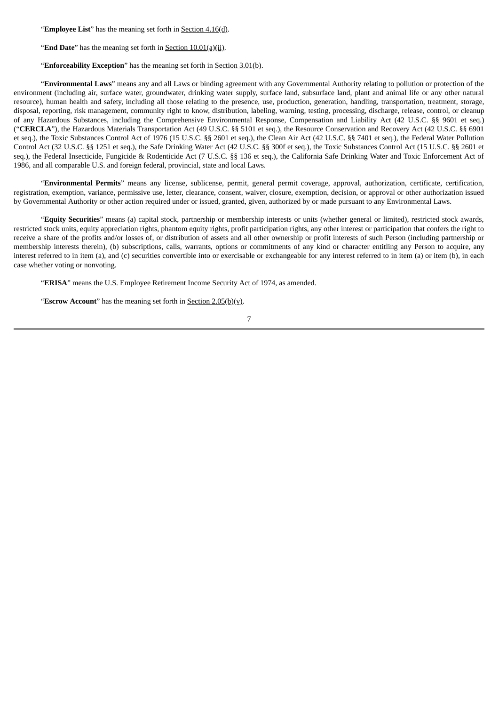"**Employee List**" has the meaning set forth in Section 4.16(d).

"**End Date**" has the meaning set forth in **Section 10.01(a)(ii)**.

"**Enforceability Exception**" has the meaning set forth in Section 3.01(b).

"**Environmental Laws**" means any and all Laws or binding agreement with any Governmental Authority relating to pollution or protection of the environment (including air, surface water, groundwater, drinking water supply, surface land, subsurface land, plant and animal life or any other natural resource), human health and safety, including all those relating to the presence, use, production, generation, handling, transportation, treatment, storage, disposal, reporting, risk management, community right to know, distribution, labeling, warning, testing, processing, discharge, release, control, or cleanup of any Hazardous Substances, including the Comprehensive Environmental Response, Compensation and Liability Act (42 U.S.C. §§ 9601 et seq.) ("**CERCLA**"), the Hazardous Materials Transportation Act (49 U.S.C. §§ 5101 et seq.), the Resource Conservation and Recovery Act (42 U.S.C. §§ 6901 et seq.), the Toxic Substances Control Act of 1976 (15 U.S.C. §§ 2601 et seq.), the Clean Air Act (42 U.S.C. §§ 7401 et seq.), the Federal Water Pollution Control Act (32 U.S.C. §§ 1251 et seq.), the Safe Drinking Water Act (42 U.S.C. §§ 300f et seq.), the Toxic Substances Control Act (15 U.S.C. §§ 2601 et seq.), the Federal Insecticide, Fungicide & Rodenticide Act (7 U.S.C. §§ 136 et seq.), the California Safe Drinking Water and Toxic Enforcement Act of 1986, and all comparable U.S. and foreign federal, provincial, state and local Laws.

"**Environmental Permits**" means any license, sublicense, permit, general permit coverage, approval, authorization, certificate, certification, registration, exemption, variance, permissive use, letter, clearance, consent, waiver, closure, exemption, decision, or approval or other authorization issued by Governmental Authority or other action required under or issued, granted, given, authorized by or made pursuant to any Environmental Laws.

"**Equity Securities**" means (a) capital stock, partnership or membership interests or units (whether general or limited), restricted stock awards, restricted stock units, equity appreciation rights, phantom equity rights, profit participation rights, any other interest or participation that confers the right to receive a share of the profits and/or losses of, or distribution of assets and all other ownership or profit interests of such Person (including partnership or membership interests therein), (b) subscriptions, calls, warrants, options or commitments of any kind or character entitling any Person to acquire, any interest referred to in item (a), and (c) securities convertible into or exercisable or exchangeable for any interest referred to in item (a) or item (b), in each case whether voting or nonvoting.

"**ERISA**" means the U.S. Employee Retirement Income Security Act of 1974, as amended.

"**Escrow Account**" has the meaning set forth in Section 2.05(b)(v).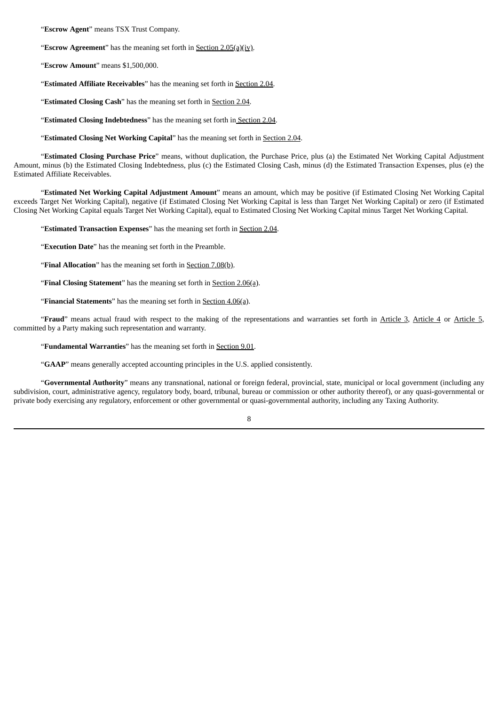"**Escrow Agent**" means TSX Trust Company.

"**Escrow Agreement**" has the meaning set forth in Section 2.05(a)(iv).

"**Escrow Amount**" means \$1,500,000.

"**Estimated Affiliate Receivables**" has the meaning set forth in Section 2.04.

"**Estimated Closing Cash**" has the meaning set forth in Section 2.04.

"**Estimated Closing Indebtedness**" has the meaning set forth in Section 2.04.

"**Estimated Closing Net Working Capital**" has the meaning set forth in Section 2.04.

"**Estimated Closing Purchase Price**" means, without duplication, the Purchase Price, plus (a) the Estimated Net Working Capital Adjustment Amount, minus (b) the Estimated Closing Indebtedness, plus (c) the Estimated Closing Cash, minus (d) the Estimated Transaction Expenses, plus (e) the Estimated Affiliate Receivables.

"**Estimated Net Working Capital Adjustment Amount**" means an amount, which may be positive (if Estimated Closing Net Working Capital exceeds Target Net Working Capital), negative (if Estimated Closing Net Working Capital is less than Target Net Working Capital) or zero (if Estimated Closing Net Working Capital equals Target Net Working Capital), equal to Estimated Closing Net Working Capital minus Target Net Working Capital.

"**Estimated Transaction Expenses**" has the meaning set forth in Section 2.04.

"**Execution Date**" has the meaning set forth in the Preamble.

"**Final Allocation**" has the meaning set forth in Section 7.08(b).

"**Final Closing Statement**" has the meaning set forth in Section 2.06(a).

"**Financial Statements**" has the meaning set forth in Section 4.06(a).

"**Fraud**" means actual fraud with respect to the making of the representations and warranties set forth in Article 3, Article 4 or Article 5, committed by a Party making such representation and warranty.

"**Fundamental Warranties**" has the meaning set forth in Section 9.01.

"**GAAP**" means generally accepted accounting principles in the U.S. applied consistently.

"**Governmental Authority**" means any transnational, national or foreign federal, provincial, state, municipal or local government (including any subdivision, court, administrative agency, regulatory body, board, tribunal, bureau or commission or other authority thereof), or any quasi-governmental or private body exercising any regulatory, enforcement or other governmental or quasi-governmental authority, including any Taxing Authority.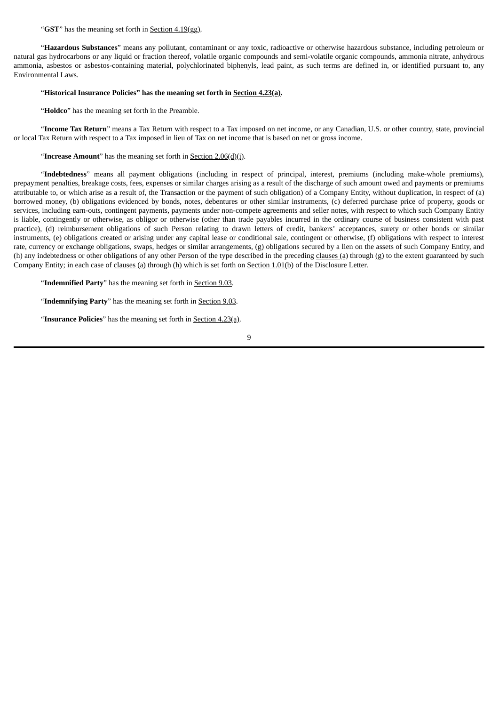"**GST**" has the meaning set forth in Section 4.19(gg).

"**Hazardous Substances**" means any pollutant, contaminant or any toxic, radioactive or otherwise hazardous substance, including petroleum or natural gas hydrocarbons or any liquid or fraction thereof, volatile organic compounds and semi-volatile organic compounds, ammonia nitrate, anhydrous ammonia, asbestos or asbestos-containing material, polychlorinated biphenyls, lead paint, as such terms are defined in, or identified pursuant to, any Environmental Laws.

## "**Historical Insurance Policies" has the meaning set forth in Section 4.23(a).**

"**Holdco**" has the meaning set forth in the Preamble.

"**Income Tax Return**" means a Tax Return with respect to a Tax imposed on net income, or any Canadian, U.S. or other country, state, provincial or local Tax Return with respect to a Tax imposed in lieu of Tax on net income that is based on net or gross income.

## "**Increase Amount**" has the meaning set forth in Section 2.06(d)(i).

"**Indebtedness**" means all payment obligations (including in respect of principal, interest, premiums (including make-whole premiums), prepayment penalties, breakage costs, fees, expenses or similar charges arising as a result of the discharge of such amount owed and payments or premiums attributable to, or which arise as a result of, the Transaction or the payment of such obligation) of a Company Entity, without duplication, in respect of (a) borrowed money, (b) obligations evidenced by bonds, notes, debentures or other similar instruments, (c) deferred purchase price of property, goods or services, including earn-outs, contingent payments, payments under non-compete agreements and seller notes, with respect to which such Company Entity is liable, contingently or otherwise, as obligor or otherwise (other than trade payables incurred in the ordinary course of business consistent with past practice), (d) reimbursement obligations of such Person relating to drawn letters of credit, bankers' acceptances, surety or other bonds or similar instruments, (e) obligations created or arising under any capital lease or conditional sale, contingent or otherwise, (f) obligations with respect to interest rate, currency or exchange obligations, swaps, hedges or similar arrangements, (g) obligations secured by a lien on the assets of such Company Entity, and (h) any indebtedness or other obligations of any other Person of the type described in the preceding clauses (a) through (g) to the extent guaranteed by such Company Entity; in each case of clauses (a) through (h) which is set forth on Section 1.01(b) of the Disclosure Letter.

"**Indemnified Party**" has the meaning set forth in Section 9.03.

"**Indemnifying Party**" has the meaning set forth in Section 9.03.

"**Insurance Policies**" has the meaning set forth in Section 4.23(a).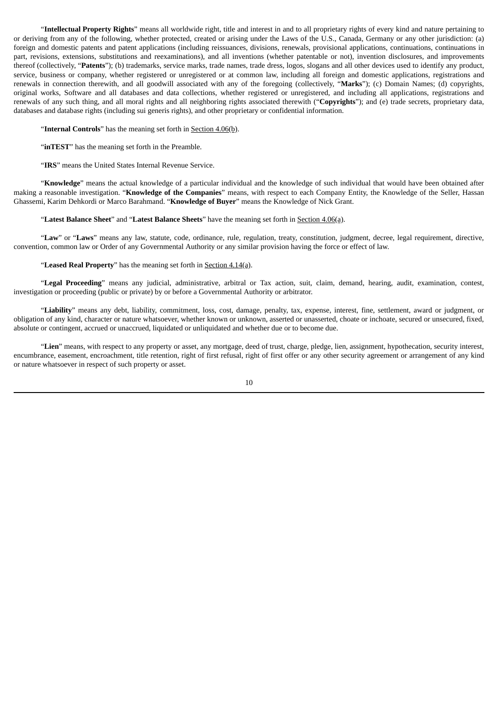"**Intellectual Property Rights**" means all worldwide right, title and interest in and to all proprietary rights of every kind and nature pertaining to or deriving from any of the following, whether protected, created or arising under the Laws of the U.S., Canada, Germany or any other jurisdiction: (a) foreign and domestic patents and patent applications (including reissuances, divisions, renewals, provisional applications, continuations, continuations in part, revisions, extensions, substitutions and reexaminations), and all inventions (whether patentable or not), invention disclosures, and improvements thereof (collectively, "**Patents**"); (b) trademarks, service marks, trade names, trade dress, logos, slogans and all other devices used to identify any product, service, business or company, whether registered or unregistered or at common law, including all foreign and domestic applications, registrations and renewals in connection therewith, and all goodwill associated with any of the foregoing (collectively, "**Marks**"); (c) Domain Names; (d) copyrights, original works, Software and all databases and data collections, whether registered or unregistered, and including all applications, registrations and renewals of any such thing, and all moral rights and all neighboring rights associated therewith ("**Copyrights**"); and (e) trade secrets, proprietary data, databases and database rights (including sui generis rights), and other proprietary or confidential information.

"**Internal Controls**" has the meaning set forth in **Section 4.06(b)**.

"inTEST" has the meaning set forth in the Preamble.

"**IRS**" means the United States Internal Revenue Service.

"**Knowledge**" means the actual knowledge of a particular individual and the knowledge of such individual that would have been obtained after making a reasonable investigation. "**Knowledge of the Companies**" means, with respect to each Company Entity, the Knowledge of the Seller, Hassan Ghassemi, Karim Dehkordi or Marco Barahmand. "**Knowledge of Buyer**" means the Knowledge of Nick Grant.

## "**Latest Balance Sheet**" and "**Latest Balance Sheets**" have the meaning set forth in Section 4.06(a).

"**Law**" or "**Laws**" means any law, statute, code, ordinance, rule, regulation, treaty, constitution, judgment, decree, legal requirement, directive, convention, common law or Order of any Governmental Authority or any similar provision having the force or effect of law.

## "**Leased Real Property**" has the meaning set forth in Section 4.14(a).

"**Legal Proceeding**" means any judicial, administrative, arbitral or Tax action, suit, claim, demand, hearing, audit, examination, contest, investigation or proceeding (public or private) by or before a Governmental Authority or arbitrator.

"**Liability**" means any debt, liability, commitment, loss, cost, damage, penalty, tax, expense, interest, fine, settlement, award or judgment, or obligation of any kind, character or nature whatsoever, whether known or unknown, asserted or unasserted, choate or inchoate, secured or unsecured, fixed, absolute or contingent, accrued or unaccrued, liquidated or unliquidated and whether due or to become due.

"**Lien**" means, with respect to any property or asset, any mortgage, deed of trust, charge, pledge, lien, assignment, hypothecation, security interest, encumbrance, easement, encroachment, title retention, right of first refusal, right of first offer or any other security agreement or arrangement of any kind or nature whatsoever in respect of such property or asset.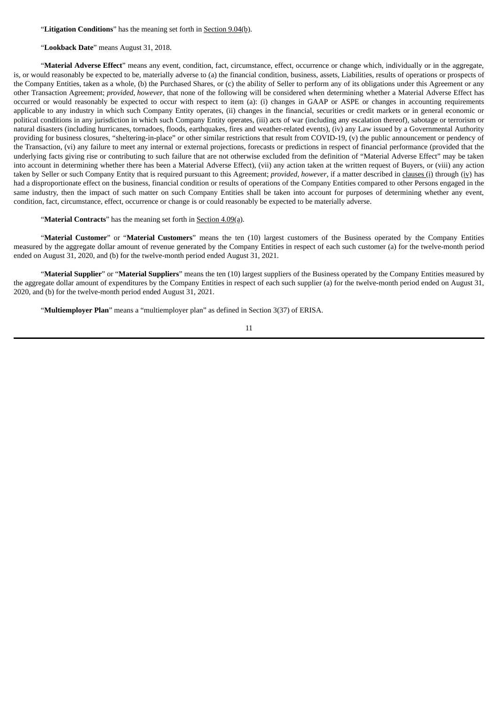"**Litigation Conditions**" has the meaning set forth in Section 9.04(b).

"**Lookback Date**" means August 31, 2018.

"**Material Adverse Effect**" means any event, condition, fact, circumstance, effect, occurrence or change which, individually or in the aggregate, is, or would reasonably be expected to be, materially adverse to (a) the financial condition, business, assets, Liabilities, results of operations or prospects of the Company Entities, taken as a whole, (b) the Purchased Shares, or (c) the ability of Seller to perform any of its obligations under this Agreement or any other Transaction Agreement; *provided*, *however*, that none of the following will be considered when determining whether a Material Adverse Effect has occurred or would reasonably be expected to occur with respect to item (a): (i) changes in GAAP or ASPE or changes in accounting requirements applicable to any industry in which such Company Entity operates, (ii) changes in the financial, securities or credit markets or in general economic or political conditions in any jurisdiction in which such Company Entity operates, (iii) acts of war (including any escalation thereof), sabotage or terrorism or natural disasters (including hurricanes, tornadoes, floods, earthquakes, fires and weather-related events), (iv) any Law issued by a Governmental Authority providing for business closures, "sheltering-in-place" or other similar restrictions that result from COVID-19, (v) the public announcement or pendency of the Transaction, (vi) any failure to meet any internal or external projections, forecasts or predictions in respect of financial performance (provided that the underlying facts giving rise or contributing to such failure that are not otherwise excluded from the definition of "Material Adverse Effect" may be taken into account in determining whether there has been a Material Adverse Effect), (vii) any action taken at the written request of Buyers, or (viii) any action taken by Seller or such Company Entity that is required pursuant to this Agreement; *provided*, *however*, if a matter described in clauses (i) through (iv) has had a disproportionate effect on the business, financial condition or results of operations of the Company Entities compared to other Persons engaged in the same industry, then the impact of such matter on such Company Entities shall be taken into account for purposes of determining whether any event, condition, fact, circumstance, effect, occurrence or change is or could reasonably be expected to be materially adverse.

"**Material Contracts**" has the meaning set forth in Section 4.09(a).

"**Material Customer**" or "**Material Customers**" means the ten (10) largest customers of the Business operated by the Company Entities measured by the aggregate dollar amount of revenue generated by the Company Entities in respect of each such customer (a) for the twelve-month period ended on August 31, 2020, and (b) for the twelve-month period ended August 31, 2021.

"**Material Supplier**" or "**Material Suppliers**" means the ten (10) largest suppliers of the Business operated by the Company Entities measured by the aggregate dollar amount of expenditures by the Company Entities in respect of each such supplier (a) for the twelve-month period ended on August 31, 2020, and (b) for the twelve-month period ended August 31, 2021.

"**Multiemployer Plan**" means a "multiemployer plan" as defined in Section 3(37) of ERISA.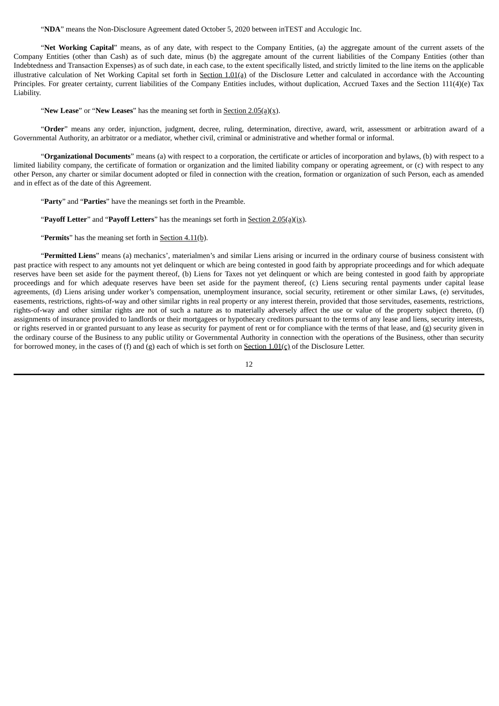"**NDA**" means the Non-Disclosure Agreement dated October 5, 2020 between inTEST and Acculogic Inc.

"**Net Working Capital**" means, as of any date, with respect to the Company Entities, (a) the aggregate amount of the current assets of the Company Entities (other than Cash) as of such date, minus (b) the aggregate amount of the current liabilities of the Company Entities (other than Indebtedness and Transaction Expenses) as of such date, in each case, to the extent specifically listed, and strictly limited to the line items on the applicable illustrative calculation of Net Working Capital set forth in Section  $1.01(q)$  of the Disclosure Letter and calculated in accordance with the Accounting Principles. For greater certainty, current liabilities of the Company Entities includes, without duplication, Accrued Taxes and the Section 111(4)(e) Tax Liability.

"**New Lease**" or "**New Leases**" has the meaning set forth in Section 2.05(a)(x).

"**Order**" means any order, injunction, judgment, decree, ruling, determination, directive, award, writ, assessment or arbitration award of a Governmental Authority, an arbitrator or a mediator, whether civil, criminal or administrative and whether formal or informal.

"**Organizational Documents**" means (a) with respect to a corporation, the certificate or articles of incorporation and bylaws, (b) with respect to a limited liability company, the certificate of formation or organization and the limited liability company or operating agreement, or (c) with respect to any other Person, any charter or similar document adopted or filed in connection with the creation, formation or organization of such Person, each as amended and in effect as of the date of this Agreement.

"**Party**" and "**Parties**" have the meanings set forth in the Preamble.

"**Payoff Letter**" and "**Payoff Letters**" has the meanings set forth in Section 2.05(a)(ix).

"**Permits**" has the meaning set forth in Section 4.11(b).

"**Permitted Liens**" means (a) mechanics', materialmen's and similar Liens arising or incurred in the ordinary course of business consistent with past practice with respect to any amounts not yet delinquent or which are being contested in good faith by appropriate proceedings and for which adequate reserves have been set aside for the payment thereof, (b) Liens for Taxes not yet delinquent or which are being contested in good faith by appropriate proceedings and for which adequate reserves have been set aside for the payment thereof, (c) Liens securing rental payments under capital lease agreements, (d) Liens arising under worker's compensation, unemployment insurance, social security, retirement or other similar Laws, (e) servitudes, easements, restrictions, rights-of-way and other similar rights in real property or any interest therein, provided that those servitudes, easements, restrictions, rights-of-way and other similar rights are not of such a nature as to materially adversely affect the use or value of the property subject thereto, (f) assignments of insurance provided to landlords or their mortgagees or hypothecary creditors pursuant to the terms of any lease and liens, security interests, or rights reserved in or granted pursuant to any lease as security for payment of rent or for compliance with the terms of that lease, and (g) security given in the ordinary course of the Business to any public utility or Governmental Authority in connection with the operations of the Business, other than security for borrowed money, in the cases of (f) and (g) each of which is set forth on Section 1.01(c) of the Disclosure Letter.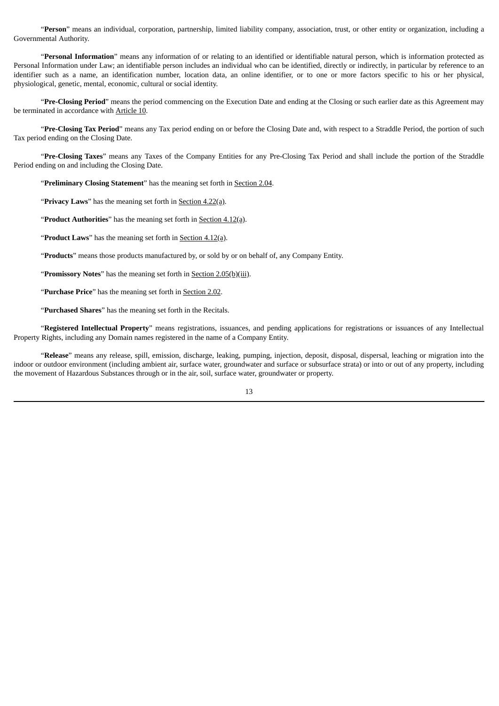"**Person**" means an individual, corporation, partnership, limited liability company, association, trust, or other entity or organization, including a Governmental Authority.

"**Personal Information**" means any information of or relating to an identified or identifiable natural person, which is information protected as Personal Information under Law; an identifiable person includes an individual who can be identified, directly or indirectly, in particular by reference to an identifier such as a name, an identification number, location data, an online identifier, or to one or more factors specific to his or her physical, physiological, genetic, mental, economic, cultural or social identity.

"**Pre-Closing Period**" means the period commencing on the Execution Date and ending at the Closing or such earlier date as this Agreement may be terminated in accordance with Article 10.

"**Pre-Closing Tax Period**" means any Tax period ending on or before the Closing Date and, with respect to a Straddle Period, the portion of such Tax period ending on the Closing Date.

"**Pre-Closing Taxes**" means any Taxes of the Company Entities for any Pre-Closing Tax Period and shall include the portion of the Straddle Period ending on and including the Closing Date.

"**Preliminary Closing Statement**" has the meaning set forth in Section 2.04.

"**Privacy Laws**" has the meaning set forth in Section 4.22(a).

"**Product Authorities**" has the meaning set forth in Section 4.12(a).

"**Product Laws**" has the meaning set forth in Section 4.12(a).

"**Products**" means those products manufactured by, or sold by or on behalf of, any Company Entity.

"**Promissory Notes**" has the meaning set forth in **Section 2.05(b)(iii)**.

"**Purchase Price**" has the meaning set forth in Section 2.02.

"**Purchased Shares**" has the meaning set forth in the Recitals.

"**Registered Intellectual Property**" means registrations, issuances, and pending applications for registrations or issuances of any Intellectual Property Rights, including any Domain names registered in the name of a Company Entity.

"**Release**" means any release, spill, emission, discharge, leaking, pumping, injection, deposit, disposal, dispersal, leaching or migration into the indoor or outdoor environment (including ambient air, surface water, groundwater and surface or subsurface strata) or into or out of any property, including the movement of Hazardous Substances through or in the air, soil, surface water, groundwater or property.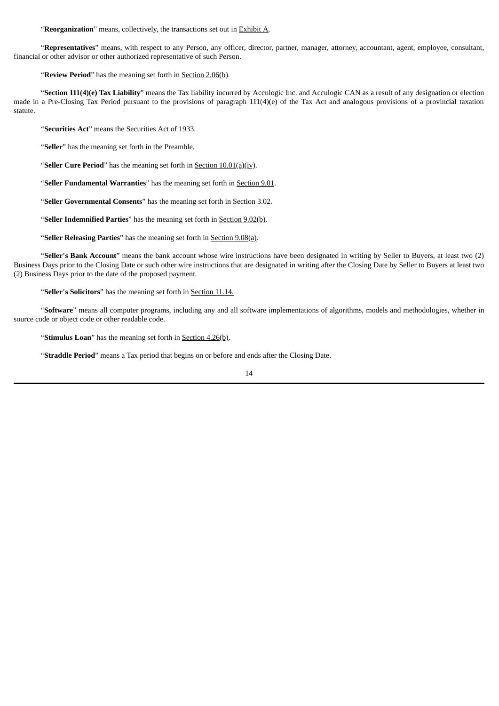"**Reorganization**" means, collectively, the transactions set out in Exhibit A.

"**Representatives**" means, with respect to any Person, any officer, director, partner, manager, attorney, accountant, agent, employee, consultant, financial or other advisor or other authorized representative of such Person.

"**Review Period**" has the meaning set forth in **Section 2.06(b)**.

"**Section 111(4)(e) Tax Liability**" means the Tax liability incurred by Acculogic Inc. and Acculogic CAN as a result of any designation or election made in a Pre-Closing Tax Period pursuant to the provisions of paragraph 111(4)(e) of the Tax Act and analogous provisions of a provincial taxation statute.

"**Securities Act**" means the Securities Act of 1933.

"**Seller**" has the meaning set forth in the Preamble.

"**Seller Cure Period**" has the meaning set forth in Section 10.01(a)(iv).

"**Seller Fundamental Warranties**" has the meaning set forth in Section 9.01.

"**Seller Governmental Consents**" has the meaning set forth in Section 3.02.

"**Seller Indemnified Parties**" has the meaning set forth in Section 9.02(b).

"**Seller Releasing Parties**" has the meaning set forth in Section 9.08(a).

"**Seller**'**s Bank Account**" means the bank account whose wire instructions have been designated in writing by Seller to Buyers, at least two (2) Business Days prior to the Closing Date or such other wire instructions that are designated in writing after the Closing Date by Seller to Buyers at least two (2) Business Days prior to the date of the proposed payment.

"**Seller**'**s Solicitors**" has the meaning set forth in Section 11.14.

"**Software**" means all computer programs, including any and all software implementations of algorithms, models and methodologies, whether in source code or object code or other readable code.

"**Stimulus Loan**" has the meaning set forth in **Section 4.26(b)**.

"**Straddle Period**" means a Tax period that begins on or before and ends after the Closing Date.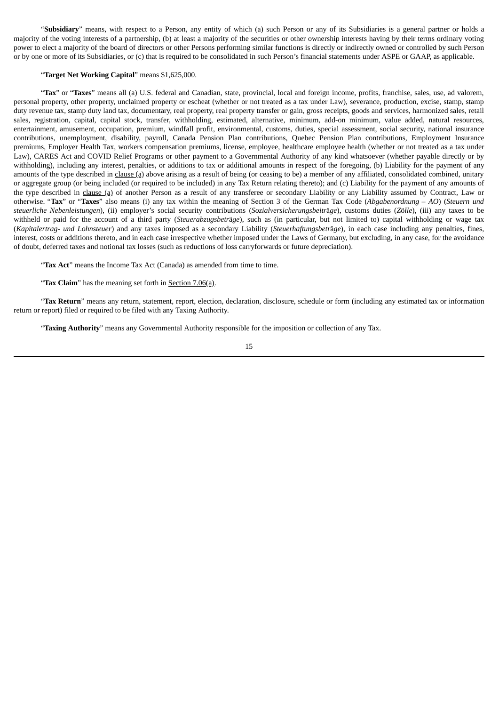"**Subsidiary**" means, with respect to a Person, any entity of which (a) such Person or any of its Subsidiaries is a general partner or holds a majority of the voting interests of a partnership, (b) at least a majority of the securities or other ownership interests having by their terms ordinary voting power to elect a majority of the board of directors or other Persons performing similar functions is directly or indirectly owned or controlled by such Person or by one or more of its Subsidiaries, or (c) that is required to be consolidated in such Person's financial statements under ASPE or GAAP, as applicable.

## "**Target Net Working Capital**" means \$1,625,000.

"**Tax**" or "**Taxes**" means all (a) U.S. federal and Canadian, state, provincial, local and foreign income, profits, franchise, sales, use, ad valorem, personal property, other property, unclaimed property or escheat (whether or not treated as a tax under Law), severance, production, excise, stamp, stamp duty revenue tax, stamp duty land tax, documentary, real property, real property transfer or gain, gross receipts, goods and services, harmonized sales, retail sales, registration, capital, capital stock, transfer, withholding, estimated, alternative, minimum, add-on minimum, value added, natural resources, entertainment, amusement, occupation, premium, windfall profit, environmental, customs, duties, special assessment, social security, national insurance contributions, unemployment, disability, payroll, Canada Pension Plan contributions, Quebec Pension Plan contributions, Employment Insurance premiums, Employer Health Tax, workers compensation premiums, license, employee, healthcare employee health (whether or not treated as a tax under Law), CARES Act and COVID Relief Programs or other payment to a Governmental Authority of any kind whatsoever (whether payable directly or by withholding), including any interest, penalties, or additions to tax or additional amounts in respect of the foregoing, (b) Liability for the payment of any amounts of the type described in clause (a) above arising as a result of being (or ceasing to be) a member of any affiliated, consolidated combined, unitary or aggregate group (or being included (or required to be included) in any Tax Return relating thereto); and (c) Liability for the payment of any amounts of the type described in clause (a) of another Person as a result of any transferee or secondary Liability or any Liability assumed by Contract, Law or otherwise. "**Tax**" or "**Taxes**" also means (i) any tax within the meaning of Section 3 of the German Tax Code (*Abgabenordnung* – *AO*) (*Steuern und steuerliche Nebenleistungen*), (ii) employer's social security contributions (*Sozialversicherungsbeitr*ä*ge*), customs duties (*Z*ö*lle*), (iii) any taxes to be withheld or paid for the account of a third party (*Steuerabzugsbetr*ä*ge*), such as (in particular, but not limited to) capital withholding or wage tax (*Kapitalertrag- und Lohnsteuer*) and any taxes imposed as a secondary Liability (*Steuerhaftungsbetr*ä*ge*), in each case including any penalties, fines, interest, costs or additions thereto, and in each case irrespective whether imposed under the Laws of Germany, but excluding, in any case, for the avoidance of doubt, deferred taxes and notional tax losses (such as reductions of loss carryforwards or future depreciation).

"**Tax Act**" means the Income Tax Act (Canada) as amended from time to time.

"**Tax Claim**" has the meaning set forth in Section 7.06(a).

"**Tax Return**" means any return, statement, report, election, declaration, disclosure, schedule or form (including any estimated tax or information return or report) filed or required to be filed with any Taxing Authority.

"**Taxing Authority**" means any Governmental Authority responsible for the imposition or collection of any Tax.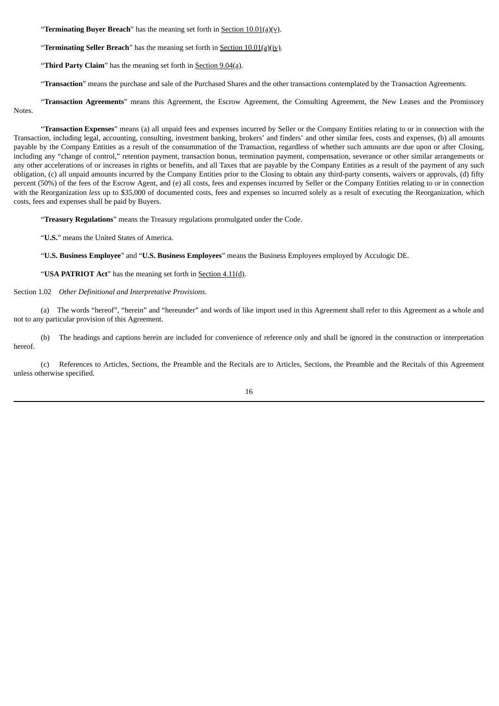"**Terminating Buyer Breach**" has the meaning set forth in **Section 10.01(a)(y)**.

"**Terminating Seller Breach**" has the meaning set forth in Section 10.01(a)(iv).

"**Third Party Claim**" has the meaning set forth in Section 9.04(a).

"**Transaction**" means the purchase and sale of the Purchased Shares and the other transactions contemplated by the Transaction Agreements.

"**Transaction Agreements**" means this Agreement, the Escrow Agreement, the Consulting Agreement, the New Leases and the Promissory Notes.

"**Transaction Expenses**" means (a) all unpaid fees and expenses incurred by Seller or the Company Entities relating to or in connection with the Transaction, including legal, accounting, consulting, investment banking, brokers' and finders' and other similar fees, costs and expenses, (b) all amounts payable by the Company Entities as a result of the consummation of the Transaction, regardless of whether such amounts are due upon or after Closing, including any "change of control," retention payment, transaction bonus, termination payment, compensation, severance or other similar arrangements or any other accelerations of or increases in rights or benefits, and all Taxes that are payable by the Company Entities as a result of the payment of any such obligation, (c) all unpaid amounts incurred by the Company Entities prior to the Closing to obtain any third-party consents, waivers or approvals, (d) fifty percent (50%) of the fees of the Escrow Agent, and (e) all costs, fees and expenses incurred by Seller or the Company Entities relating to or in connection with the Reorganization *less* up to \$35,000 of documented costs, fees and expenses so incurred solely as a result of executing the Reorganization, which costs, fees and expenses shall be paid by Buyers.

"**Treasury Regulations**" means the Treasury regulations promulgated under the Code.

"**U.S.**" means the United States of America.

"**U.S. Business Employee**" and "**U.S. Business Employees**" means the Business Employees employed by Acculogic DE.

"**USA PATRIOT Act**" has the meaning set forth in Section 4.11(d).

Section 1.02 *Other Definitional and Interpretative Provisions*.

(a) The words "hereof", "herein" and "hereunder" and words of like import used in this Agreement shall refer to this Agreement as a whole and not to any particular provision of this Agreement.

(b) The headings and captions herein are included for convenience of reference only and shall be ignored in the construction or interpretation hereof.

(c) References to Articles, Sections, the Preamble and the Recitals are to Articles, Sections, the Preamble and the Recitals of this Agreement unless otherwise specified.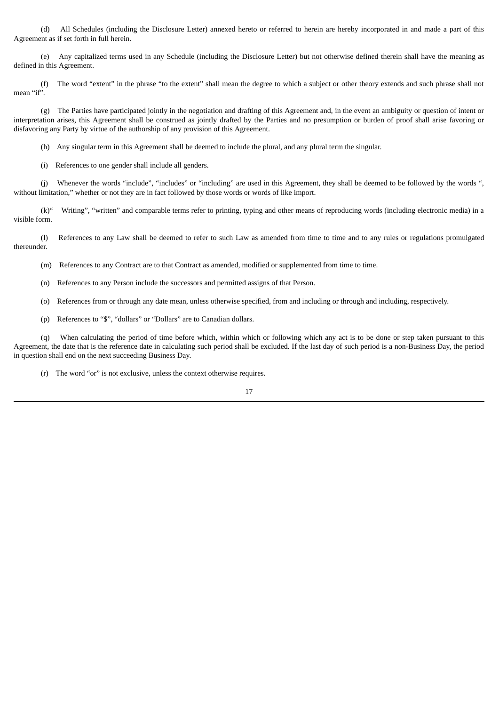(d) All Schedules (including the Disclosure Letter) annexed hereto or referred to herein are hereby incorporated in and made a part of this Agreement as if set forth in full herein.

(e) Any capitalized terms used in any Schedule (including the Disclosure Letter) but not otherwise defined therein shall have the meaning as defined in this Agreement.

(f) The word "extent" in the phrase "to the extent" shall mean the degree to which a subject or other theory extends and such phrase shall not mean "if".

(g) The Parties have participated jointly in the negotiation and drafting of this Agreement and, in the event an ambiguity or question of intent or interpretation arises, this Agreement shall be construed as jointly drafted by the Parties and no presumption or burden of proof shall arise favoring or disfavoring any Party by virtue of the authorship of any provision of this Agreement.

(h) Any singular term in this Agreement shall be deemed to include the plural, and any plural term the singular.

(i) References to one gender shall include all genders.

(j) Whenever the words "include", "includes" or "including" are used in this Agreement, they shall be deemed to be followed by the words ", without limitation," whether or not they are in fact followed by those words or words of like import.

(k)" Writing", "written" and comparable terms refer to printing, typing and other means of reproducing words (including electronic media) in a visible form.

(l) References to any Law shall be deemed to refer to such Law as amended from time to time and to any rules or regulations promulgated thereunder.

(m) References to any Contract are to that Contract as amended, modified or supplemented from time to time.

(n) References to any Person include the successors and permitted assigns of that Person.

(o) References from or through any date mean, unless otherwise specified, from and including or through and including, respectively.

(p) References to "\$", "dollars" or "Dollars" are to Canadian dollars.

(q) When calculating the period of time before which, within which or following which any act is to be done or step taken pursuant to this Agreement, the date that is the reference date in calculating such period shall be excluded. If the last day of such period is a non-Business Day, the period in question shall end on the next succeeding Business Day.

(r) The word "or" is not exclusive, unless the context otherwise requires.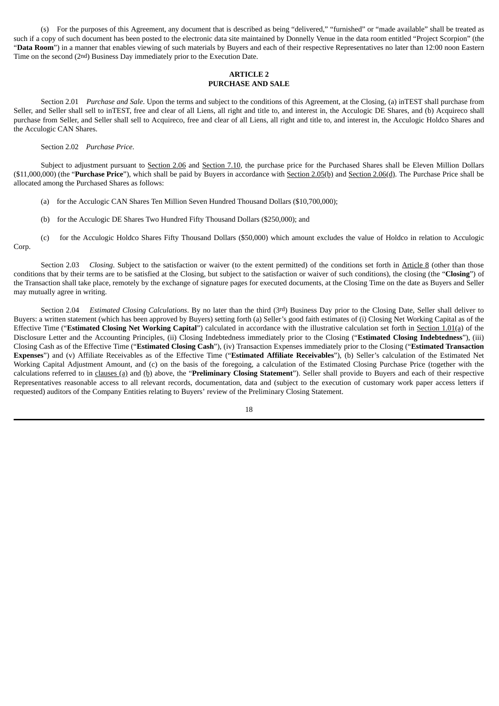(s) For the purposes of this Agreement, any document that is described as being "delivered," "furnished" or "made available" shall be treated as such if a copy of such document has been posted to the electronic data site maintained by Donnelly Venue in the data room entitled "Project Scorpion" (the "Data Room") in a manner that enables viewing of such materials by Buyers and each of their respective Representatives no later than 12:00 noon Eastern Time on the second (2nd) Business Day immediately prior to the Execution Date.

## **ARTICLE 2 PURCHASE AND SALE**

Section 2.01 *Purchase and Sale*. Upon the terms and subject to the conditions of this Agreement, at the Closing, (a) inTEST shall purchase from Seller, and Seller shall sell to inTEST, free and clear of all Liens, all right and title to, and interest in, the Acculogic DE Shares, and (b) Acquireco shall purchase from Seller, and Seller shall sell to Acquireco, free and clear of all Liens, all right and title to, and interest in, the Acculogic Holdco Shares and the Acculogic CAN Shares.

Section 2.02 *Purchase Price*.

Subject to adjustment pursuant to Section 2.06 and Section 7.10, the purchase price for the Purchased Shares shall be Eleven Million Dollars (\$11,000,000) (the "**Purchase Price**"), which shall be paid by Buyers in accordance with Section 2.05(b) and Section 2.06(d). The Purchase Price shall be allocated among the Purchased Shares as follows:

- (a) for the Acculogic CAN Shares Ten Million Seven Hundred Thousand Dollars (\$10,700,000);
- (b) for the Acculogic DE Shares Two Hundred Fifty Thousand Dollars (\$250,000); and
- (c) for the Acculogic Holdco Shares Fifty Thousand Dollars (\$50,000) which amount excludes the value of Holdco in relation to Acculogic Corp.

Section 2.03 *Closing*. Subject to the satisfaction or waiver (to the extent permitted) of the conditions set forth in Article 8 (other than those conditions that by their terms are to be satisfied at the Closing, but subject to the satisfaction or waiver of such conditions), the closing (the "**Closing**") of the Transaction shall take place, remotely by the exchange of signature pages for executed documents, at the Closing Time on the date as Buyers and Seller may mutually agree in writing.

Section 2.04 *Estimated Closing Calculations*. By no later than the third (3rd) Business Day prior to the Closing Date, Seller shall deliver to Buyers: a written statement (which has been approved by Buyers) setting forth (a) Seller's good faith estimates of (i) Closing Net Working Capital as of the Effective Time ("**Estimated Closing Net Working Capital**") calculated in accordance with the illustrative calculation set forth in Section 1.01(a) of the Disclosure Letter and the Accounting Principles, (ii) Closing Indebtedness immediately prior to the Closing ("**Estimated Closing Indebtedness**"), (iii) Closing Cash as of the Effective Time ("**Estimated Closing Cash**"), (iv) Transaction Expenses immediately prior to the Closing ("**Estimated Transaction Expenses**") and (v) Affiliate Receivables as of the Effective Time ("**Estimated Affiliate Receivables**"), (b) Seller's calculation of the Estimated Net Working Capital Adjustment Amount, and (c) on the basis of the foregoing, a calculation of the Estimated Closing Purchase Price (together with the calculations referred to in clauses (a) and (b) above, the "**Preliminary Closing Statement**"). Seller shall provide to Buyers and each of their respective Representatives reasonable access to all relevant records, documentation, data and (subject to the execution of customary work paper access letters if requested) auditors of the Company Entities relating to Buyers' review of the Preliminary Closing Statement.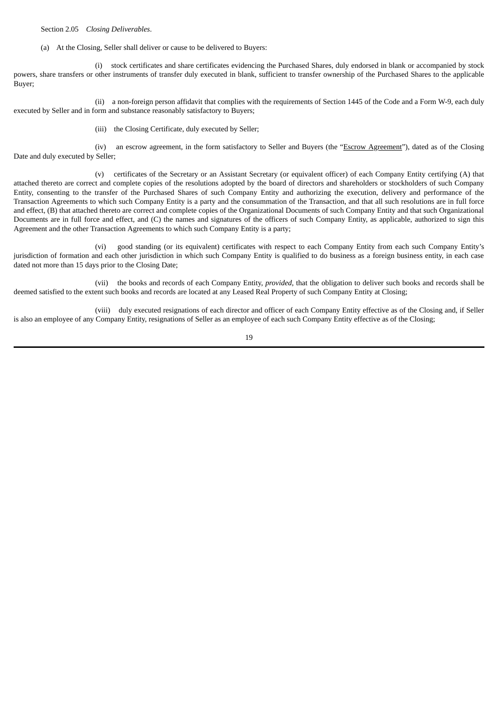Section 2.05 *Closing Deliverables*.

(a) At the Closing, Seller shall deliver or cause to be delivered to Buyers:

(i) stock certificates and share certificates evidencing the Purchased Shares, duly endorsed in blank or accompanied by stock powers, share transfers or other instruments of transfer duly executed in blank, sufficient to transfer ownership of the Purchased Shares to the applicable Buyer;

(ii) a non-foreign person affidavit that complies with the requirements of Section 1445 of the Code and a Form W-9, each duly executed by Seller and in form and substance reasonably satisfactory to Buyers;

(iii) the Closing Certificate, duly executed by Seller;

(iv) an escrow agreement, in the form satisfactory to Seller and Buyers (the "Escrow Agreement"), dated as of the Closing Date and duly executed by Seller;

(v) certificates of the Secretary or an Assistant Secretary (or equivalent officer) of each Company Entity certifying (A) that attached thereto are correct and complete copies of the resolutions adopted by the board of directors and shareholders or stockholders of such Company Entity, consenting to the transfer of the Purchased Shares of such Company Entity and authorizing the execution, delivery and performance of the Transaction Agreements to which such Company Entity is a party and the consummation of the Transaction, and that all such resolutions are in full force and effect, (B) that attached thereto are correct and complete copies of the Organizational Documents of such Company Entity and that such Organizational Documents are in full force and effect, and (C) the names and signatures of the officers of such Company Entity, as applicable, authorized to sign this Agreement and the other Transaction Agreements to which such Company Entity is a party;

(vi) good standing (or its equivalent) certificates with respect to each Company Entity from each such Company Entity's jurisdiction of formation and each other jurisdiction in which such Company Entity is qualified to do business as a foreign business entity, in each case dated not more than 15 days prior to the Closing Date;

(vii) the books and records of each Company Entity, *provided*, that the obligation to deliver such books and records shall be deemed satisfied to the extent such books and records are located at any Leased Real Property of such Company Entity at Closing;

(viii) duly executed resignations of each director and officer of each Company Entity effective as of the Closing and, if Seller is also an employee of any Company Entity, resignations of Seller as an employee of each such Company Entity effective as of the Closing;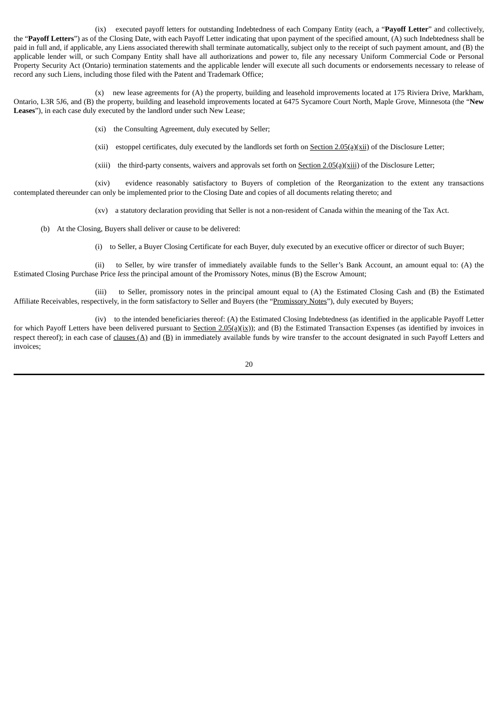(ix) executed payoff letters for outstanding Indebtedness of each Company Entity (each, a "**Payoff Letter**" and collectively, the "**Payoff Letters**") as of the Closing Date, with each Payoff Letter indicating that upon payment of the specified amount, (A) such Indebtedness shall be paid in full and, if applicable, any Liens associated therewith shall terminate automatically, subject only to the receipt of such payment amount, and (B) the applicable lender will, or such Company Entity shall have all authorizations and power to, file any necessary Uniform Commercial Code or Personal Property Security Act (Ontario) termination statements and the applicable lender will execute all such documents or endorsements necessary to release of record any such Liens, including those filed with the Patent and Trademark Office;

(x) new lease agreements for (A) the property, building and leasehold improvements located at 175 Riviera Drive, Markham, Ontario, L3R 5J6, and (B) the property, building and leasehold improvements located at 6475 Sycamore Court North, Maple Grove, Minnesota (the "**New Leases**"), in each case duly executed by the landlord under such New Lease;

(xi) the Consulting Agreement, duly executed by Seller;

(xii) estoppel certificates, duly executed by the landlords set forth on  $Section 2.05(a)(xii)$  of the Disclosure Letter;

(xiii) the third-party consents, waivers and approvals set forth on  $Section 2.05(a)(xiii)$  of the Disclosure Letter;

(xiv) evidence reasonably satisfactory to Buyers of completion of the Reorganization to the extent any transactions contemplated thereunder can only be implemented prior to the Closing Date and copies of all documents relating thereto; and

(xv) a statutory declaration providing that Seller is not a non-resident of Canada within the meaning of the Tax Act.

(b) At the Closing, Buyers shall deliver or cause to be delivered:

(i) to Seller, a Buyer Closing Certificate for each Buyer, duly executed by an executive officer or director of such Buyer;

(ii) to Seller, by wire transfer of immediately available funds to the Seller's Bank Account, an amount equal to: (A) the Estimated Closing Purchase Price *less* the principal amount of the Promissory Notes, minus (B) the Escrow Amount;

(iii) to Seller, promissory notes in the principal amount equal to (A) the Estimated Closing Cash and (B) the Estimated Affiliate Receivables, respectively, in the form satisfactory to Seller and Buyers (the "Promissory Notes"), duly executed by Buyers;

(iv) to the intended beneficiaries thereof: (A) the Estimated Closing Indebtedness (as identified in the applicable Payoff Letter for which Payoff Letters have been delivered pursuant to Section  $2.05(a)(ix)$ ; and (B) the Estimated Transaction Expenses (as identified by invoices in respect thereof); in each case of  $clauses (A)$  and  $(B)$  in immediately available funds by wire transfer to the account designated in such Payoff Letters and invoices;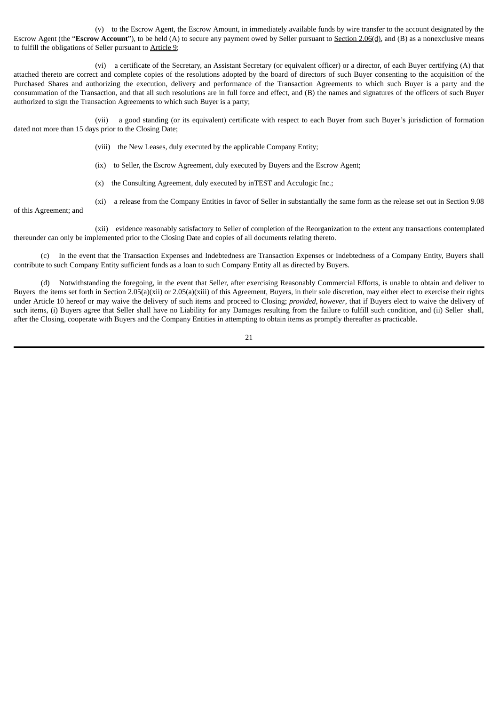(v) to the Escrow Agent, the Escrow Amount, in immediately available funds by wire transfer to the account designated by the Escrow Agent (the "**Escrow Account**"), to be held (A) to secure any payment owed by Seller pursuant to Section 2.06(d), and (B) as a nonexclusive means to fulfill the obligations of Seller pursuant to Article 9;

(vi) a certificate of the Secretary, an Assistant Secretary (or equivalent officer) or a director, of each Buyer certifying (A) that attached thereto are correct and complete copies of the resolutions adopted by the board of directors of such Buyer consenting to the acquisition of the Purchased Shares and authorizing the execution, delivery and performance of the Transaction Agreements to which such Buyer is a party and the consummation of the Transaction, and that all such resolutions are in full force and effect, and (B) the names and signatures of the officers of such Buyer authorized to sign the Transaction Agreements to which such Buyer is a party;

(vii) a good standing (or its equivalent) certificate with respect to each Buyer from such Buyer's jurisdiction of formation dated not more than 15 days prior to the Closing Date;

- (viii) the New Leases, duly executed by the applicable Company Entity;
- (ix) to Seller, the Escrow Agreement, duly executed by Buyers and the Escrow Agent;
- (x) the Consulting Agreement, duly executed by inTEST and Acculogic Inc.;
- (xi) a release from the Company Entities in favor of Seller in substantially the same form as the release set out in Section 9.08

of this Agreement; and

(xii) evidence reasonably satisfactory to Seller of completion of the Reorganization to the extent any transactions contemplated thereunder can only be implemented prior to the Closing Date and copies of all documents relating thereto.

(c) In the event that the Transaction Expenses and Indebtedness are Transaction Expenses or Indebtedness of a Company Entity, Buyers shall contribute to such Company Entity sufficient funds as a loan to such Company Entity all as directed by Buyers.

(d) Notwithstanding the foregoing, in the event that Seller, after exercising Reasonably Commercial Efforts, is unable to obtain and deliver to Buyers the items set forth in Section 2.05(a)(xii) or 2.05(a)(xiii) of this Agreement, Buyers, in their sole discretion, may either elect to exercise their rights under Article 10 hereof or may waive the delivery of such items and proceed to Closing; *provided*, *however*, that if Buyers elect to waive the delivery of such items, (i) Buyers agree that Seller shall have no Liability for any Damages resulting from the failure to fulfill such condition, and (ii) Seller shall, after the Closing, cooperate with Buyers and the Company Entities in attempting to obtain items as promptly thereafter as practicable.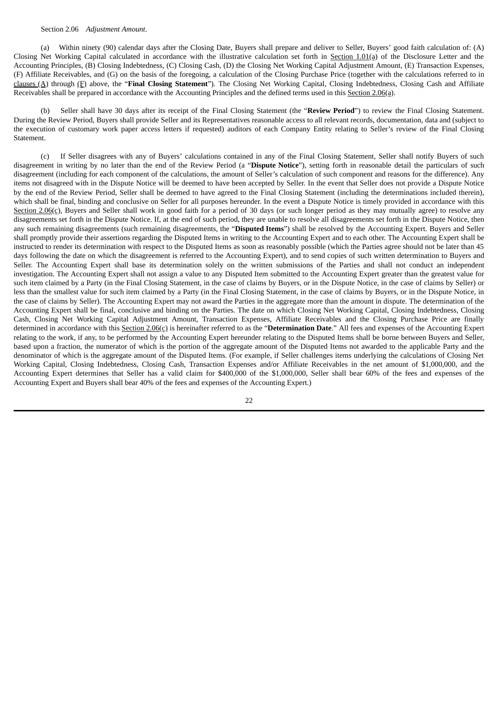#### Section 2.06 *Adjustment Amount*.

(a) Within ninety (90) calendar days after the Closing Date, Buyers shall prepare and deliver to Seller, Buyers' good faith calculation of: (A) Closing Net Working Capital calculated in accordance with the illustrative calculation set forth in Section 1.01(a) of the Disclosure Letter and the Accounting Principles, (B) Closing Indebtedness, (C) Closing Cash, (D) the Closing Net Working Capital Adjustment Amount, (E) Transaction Expenses, (F) Affiliate Receivables, and (G) on the basis of the foregoing, a calculation of the Closing Purchase Price (together with the calculations referred to in clauses (A) through (F) above, the "**Final Closing Statement**"). The Closing Net Working Capital, Closing Indebtedness, Closing Cash and Affiliate Receivables shall be prepared in accordance with the Accounting Principles and the defined terms used in this Section 2.06(a).

(b) Seller shall have 30 days after its receipt of the Final Closing Statement (the "**Review Period**") to review the Final Closing Statement. During the Review Period, Buyers shall provide Seller and its Representatives reasonable access to all relevant records, documentation, data and (subject to the execution of customary work paper access letters if requested) auditors of each Company Entity relating to Seller's review of the Final Closing Statement.

(c) If Seller disagrees with any of Buyers' calculations contained in any of the Final Closing Statement, Seller shall notify Buyers of such disagreement in writing by no later than the end of the Review Period (a "**Dispute Notice**"), setting forth in reasonable detail the particulars of such disagreement (including for each component of the calculations, the amount of Seller's calculation of such component and reasons for the difference). Any items not disagreed with in the Dispute Notice will be deemed to have been accepted by Seller. In the event that Seller does not provide a Dispute Notice by the end of the Review Period, Seller shall be deemed to have agreed to the Final Closing Statement (including the determinations included therein), which shall be final, binding and conclusive on Seller for all purposes hereunder. In the event a Dispute Notice is timely provided in accordance with this Section 2.06(c), Buyers and Seller shall work in good faith for a period of 30 days (or such longer period as they may mutually agree) to resolve any disagreements set forth in the Dispute Notice. If, at the end of such period, they are unable to resolve all disagreements set forth in the Dispute Notice, then any such remaining disagreements (such remaining disagreements, the "**Disputed Items**") shall be resolved by the Accounting Expert. Buyers and Seller shall promptly provide their assertions regarding the Disputed Items in writing to the Accounting Expert and to each other. The Accounting Expert shall be instructed to render its determination with respect to the Disputed Items as soon as reasonably possible (which the Parties agree should not be later than 45 days following the date on which the disagreement is referred to the Accounting Expert), and to send copies of such written determination to Buyers and Seller. The Accounting Expert shall base its determination solely on the written submissions of the Parties and shall not conduct an independent investigation. The Accounting Expert shall not assign a value to any Disputed Item submitted to the Accounting Expert greater than the greatest value for such item claimed by a Party (in the Final Closing Statement, in the case of claims by Buyers, or in the Dispute Notice, in the case of claims by Seller) or less than the smallest value for such item claimed by a Party (in the Final Closing Statement, in the case of claims by Buyers, or in the Dispute Notice, in the case of claims by Seller). The Accounting Expert may not award the Parties in the aggregate more than the amount in dispute. The determination of the Accounting Expert shall be final, conclusive and binding on the Parties. The date on which Closing Net Working Capital, Closing Indebtedness, Closing Cash, Closing Net Working Capital Adjustment Amount, Transaction Expenses, Affiliate Receivables and the Closing Purchase Price are finally determined in accordance with this Section 2.06(c) is hereinafter referred to as the "**Determination Date**." All fees and expenses of the Accounting Expert relating to the work, if any, to be performed by the Accounting Expert hereunder relating to the Disputed Items shall be borne between Buyers and Seller, based upon a fraction, the numerator of which is the portion of the aggregate amount of the Disputed Items not awarded to the applicable Party and the denominator of which is the aggregate amount of the Disputed Items. (For example, if Seller challenges items underlying the calculations of Closing Net Working Capital, Closing Indebtedness, Closing Cash, Transaction Expenses and/or Affiliate Receivables in the net amount of \$1,000,000, and the Accounting Expert determines that Seller has a valid claim for \$400,000 of the \$1,000,000, Seller shall bear 60% of the fees and expenses of the Accounting Expert and Buyers shall bear 40% of the fees and expenses of the Accounting Expert.)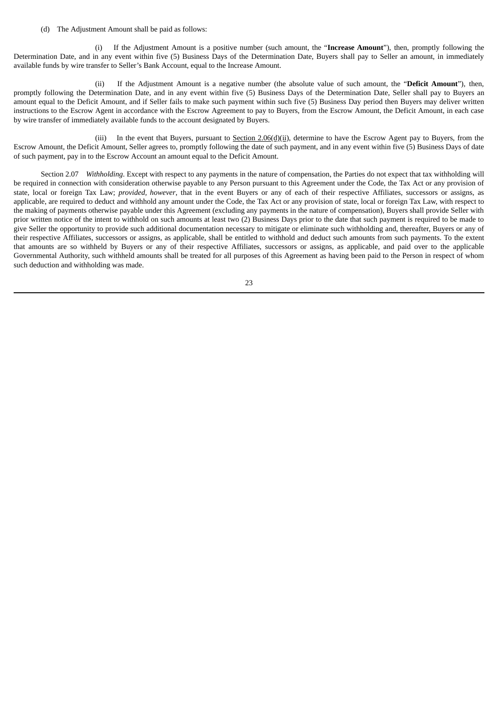(d) The Adjustment Amount shall be paid as follows:

(i) If the Adjustment Amount is a positive number (such amount, the "**Increase Amount**"), then, promptly following the Determination Date, and in any event within five (5) Business Days of the Determination Date, Buyers shall pay to Seller an amount, in immediately available funds by wire transfer to Seller's Bank Account, equal to the Increase Amount.

(ii) If the Adjustment Amount is a negative number (the absolute value of such amount, the "**Deficit Amount**"), then, promptly following the Determination Date, and in any event within five (5) Business Days of the Determination Date, Seller shall pay to Buyers an amount equal to the Deficit Amount, and if Seller fails to make such payment within such five (5) Business Day period then Buyers may deliver written instructions to the Escrow Agent in accordance with the Escrow Agreement to pay to Buyers, from the Escrow Amount, the Deficit Amount, in each case by wire transfer of immediately available funds to the account designated by Buyers.

(iii) In the event that Buyers, pursuant to Section  $2.06(d)(ii)$ , determine to have the Escrow Agent pay to Buyers, from the Escrow Amount, the Deficit Amount, Seller agrees to, promptly following the date of such payment, and in any event within five (5) Business Days of date of such payment, pay in to the Escrow Account an amount equal to the Deficit Amount.

Section 2.07 *Withholding*. Except with respect to any payments in the nature of compensation, the Parties do not expect that tax withholding will be required in connection with consideration otherwise payable to any Person pursuant to this Agreement under the Code, the Tax Act or any provision of state, local or foreign Tax Law; *provided, however*, that in the event Buyers or any of each of their respective Affiliates, successors or assigns, as applicable, are required to deduct and withhold any amount under the Code, the Tax Act or any provision of state, local or foreign Tax Law, with respect to the making of payments otherwise payable under this Agreement (excluding any payments in the nature of compensation), Buyers shall provide Seller with prior written notice of the intent to withhold on such amounts at least two (2) Business Days prior to the date that such payment is required to be made to give Seller the opportunity to provide such additional documentation necessary to mitigate or eliminate such withholding and, thereafter, Buyers or any of their respective Affiliates, successors or assigns, as applicable, shall be entitled to withhold and deduct such amounts from such payments. To the extent that amounts are so withheld by Buyers or any of their respective Affiliates, successors or assigns, as applicable, and paid over to the applicable Governmental Authority, such withheld amounts shall be treated for all purposes of this Agreement as having been paid to the Person in respect of whom such deduction and withholding was made.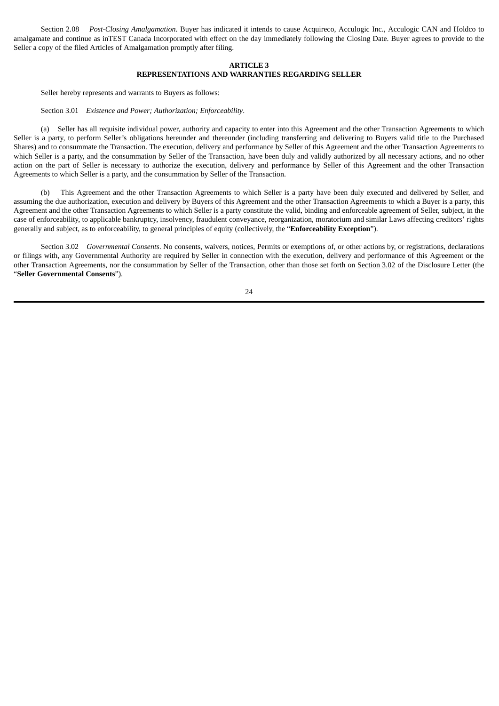Section 2.08 *Post-Closing Amalgamation*. Buyer has indicated it intends to cause Acquireco, Acculogic Inc., Acculogic CAN and Holdco to amalgamate and continue as inTEST Canada Incorporated with effect on the day immediately following the Closing Date. Buyer agrees to provide to the Seller a copy of the filed Articles of Amalgamation promptly after filing.

## **ARTICLE 3 REPRESENTATIONS AND WARRANTIES REGARDING SELLER**

Seller hereby represents and warrants to Buyers as follows:

Section 3.01 *Existence and Power; Authorization; Enforceability*.

(a) Seller has all requisite individual power, authority and capacity to enter into this Agreement and the other Transaction Agreements to which Seller is a party, to perform Seller's obligations hereunder and thereunder (including transferring and delivering to Buyers valid title to the Purchased Shares) and to consummate the Transaction. The execution, delivery and performance by Seller of this Agreement and the other Transaction Agreements to which Seller is a party, and the consummation by Seller of the Transaction, have been duly and validly authorized by all necessary actions, and no other action on the part of Seller is necessary to authorize the execution, delivery and performance by Seller of this Agreement and the other Transaction Agreements to which Seller is a party, and the consummation by Seller of the Transaction.

(b) This Agreement and the other Transaction Agreements to which Seller is a party have been duly executed and delivered by Seller, and assuming the due authorization, execution and delivery by Buyers of this Agreement and the other Transaction Agreements to which a Buyer is a party, this Agreement and the other Transaction Agreements to which Seller is a party constitute the valid, binding and enforceable agreement of Seller, subject, in the case of enforceability, to applicable bankruptcy, insolvency, fraudulent conveyance, reorganization, moratorium and similar Laws affecting creditors' rights generally and subject, as to enforceability, to general principles of equity (collectively, the "**Enforceability Exception**").

Section 3.02 *Governmental Consents*. No consents, waivers, notices, Permits or exemptions of, or other actions by, or registrations, declarations or filings with, any Governmental Authority are required by Seller in connection with the execution, delivery and performance of this Agreement or the other Transaction Agreements, nor the consummation by Seller of the Transaction, other than those set forth on Section 3.02 of the Disclosure Letter (the "**Seller Governmental Consents**").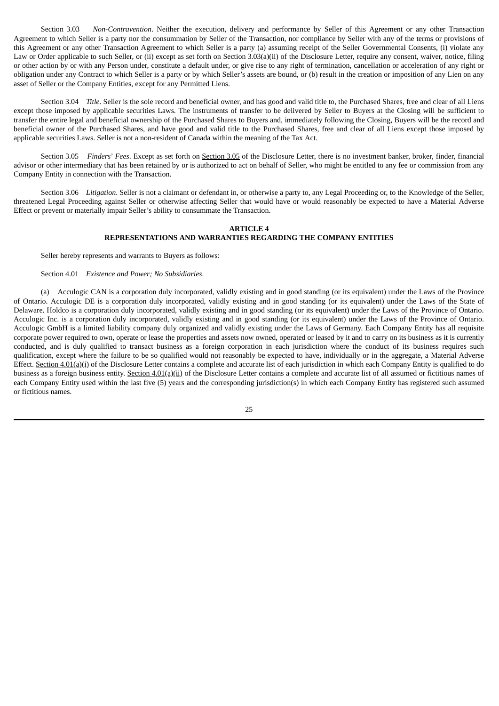Section 3.03 *Non-Contravention*. Neither the execution, delivery and performance by Seller of this Agreement or any other Transaction Agreement to which Seller is a party nor the consummation by Seller of the Transaction, nor compliance by Seller with any of the terms or provisions of this Agreement or any other Transaction Agreement to which Seller is a party (a) assuming receipt of the Seller Governmental Consents, (i) violate any Law or Order applicable to such Seller, or (ii) except as set forth on Section 3.03(a)(ii) of the Disclosure Letter, require any consent, waiver, notice, filing or other action by or with any Person under, constitute a default under, or give rise to any right of termination, cancellation or acceleration of any right or obligation under any Contract to which Seller is a party or by which Seller's assets are bound, or (b) result in the creation or imposition of any Lien on any asset of Seller or the Company Entities, except for any Permitted Liens.

Section 3.04 *Title*. Seller is the sole record and beneficial owner, and has good and valid title to, the Purchased Shares, free and clear of all Liens except those imposed by applicable securities Laws. The instruments of transfer to be delivered by Seller to Buyers at the Closing will be sufficient to transfer the entire legal and beneficial ownership of the Purchased Shares to Buyers and, immediately following the Closing, Buyers will be the record and beneficial owner of the Purchased Shares, and have good and valid title to the Purchased Shares, free and clear of all Liens except those imposed by applicable securities Laws. Seller is not a non-resident of Canada within the meaning of the Tax Act.

Section 3.05 *Finders*' *Fees*. Except as set forth on Section 3.05 of the Disclosure Letter, there is no investment banker, broker, finder, financial advisor or other intermediary that has been retained by or is authorized to act on behalf of Seller, who might be entitled to any fee or commission from any Company Entity in connection with the Transaction.

Section 3.06 *Litigation*. Seller is not a claimant or defendant in, or otherwise a party to, any Legal Proceeding or, to the Knowledge of the Seller, threatened Legal Proceeding against Seller or otherwise affecting Seller that would have or would reasonably be expected to have a Material Adverse Effect or prevent or materially impair Seller's ability to consummate the Transaction.

## **ARTICLE 4 REPRESENTATIONS AND WARRANTIES REGARDING THE COMPANY ENTITIES**

Seller hereby represents and warrants to Buyers as follows:

#### Section 4.01 *Existence and Power; No Subsidiaries*.

(a) Acculogic CAN is a corporation duly incorporated, validly existing and in good standing (or its equivalent) under the Laws of the Province of Ontario. Acculogic DE is a corporation duly incorporated, validly existing and in good standing (or its equivalent) under the Laws of the State of Delaware. Holdco is a corporation duly incorporated, validly existing and in good standing (or its equivalent) under the Laws of the Province of Ontario. Acculogic Inc. is a corporation duly incorporated, validly existing and in good standing (or its equivalent) under the Laws of the Province of Ontario. Acculogic GmbH is a limited liability company duly organized and validly existing under the Laws of Germany. Each Company Entity has all requisite corporate power required to own, operate or lease the properties and assets now owned, operated or leased by it and to carry on its business as it is currently conducted, and is duly qualified to transact business as a foreign corporation in each jurisdiction where the conduct of its business requires such qualification, except where the failure to be so qualified would not reasonably be expected to have, individually or in the aggregate, a Material Adverse Effect. Section 4.01(a)(i) of the Disclosure Letter contains a complete and accurate list of each jurisdiction in which each Company Entity is qualified to do business as a foreign business entity. Section 4.01(a)(ii) of the Disclosure Letter contains a complete and accurate list of all assumed or fictitious names of each Company Entity used within the last five (5) years and the corresponding jurisdiction(s) in which each Company Entity has registered such assumed or fictitious names.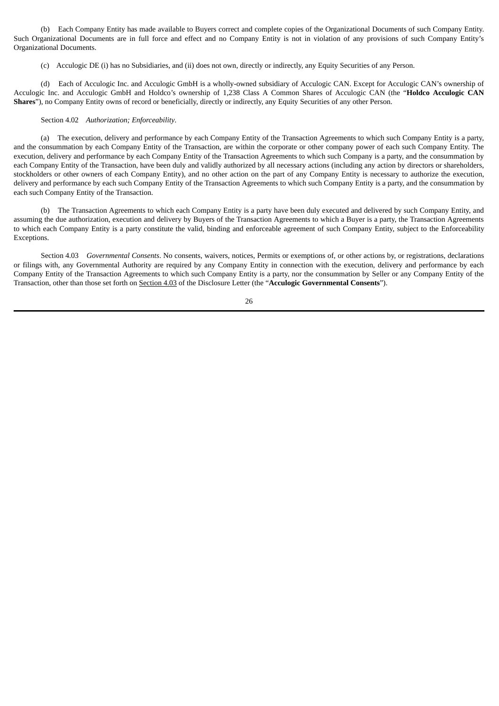(b) Each Company Entity has made available to Buyers correct and complete copies of the Organizational Documents of such Company Entity. Such Organizational Documents are in full force and effect and no Company Entity is not in violation of any provisions of such Company Entity's Organizational Documents.

(c) Acculogic DE (i) has no Subsidiaries, and (ii) does not own, directly or indirectly, any Equity Securities of any Person.

(d) Each of Acculogic Inc. and Acculogic GmbH is a wholly-owned subsidiary of Acculogic CAN. Except for Acculogic CAN's ownership of Acculogic Inc. and Acculogic GmbH and Holdco's ownership of 1,238 Class A Common Shares of Acculogic CAN (the "**Holdco Acculogic CAN Shares**"), no Company Entity owns of record or beneficially, directly or indirectly, any Equity Securities of any other Person.

## Section 4.02 *Authorization; Enforceability*.

(a) The execution, delivery and performance by each Company Entity of the Transaction Agreements to which such Company Entity is a party, and the consummation by each Company Entity of the Transaction, are within the corporate or other company power of each such Company Entity. The execution, delivery and performance by each Company Entity of the Transaction Agreements to which such Company is a party, and the consummation by each Company Entity of the Transaction, have been duly and validly authorized by all necessary actions (including any action by directors or shareholders, stockholders or other owners of each Company Entity), and no other action on the part of any Company Entity is necessary to authorize the execution, delivery and performance by each such Company Entity of the Transaction Agreements to which such Company Entity is a party, and the consummation by each such Company Entity of the Transaction.

(b) The Transaction Agreements to which each Company Entity is a party have been duly executed and delivered by such Company Entity, and assuming the due authorization, execution and delivery by Buyers of the Transaction Agreements to which a Buyer is a party, the Transaction Agreements to which each Company Entity is a party constitute the valid, binding and enforceable agreement of such Company Entity, subject to the Enforceability Exceptions.

Section 4.03 *Governmental Consents*. No consents, waivers, notices, Permits or exemptions of, or other actions by, or registrations, declarations or filings with, any Governmental Authority are required by any Company Entity in connection with the execution, delivery and performance by each Company Entity of the Transaction Agreements to which such Company Entity is a party, nor the consummation by Seller or any Company Entity of the Transaction, other than those set forth on Section 4.03 of the Disclosure Letter (the "**Acculogic Governmental Consents**").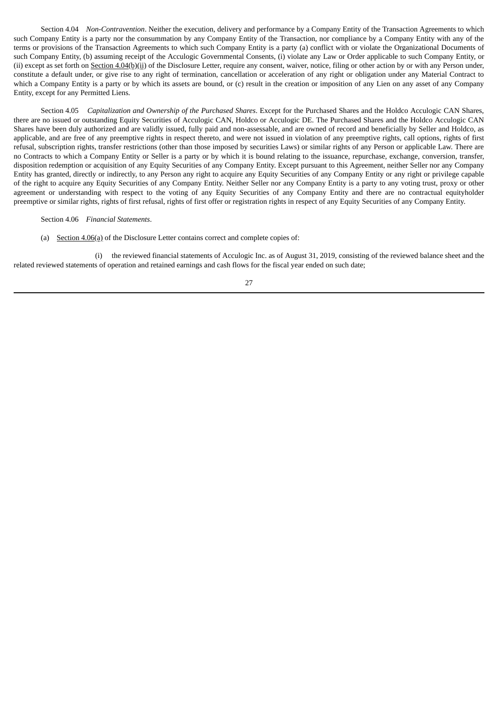Section 4.04 *Non-Contravention*. Neither the execution, delivery and performance by a Company Entity of the Transaction Agreements to which such Company Entity is a party nor the consummation by any Company Entity of the Transaction, nor compliance by a Company Entity with any of the terms or provisions of the Transaction Agreements to which such Company Entity is a party (a) conflict with or violate the Organizational Documents of such Company Entity, (b) assuming receipt of the Acculogic Governmental Consents, (i) violate any Law or Order applicable to such Company Entity, or (ii) except as set forth on  $Section 4.04(b)(ii)$  of the Disclosure Letter, require any consent, waiver, notice, filing or other action by or with any Person under,</u> constitute a default under, or give rise to any right of termination, cancellation or acceleration of any right or obligation under any Material Contract to which a Company Entity is a party or by which its assets are bound, or (c) result in the creation or imposition of any Lien on any asset of any Company Entity, except for any Permitted Liens.

Section 4.05 *Capitalization and Ownership of the Purchased Shares*. Except for the Purchased Shares and the Holdco Acculogic CAN Shares, there are no issued or outstanding Equity Securities of Acculogic CAN, Holdco or Acculogic DE. The Purchased Shares and the Holdco Acculogic CAN Shares have been duly authorized and are validly issued, fully paid and non-assessable, and are owned of record and beneficially by Seller and Holdco, as applicable, and are free of any preemptive rights in respect thereto, and were not issued in violation of any preemptive rights, call options, rights of first refusal, subscription rights, transfer restrictions (other than those imposed by securities Laws) or similar rights of any Person or applicable Law. There are no Contracts to which a Company Entity or Seller is a party or by which it is bound relating to the issuance, repurchase, exchange, conversion, transfer, disposition redemption or acquisition of any Equity Securities of any Company Entity. Except pursuant to this Agreement, neither Seller nor any Company Entity has granted, directly or indirectly, to any Person any right to acquire any Equity Securities of any Company Entity or any right or privilege capable of the right to acquire any Equity Securities of any Company Entity. Neither Seller nor any Company Entity is a party to any voting trust, proxy or other agreement or understanding with respect to the voting of any Equity Securities of any Company Entity and there are no contractual equityholder preemptive or similar rights, rights of first refusal, rights of first offer or registration rights in respect of any Equity Securities of any Company Entity.

Section 4.06 *Financial Statements*.

(a) Section 4.06(a) of the Disclosure Letter contains correct and complete copies of:

(i) the reviewed financial statements of Acculogic Inc. as of August 31, 2019, consisting of the reviewed balance sheet and the related reviewed statements of operation and retained earnings and cash flows for the fiscal year ended on such date;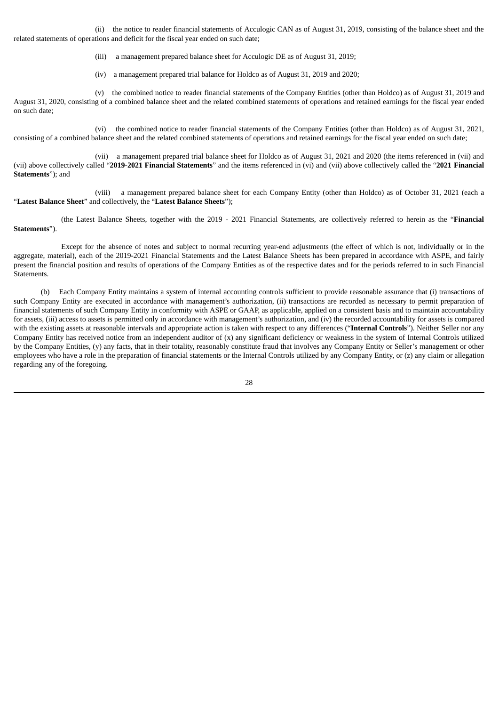(ii) the notice to reader financial statements of Acculogic CAN as of August 31, 2019, consisting of the balance sheet and the related statements of operations and deficit for the fiscal year ended on such date;

(iii) a management prepared balance sheet for Acculogic DE as of August 31, 2019;

(iv) a management prepared trial balance for Holdco as of August 31, 2019 and 2020;

(v) the combined notice to reader financial statements of the Company Entities (other than Holdco) as of August 31, 2019 and August 31, 2020, consisting of a combined balance sheet and the related combined statements of operations and retained earnings for the fiscal year ended on such date;

(vi) the combined notice to reader financial statements of the Company Entities (other than Holdco) as of August 31, 2021, consisting of a combined balance sheet and the related combined statements of operations and retained earnings for the fiscal year ended on such date;

(vii) a management prepared trial balance sheet for Holdco as of August 31, 2021 and 2020 (the items referenced in (vii) and (vii) above collectively called "**2019-2021 Financial Statements**" and the items referenced in (vi) and (vii) above collectively called the "**2021 Financial Statements**"); and

(viii) a management prepared balance sheet for each Company Entity (other than Holdco) as of October 31, 2021 (each a "**Latest Balance Sheet**" and collectively, the "**Latest Balance Sheets**");

(the Latest Balance Sheets, together with the 2019 - 2021 Financial Statements, are collectively referred to herein as the "**Financial Statements**").

Except for the absence of notes and subject to normal recurring year-end adjustments (the effect of which is not, individually or in the aggregate, material), each of the 2019-2021 Financial Statements and the Latest Balance Sheets has been prepared in accordance with ASPE, and fairly present the financial position and results of operations of the Company Entities as of the respective dates and for the periods referred to in such Financial Statements.

(b) Each Company Entity maintains a system of internal accounting controls sufficient to provide reasonable assurance that (i) transactions of such Company Entity are executed in accordance with management's authorization, (ii) transactions are recorded as necessary to permit preparation of financial statements of such Company Entity in conformity with ASPE or GAAP, as applicable, applied on a consistent basis and to maintain accountability for assets, (iii) access to assets is permitted only in accordance with management's authorization, and (iv) the recorded accountability for assets is compared with the existing assets at reasonable intervals and appropriate action is taken with respect to any differences ("**Internal Controls**"). Neither Seller nor any Company Entity has received notice from an independent auditor of (x) any significant deficiency or weakness in the system of Internal Controls utilized by the Company Entities, (y) any facts, that in their totality, reasonably constitute fraud that involves any Company Entity or Seller's management or other employees who have a role in the preparation of financial statements or the Internal Controls utilized by any Company Entity, or (z) any claim or allegation regarding any of the foregoing.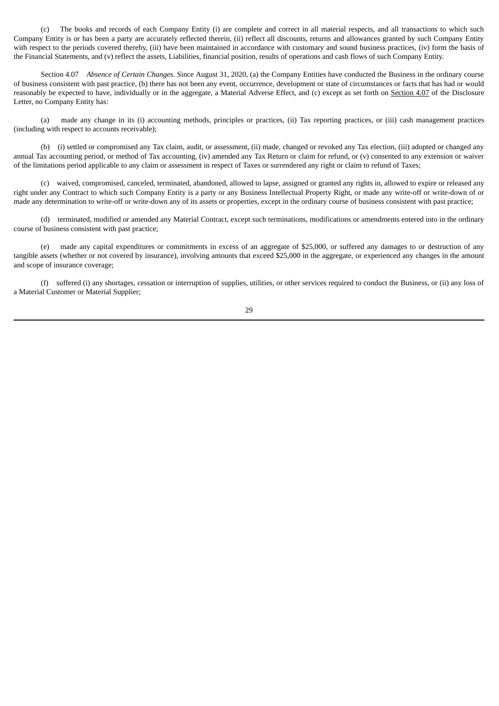(c) The books and records of each Company Entity (i) are complete and correct in all material respects, and all transactions to which such Company Entity is or has been a party are accurately reflected therein, (ii) reflect all discounts, returns and allowances granted by such Company Entity with respect to the periods covered thereby, (iii) have been maintained in accordance with customary and sound business practices, (iv) form the basis of the Financial Statements, and (v) reflect the assets, Liabilities, financial position, results of operations and cash flows of such Company Entity.

Section 4.07 *Absence of Certain Changes*. Since August 31, 2020, (a) the Company Entities have conducted the Business in the ordinary course of business consistent with past practice, (b) there has not been any event, occurrence, development or state of circumstances or facts that has had or would reasonably be expected to have, individually or in the aggregate, a Material Adverse Effect, and (c) except as set forth on Section 4.07 of the Disclosure Letter, no Company Entity has:

(a) made any change in its (i) accounting methods, principles or practices, (ii) Tax reporting practices, or (iii) cash management practices (including with respect to accounts receivable);

(b) (i) settled or compromised any Tax claim, audit, or assessment, (ii) made, changed or revoked any Tax election, (iii) adopted or changed any annual Tax accounting period, or method of Tax accounting, (iv) amended any Tax Return or claim for refund, or (v) consented to any extension or waiver of the limitations period applicable to any claim or assessment in respect of Taxes or surrendered any right or claim to refund of Taxes;

(c) waived, compromised, canceled, terminated, abandoned, allowed to lapse, assigned or granted any rights in, allowed to expire or released any right under any Contract to which such Company Entity is a party or any Business Intellectual Property Right, or made any write-off or write-down of or made any determination to write-off or write-down any of its assets or properties, except in the ordinary course of business consistent with past practice;

(d) terminated, modified or amended any Material Contract, except such terminations, modifications or amendments entered into in the ordinary course of business consistent with past practice;

(e) made any capital expenditures or commitments in excess of an aggregate of \$25,000, or suffered any damages to or destruction of any tangible assets (whether or not covered by insurance), involving amounts that exceed \$25,000 in the aggregate, or experienced any changes in the amount and scope of insurance coverage;

(f) suffered (i) any shortages, cessation or interruption of supplies, utilities, or other services required to conduct the Business, or (ii) any loss of a Material Customer or Material Supplier;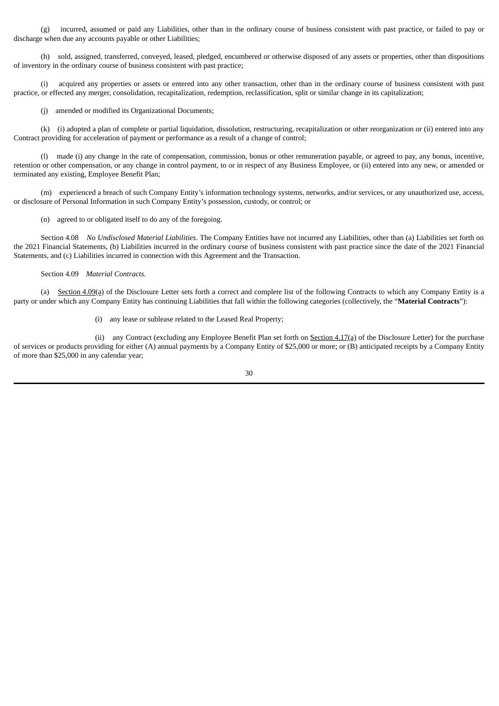(g) incurred, assumed or paid any Liabilities, other than in the ordinary course of business consistent with past practice, or failed to pay or discharge when due any accounts payable or other Liabilities;

(h) sold, assigned, transferred, conveyed, leased, pledged, encumbered or otherwise disposed of any assets or properties, other than dispositions of inventory in the ordinary course of business consistent with past practice;

(i) acquired any properties or assets or entered into any other transaction, other than in the ordinary course of business consistent with past practice, or effected any merger, consolidation, recapitalization, redemption, reclassification, split or similar change in its capitalization;

(j) amended or modified its Organizational Documents;

(k) (i) adopted a plan of complete or partial liquidation, dissolution, restructuring, recapitalization or other reorganization or (ii) entered into any Contract providing for acceleration of payment or performance as a result of a change of control;

(l) made (i) any change in the rate of compensation, commission, bonus or other remuneration payable, or agreed to pay, any bonus, incentive, retention or other compensation, or any change in control payment, to or in respect of any Business Employee, or (ii) entered into any new, or amended or terminated any existing, Employee Benefit Plan;

(m) experienced a breach of such Company Entity's information technology systems, networks, and/or services, or any unauthorized use, access, or disclosure of Personal Information in such Company Entity's possession, custody, or control; or

(n) agreed to or obligated itself to do any of the foregoing.

Section 4.08 *No Undisclosed Material Liabilities*. The Company Entities have not incurred any Liabilities, other than (a) Liabilities set forth on the 2021 Financial Statements, (b) Liabilities incurred in the ordinary course of business consistent with past practice since the date of the 2021 Financial Statements, and (c) Liabilities incurred in connection with this Agreement and the Transaction.

## Section 4.09 *Material Contracts*.

(a) Section 4.09(a) of the Disclosure Letter sets forth a correct and complete list of the following Contracts to which any Company Entity is a party or under which any Company Entity has continuing Liabilities that fall within the following categories (collectively, the "**Material Contracts**"):

(i) any lease or sublease related to the Leased Real Property;

(ii) any Contract (excluding any Employee Benefit Plan set forth on  $Section 4.17(a) of the Disclosure Letter) for the purchase$ </u> of services or products providing for either (A) annual payments by a Company Entity of \$25,000 or more; or (B) anticipated receipts by a Company Entity of more than \$25,000 in any calendar year;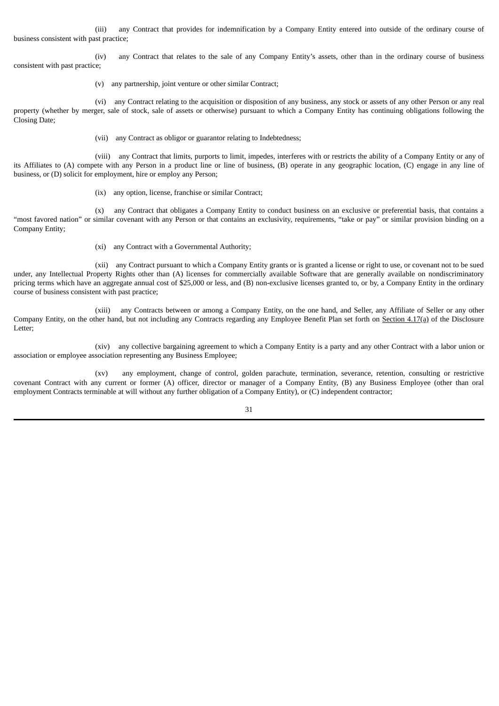(iii) any Contract that provides for indemnification by a Company Entity entered into outside of the ordinary course of business consistent with past practice;

(iv) any Contract that relates to the sale of any Company Entity's assets, other than in the ordinary course of business consistent with past practice;

(v) any partnership, joint venture or other similar Contract;

(vi) any Contract relating to the acquisition or disposition of any business, any stock or assets of any other Person or any real property (whether by merger, sale of stock, sale of assets or otherwise) pursuant to which a Company Entity has continuing obligations following the Closing Date;

(vii) any Contract as obligor or guarantor relating to Indebtedness;

(viii) any Contract that limits, purports to limit, impedes, interferes with or restricts the ability of a Company Entity or any of its Affiliates to (A) compete with any Person in a product line or line of business, (B) operate in any geographic location, (C) engage in any line of business, or (D) solicit for employment, hire or employ any Person;

(ix) any option, license, franchise or similar Contract;

(x) any Contract that obligates a Company Entity to conduct business on an exclusive or preferential basis, that contains a "most favored nation" or similar covenant with any Person or that contains an exclusivity, requirements, "take or pay" or similar provision binding on a Company Entity;

(xi) any Contract with a Governmental Authority;

(xii) any Contract pursuant to which a Company Entity grants or is granted a license or right to use, or covenant not to be sued under, any Intellectual Property Rights other than (A) licenses for commercially available Software that are generally available on nondiscriminatory pricing terms which have an aggregate annual cost of \$25,000 or less, and (B) non-exclusive licenses granted to, or by, a Company Entity in the ordinary course of business consistent with past practice;

(xiii) any Contracts between or among a Company Entity, on the one hand, and Seller, any Affiliate of Seller or any other Company Entity, on the other hand, but not including any Contracts regarding any Employee Benefit Plan set forth on Section 4.17(a) of the Disclosure Letter;

(xiv) any collective bargaining agreement to which a Company Entity is a party and any other Contract with a labor union or association or employee association representing any Business Employee;

(xv) any employment, change of control, golden parachute, termination, severance, retention, consulting or restrictive covenant Contract with any current or former (A) officer, director or manager of a Company Entity, (B) any Business Employee (other than oral employment Contracts terminable at will without any further obligation of a Company Entity), or (C) independent contractor;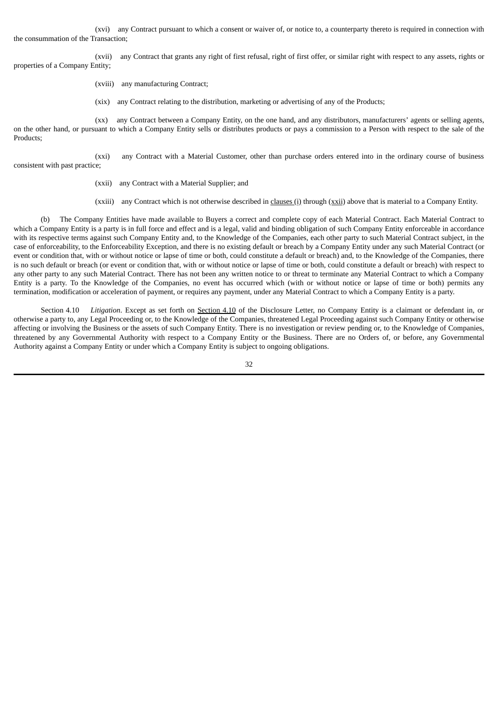(xvi) any Contract pursuant to which a consent or waiver of, or notice to, a counterparty thereto is required in connection with the consummation of the Transaction;

(xvii) any Contract that grants any right of first refusal, right of first offer, or similar right with respect to any assets, rights or properties of a Company Entity;

(xviii) any manufacturing Contract;

(xix) any Contract relating to the distribution, marketing or advertising of any of the Products;

(xx) any Contract between a Company Entity, on the one hand, and any distributors, manufacturers' agents or selling agents, on the other hand, or pursuant to which a Company Entity sells or distributes products or pays a commission to a Person with respect to the sale of the Products;

(xxi) any Contract with a Material Customer, other than purchase orders entered into in the ordinary course of business consistent with past practice;

(xxii) any Contract with a Material Supplier; and

(xxiii) any Contract which is not otherwise described in clauses (i) through (xxii) above that is material to a Company Entity.

(b) The Company Entities have made available to Buyers a correct and complete copy of each Material Contract. Each Material Contract to which a Company Entity is a party is in full force and effect and is a legal, valid and binding obligation of such Company Entity enforceable in accordance with its respective terms against such Company Entity and, to the Knowledge of the Companies, each other party to such Material Contract subject, in the case of enforceability, to the Enforceability Exception, and there is no existing default or breach by a Company Entity under any such Material Contract (or event or condition that, with or without notice or lapse of time or both, could constitute a default or breach) and, to the Knowledge of the Companies, there is no such default or breach (or event or condition that, with or without notice or lapse of time or both, could constitute a default or breach) with respect to any other party to any such Material Contract. There has not been any written notice to or threat to terminate any Material Contract to which a Company Entity is a party. To the Knowledge of the Companies, no event has occurred which (with or without notice or lapse of time or both) permits any termination, modification or acceleration of payment, or requires any payment, under any Material Contract to which a Company Entity is a party.

Section 4.10 *Litigation*. Except as set forth on Section 4.10 of the Disclosure Letter, no Company Entity is a claimant or defendant in, or otherwise a party to, any Legal Proceeding or, to the Knowledge of the Companies, threatened Legal Proceeding against such Company Entity or otherwise affecting or involving the Business or the assets of such Company Entity. There is no investigation or review pending or, to the Knowledge of Companies, threatened by any Governmental Authority with respect to a Company Entity or the Business. There are no Orders of, or before, any Governmental Authority against a Company Entity or under which a Company Entity is subject to ongoing obligations.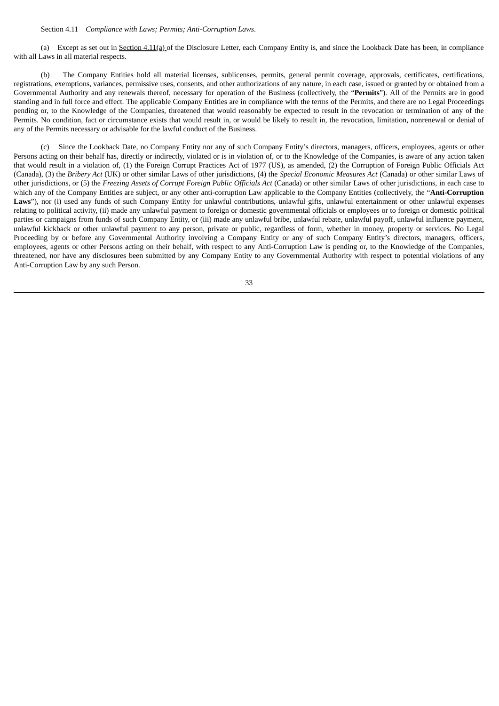#### Section 4.11 *Compliance with Laws; Permits; Anti-Corruption Laws*.

(a) Except as set out in Section 4.11(a) of the Disclosure Letter, each Company Entity is, and since the Lookback Date has been, in compliance with all Laws in all material respects.

(b) The Company Entities hold all material licenses, sublicenses, permits, general permit coverage, approvals, certificates, certifications, registrations, exemptions, variances, permissive uses, consents, and other authorizations of any nature, in each case, issued or granted by or obtained from a Governmental Authority and any renewals thereof, necessary for operation of the Business (collectively, the "**Permits**"). All of the Permits are in good standing and in full force and effect. The applicable Company Entities are in compliance with the terms of the Permits, and there are no Legal Proceedings pending or, to the Knowledge of the Companies, threatened that would reasonably be expected to result in the revocation or termination of any of the Permits. No condition, fact or circumstance exists that would result in, or would be likely to result in, the revocation, limitation, nonrenewal or denial of any of the Permits necessary or advisable for the lawful conduct of the Business.

(c) Since the Lookback Date, no Company Entity nor any of such Company Entity's directors, managers, officers, employees, agents or other Persons acting on their behalf has, directly or indirectly, violated or is in violation of, or to the Knowledge of the Companies, is aware of any action taken that would result in a violation of, (1) the Foreign Corrupt Practices Act of 1977 (US), as amended, (2) the Corruption of Foreign Public Officials Act (Canada), (3) the *Bribery Act* (UK) or other similar Laws of other jurisdictions, (4) the *Special Economic Measures Act* (Canada) or other similar Laws of other jurisdictions, or (5) the *Freezing Assets of Corrupt Foreign Public Officials Act* (Canada) or other similar Laws of other jurisdictions, in each case to which any of the Company Entities are subject, or any other anti-corruption Law applicable to the Company Entities (collectively, the "**Anti-Corruption** Laws"), nor (i) used any funds of such Company Entity for unlawful contributions, unlawful gifts, unlawful entertainment or other unlawful expenses relating to political activity, (ii) made any unlawful payment to foreign or domestic governmental officials or employees or to foreign or domestic political parties or campaigns from funds of such Company Entity, or (iii) made any unlawful bribe, unlawful rebate, unlawful payoff, unlawful influence payment, unlawful kickback or other unlawful payment to any person, private or public, regardless of form, whether in money, property or services. No Legal Proceeding by or before any Governmental Authority involving a Company Entity or any of such Company Entity's directors, managers, officers, employees, agents or other Persons acting on their behalf, with respect to any Anti-Corruption Law is pending or, to the Knowledge of the Companies, threatened, nor have any disclosures been submitted by any Company Entity to any Governmental Authority with respect to potential violations of any Anti-Corruption Law by any such Person.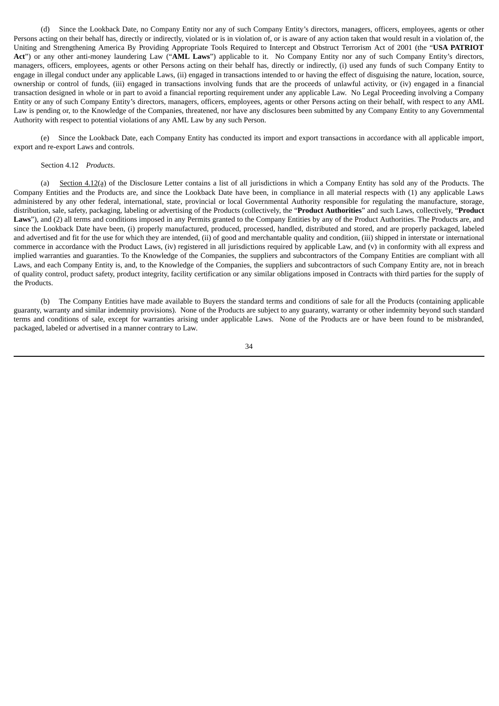(d) Since the Lookback Date, no Company Entity nor any of such Company Entity's directors, managers, officers, employees, agents or other Persons acting on their behalf has, directly or indirectly, violated or is in violation of, or is aware of any action taken that would result in a violation of, the Uniting and Strengthening America By Providing Appropriate Tools Required to Intercept and Obstruct Terrorism Act of 2001 (the "**USA PATRIOT Act**") or any other anti-money laundering Law ("**AML Laws**") applicable to it. No Company Entity nor any of such Company Entity's directors, managers, officers, employees, agents or other Persons acting on their behalf has, directly or indirectly, (i) used any funds of such Company Entity to engage in illegal conduct under any applicable Laws, (ii) engaged in transactions intended to or having the effect of disguising the nature, location, source, ownership or control of funds, (iii) engaged in transactions involving funds that are the proceeds of unlawful activity, or (iv) engaged in a financial transaction designed in whole or in part to avoid a financial reporting requirement under any applicable Law. No Legal Proceeding involving a Company Entity or any of such Company Entity's directors, managers, officers, employees, agents or other Persons acting on their behalf, with respect to any AML Law is pending or, to the Knowledge of the Companies, threatened, nor have any disclosures been submitted by any Company Entity to any Governmental Authority with respect to potential violations of any AML Law by any such Person.

(e) Since the Lookback Date, each Company Entity has conducted its import and export transactions in accordance with all applicable import, export and re-export Laws and controls.

# Section 4.12 *Products*.

(a) Section 4.12(a) of the Disclosure Letter contains a list of all jurisdictions in which a Company Entity has sold any of the Products. The Company Entities and the Products are, and since the Lookback Date have been, in compliance in all material respects with (1) any applicable Laws administered by any other federal, international, state, provincial or local Governmental Authority responsible for regulating the manufacture, storage, distribution, sale, safety, packaging, labeling or advertising of the Products (collectively, the "**Product Authorities**" and such Laws, collectively, "**Product** Laws"), and (2) all terms and conditions imposed in any Permits granted to the Company Entities by any of the Product Authorities. The Products are, and since the Lookback Date have been, (i) properly manufactured, produced, processed, handled, distributed and stored, and are properly packaged, labeled and advertised and fit for the use for which they are intended, (ii) of good and merchantable quality and condition, (iii) shipped in interstate or international commerce in accordance with the Product Laws, (iv) registered in all jurisdictions required by applicable Law, and (v) in conformity with all express and implied warranties and guaranties. To the Knowledge of the Companies, the suppliers and subcontractors of the Company Entities are compliant with all Laws, and each Company Entity is, and, to the Knowledge of the Companies, the suppliers and subcontractors of such Company Entity are, not in breach of quality control, product safety, product integrity, facility certification or any similar obligations imposed in Contracts with third parties for the supply of the Products.

(b) The Company Entities have made available to Buyers the standard terms and conditions of sale for all the Products (containing applicable guaranty, warranty and similar indemnity provisions). None of the Products are subject to any guaranty, warranty or other indemnity beyond such standard terms and conditions of sale, except for warranties arising under applicable Laws. None of the Products are or have been found to be misbranded, packaged, labeled or advertised in a manner contrary to Law.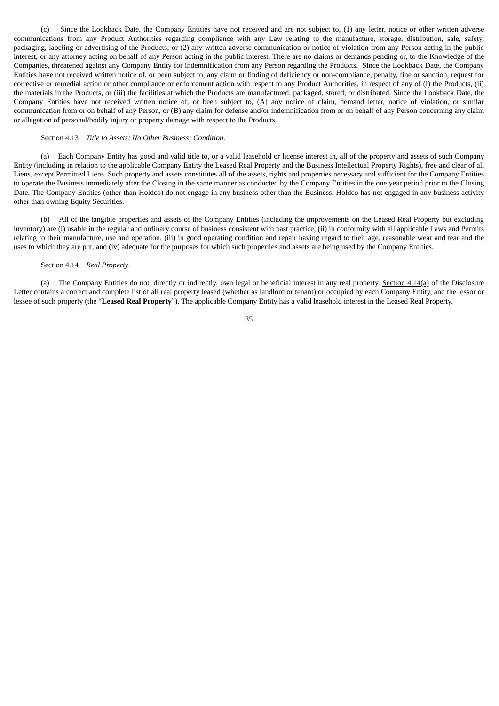(c) Since the Lookback Date, the Company Entities have not received and are not subject to, (1) any letter, notice or other written adverse communications from any Product Authorities regarding compliance with any Law relating to the manufacture, storage, distribution, sale, safety, packaging, labeling or advertising of the Products; or (2) any written adverse communication or notice of violation from any Person acting in the public interest, or any attorney acting on behalf of any Person acting in the public interest. There are no claims or demands pending or, to the Knowledge of the Companies, threatened against any Company Entity for indemnification from any Person regarding the Products. Since the Lookback Date, the Company Entities have not received written notice of, or been subject to, any claim or finding of deficiency or non-compliance, penalty, fine or sanction, request for corrective or remedial action or other compliance or enforcement action with respect to any Product Authorities, in respect of any of (i) the Products, (ii) the materials in the Products, or (iii) the facilities at which the Products are manufactured, packaged, stored, or distributed. Since the Lookback Date, the Company Entities have not received written notice of, or been subject to, (A) any notice of claim, demand letter, notice of violation, or similar communication from or on behalf of any Person, or (B) any claim for defense and/or indemnification from or on behalf of any Person concerning any claim or allegation of personal/bodily injury or property damage with respect to the Products.

#### Section 4.13 *Title to Assets; No Other Business; Condition*.

(a) Each Company Entity has good and valid title to, or a valid leasehold or license interest in, all of the property and assets of such Company Entity (including in relation to the applicable Company Entity the Leased Real Property and the Business Intellectual Property Rights), free and clear of all Liens, except Permitted Liens. Such property and assets constitutes all of the assets, rights and properties necessary and sufficient for the Company Entities to operate the Business immediately after the Closing in the same manner as conducted by the Company Entities in the one year period prior to the Closing Date. The Company Entities (other than Holdco) do not engage in any business other than the Business. Holdco has not engaged in any business activity other than owning Equity Securities.

(b) All of the tangible properties and assets of the Company Entities (including the improvements on the Leased Real Property but excluding inventory) are (i) usable in the regular and ordinary course of business consistent with past practice, (ii) in conformity with all applicable Laws and Permits relating to their manufacture, use and operation, (iii) in good operating condition and repair having regard to their age, reasonable wear and tear and the uses to which they are put, and (iv) adequate for the purposes for which such properties and assets are being used by the Company Entities.

### Section 4.14 *Real Property*.

(a) The Company Entities do not, directly or indirectly, own legal or beneficial interest in any real property. Section  $4.14(a)$  of the Disclosure Letter contains a correct and complete list of all real property leased (whether as landlord or tenant) or occupied by each Company Entity, and the lessor or lessee of such property (the "**Leased Real Property**"). The applicable Company Entity has a valid leasehold interest in the Leased Real Property.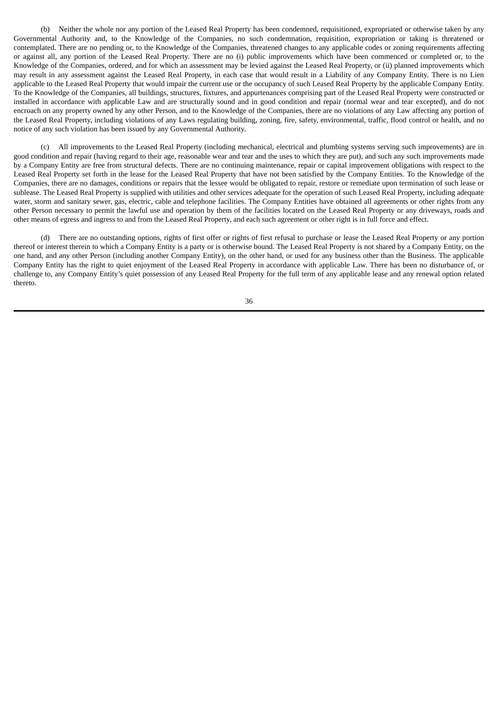(b) Neither the whole nor any portion of the Leased Real Property has been condemned, requisitioned, expropriated or otherwise taken by any Governmental Authority and, to the Knowledge of the Companies, no such condemnation, requisition, expropriation or taking is threatened or contemplated. There are no pending or, to the Knowledge of the Companies, threatened changes to any applicable codes or zoning requirements affecting or against all, any portion of the Leased Real Property. There are no (i) public improvements which have been commenced or completed or, to the Knowledge of the Companies, ordered, and for which an assessment may be levied against the Leased Real Property, or (ii) planned improvements which may result in any assessment against the Leased Real Property, in each case that would result in a Liability of any Company Entity. There is no Lien applicable to the Leased Real Property that would impair the current use or the occupancy of such Leased Real Property by the applicable Company Entity. To the Knowledge of the Companies, all buildings, structures, fixtures, and appurtenances comprising part of the Leased Real Property were constructed or installed in accordance with applicable Law and are structurally sound and in good condition and repair (normal wear and tear excepted), and do not encroach on any property owned by any other Person, and to the Knowledge of the Companies, there are no violations of any Law affecting any portion of the Leased Real Property, including violations of any Laws regulating building, zoning, fire, safety, environmental, traffic, flood control or health, and no notice of any such violation has been issued by any Governmental Authority.

(c) All improvements to the Leased Real Property (including mechanical, electrical and plumbing systems serving such improvements) are in good condition and repair (having regard to their age, reasonable wear and tear and the uses to which they are put), and such any such improvements made by a Company Entity are free from structural defects. There are no continuing maintenance, repair or capital improvement obligations with respect to the Leased Real Property set forth in the lease for the Leased Real Property that have not been satisfied by the Company Entities. To the Knowledge of the Companies, there are no damages, conditions or repairs that the lessee would be obligated to repair, restore or remediate upon termination of such lease or sublease. The Leased Real Property is supplied with utilities and other services adequate for the operation of such Leased Real Property, including adequate water, storm and sanitary sewer, gas, electric, cable and telephone facilities. The Company Entities have obtained all agreements or other rights from any other Person necessary to permit the lawful use and operation by them of the facilities located on the Leased Real Property or any driveways, roads and other means of egress and ingress to and from the Leased Real Property, and each such agreement or other right is in full force and effect.

(d) There are no outstanding options, rights of first offer or rights of first refusal to purchase or lease the Leased Real Property or any portion thereof or interest therein to which a Company Entity is a party or is otherwise bound. The Leased Real Property is not shared by a Company Entity, on the one hand, and any other Person (including another Company Entity), on the other hand, or used for any business other than the Business. The applicable Company Entity has the right to quiet enjoyment of the Leased Real Property in accordance with applicable Law. There has been no disturbance of, or challenge to, any Company Entity's quiet possession of any Leased Real Property for the full term of any applicable lease and any renewal option related thereto.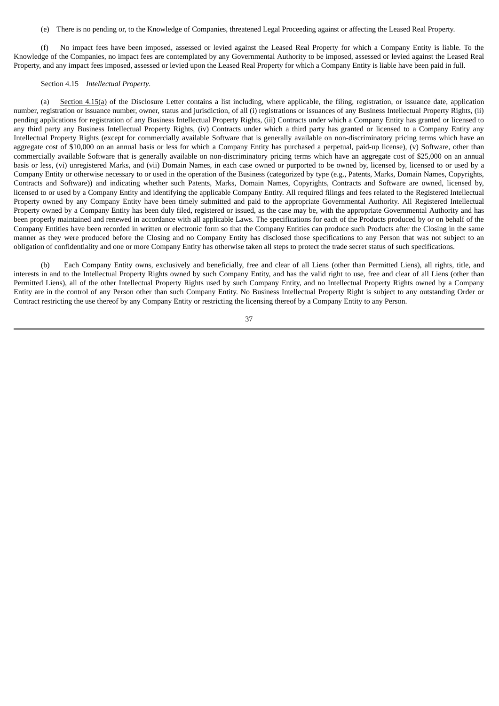(e) There is no pending or, to the Knowledge of Companies, threatened Legal Proceeding against or affecting the Leased Real Property.

(f) No impact fees have been imposed, assessed or levied against the Leased Real Property for which a Company Entity is liable. To the Knowledge of the Companies, no impact fees are contemplated by any Governmental Authority to be imposed, assessed or levied against the Leased Real Property, and any impact fees imposed, assessed or levied upon the Leased Real Property for which a Company Entity is liable have been paid in full.

### Section 4.15 *Intellectual Property*.

(a) Section  $4.15(a)$  of the Disclosure Letter contains a list including, where applicable, the filing, registration, or issuance date, application number, registration or issuance number, owner, status and jurisdiction, of all (i) registrations or issuances of any Business Intellectual Property Rights, (ii) pending applications for registration of any Business Intellectual Property Rights, (iii) Contracts under which a Company Entity has granted or licensed to any third party any Business Intellectual Property Rights, (iv) Contracts under which a third party has granted or licensed to a Company Entity any Intellectual Property Rights (except for commercially available Software that is generally available on non-discriminatory pricing terms which have an aggregate cost of \$10,000 on an annual basis or less for which a Company Entity has purchased a perpetual, paid-up license), (v) Software, other than commercially available Software that is generally available on non-discriminatory pricing terms which have an aggregate cost of \$25,000 on an annual basis or less, (vi) unregistered Marks, and (vii) Domain Names, in each case owned or purported to be owned by, licensed by, licensed to or used by a Company Entity or otherwise necessary to or used in the operation of the Business (categorized by type (e.g., Patents, Marks, Domain Names, Copyrights, Contracts and Software)) and indicating whether such Patents, Marks, Domain Names, Copyrights, Contracts and Software are owned, licensed by, licensed to or used by a Company Entity and identifying the applicable Company Entity. All required filings and fees related to the Registered Intellectual Property owned by any Company Entity have been timely submitted and paid to the appropriate Governmental Authority. All Registered Intellectual Property owned by a Company Entity has been duly filed, registered or issued, as the case may be, with the appropriate Governmental Authority and has been properly maintained and renewed in accordance with all applicable Laws. The specifications for each of the Products produced by or on behalf of the Company Entities have been recorded in written or electronic form so that the Company Entities can produce such Products after the Closing in the same manner as they were produced before the Closing and no Company Entity has disclosed those specifications to any Person that was not subject to an obligation of confidentiality and one or more Company Entity has otherwise taken all steps to protect the trade secret status of such specifications.

(b) Each Company Entity owns, exclusively and beneficially, free and clear of all Liens (other than Permitted Liens), all rights, title, and interests in and to the Intellectual Property Rights owned by such Company Entity, and has the valid right to use, free and clear of all Liens (other than Permitted Liens), all of the other Intellectual Property Rights used by such Company Entity, and no Intellectual Property Rights owned by a Company Entity are in the control of any Person other than such Company Entity. No Business Intellectual Property Right is subject to any outstanding Order or Contract restricting the use thereof by any Company Entity or restricting the licensing thereof by a Company Entity to any Person.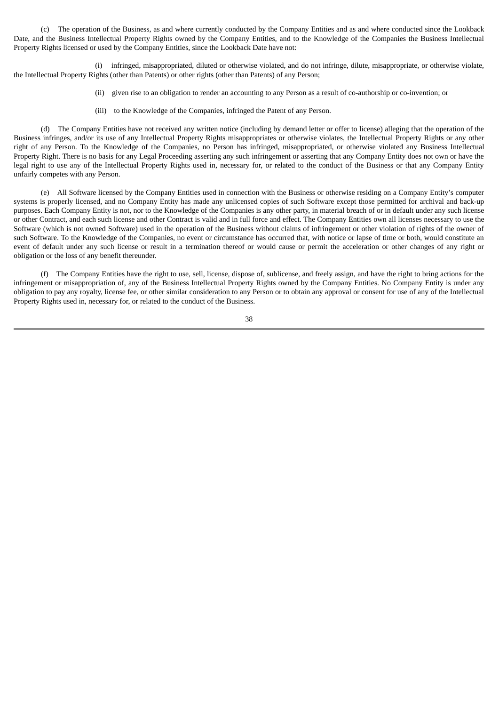(c) The operation of the Business, as and where currently conducted by the Company Entities and as and where conducted since the Lookback Date, and the Business Intellectual Property Rights owned by the Company Entities, and to the Knowledge of the Companies the Business Intellectual Property Rights licensed or used by the Company Entities, since the Lookback Date have not:

(i) infringed, misappropriated, diluted or otherwise violated, and do not infringe, dilute, misappropriate, or otherwise violate, the Intellectual Property Rights (other than Patents) or other rights (other than Patents) of any Person;

- (ii) given rise to an obligation to render an accounting to any Person as a result of co-authorship or co-invention; or
- (iii) to the Knowledge of the Companies, infringed the Patent of any Person.

(d) The Company Entities have not received any written notice (including by demand letter or offer to license) alleging that the operation of the Business infringes, and/or its use of any Intellectual Property Rights misappropriates or otherwise violates, the Intellectual Property Rights or any other right of any Person. To the Knowledge of the Companies, no Person has infringed, misappropriated, or otherwise violated any Business Intellectual Property Right. There is no basis for any Legal Proceeding asserting any such infringement or asserting that any Company Entity does not own or have the legal right to use any of the Intellectual Property Rights used in, necessary for, or related to the conduct of the Business or that any Company Entity unfairly competes with any Person.

(e) All Software licensed by the Company Entities used in connection with the Business or otherwise residing on a Company Entity's computer systems is properly licensed, and no Company Entity has made any unlicensed copies of such Software except those permitted for archival and back-up purposes. Each Company Entity is not, nor to the Knowledge of the Companies is any other party, in material breach of or in default under any such license or other Contract, and each such license and other Contract is valid and in full force and effect. The Company Entities own all licenses necessary to use the Software (which is not owned Software) used in the operation of the Business without claims of infringement or other violation of rights of the owner of such Software. To the Knowledge of the Companies, no event or circumstance has occurred that, with notice or lapse of time or both, would constitute an event of default under any such license or result in a termination thereof or would cause or permit the acceleration or other changes of any right or obligation or the loss of any benefit thereunder.

(f) The Company Entities have the right to use, sell, license, dispose of, sublicense, and freely assign, and have the right to bring actions for the infringement or misappropriation of, any of the Business Intellectual Property Rights owned by the Company Entities. No Company Entity is under any obligation to pay any royalty, license fee, or other similar consideration to any Person or to obtain any approval or consent for use of any of the Intellectual Property Rights used in, necessary for, or related to the conduct of the Business.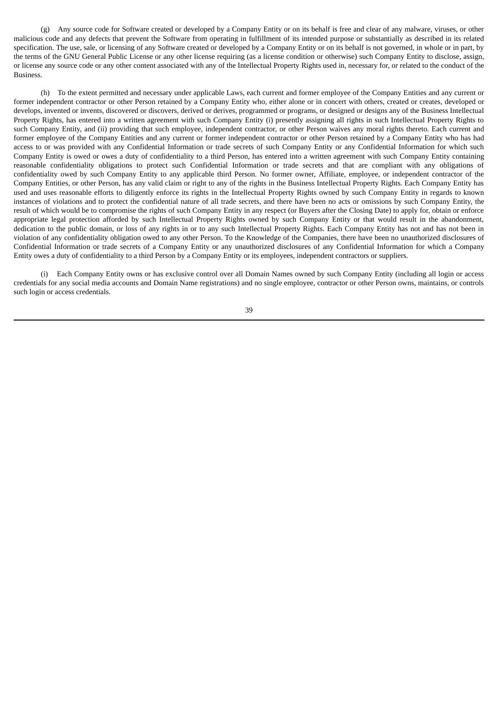(g) Any source code for Software created or developed by a Company Entity or on its behalf is free and clear of any malware, viruses, or other malicious code and any defects that prevent the Software from operating in fulfillment of its intended purpose or substantially as described in its related specification. The use, sale, or licensing of any Software created or developed by a Company Entity or on its behalf is not governed, in whole or in part, by the terms of the GNU General Public License or any other license requiring (as a license condition or otherwise) such Company Entity to disclose, assign, or license any source code or any other content associated with any of the Intellectual Property Rights used in, necessary for, or related to the conduct of the Business.

(h) To the extent permitted and necessary under applicable Laws, each current and former employee of the Company Entities and any current or former independent contractor or other Person retained by a Company Entity who, either alone or in concert with others, created or creates, developed or develops, invented or invents, discovered or discovers, derived or derives, programmed or programs, or designed or designs any of the Business Intellectual Property Rights, has entered into a written agreement with such Company Entity (i) presently assigning all rights in such Intellectual Property Rights to such Company Entity, and (ii) providing that such employee, independent contractor, or other Person waives any moral rights thereto. Each current and former employee of the Company Entities and any current or former independent contractor or other Person retained by a Company Entity who has had access to or was provided with any Confidential Information or trade secrets of such Company Entity or any Confidential Information for which such Company Entity is owed or owes a duty of confidentiality to a third Person, has entered into a written agreement with such Company Entity containing reasonable confidentiality obligations to protect such Confidential Information or trade secrets and that are compliant with any obligations of confidentiality owed by such Company Entity to any applicable third Person. No former owner, Affiliate, employee, or independent contractor of the Company Entities, or other Person, has any valid claim or right to any of the rights in the Business Intellectual Property Rights. Each Company Entity has used and uses reasonable efforts to diligently enforce its rights in the Intellectual Property Rights owned by such Company Entity in regards to known instances of violations and to protect the confidential nature of all trade secrets, and there have been no acts or omissions by such Company Entity, the result of which would be to compromise the rights of such Company Entity in any respect (or Buyers after the Closing Date) to apply for, obtain or enforce appropriate legal protection afforded by such Intellectual Property Rights owned by such Company Entity or that would result in the abandonment, dedication to the public domain, or loss of any rights in or to any such Intellectual Property Rights. Each Company Entity has not and has not been in violation of any confidentiality obligation owed to any other Person. To the Knowledge of the Companies, there have been no unauthorized disclosures of Confidential Information or trade secrets of a Company Entity or any unauthorized disclosures of any Confidential Information for which a Company Entity owes a duty of confidentiality to a third Person by a Company Entity or its employees, independent contractors or suppliers.

(i) Each Company Entity owns or has exclusive control over all Domain Names owned by such Company Entity (including all login or access credentials for any social media accounts and Domain Name registrations) and no single employee, contractor or other Person owns, maintains, or controls such login or access credentials.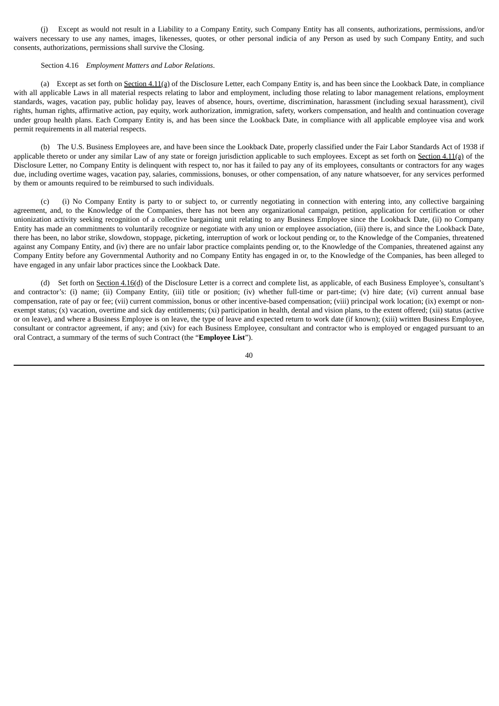(j) Except as would not result in a Liability to a Company Entity, such Company Entity has all consents, authorizations, permissions, and/or waivers necessary to use any names, images, likenesses, quotes, or other personal indicia of any Person as used by such Company Entity, and such consents, authorizations, permissions shall survive the Closing.

#### Section 4.16 *Employment Matters and Labor Relations*.

(a) Except as set forth on Section 4.11(a) of the Disclosure Letter, each Company Entity is, and has been since the Lookback Date, in compliance with all applicable Laws in all material respects relating to labor and employment, including those relating to labor management relations, employment standards, wages, vacation pay, public holiday pay, leaves of absence, hours, overtime, discrimination, harassment (including sexual harassment), civil rights, human rights, affirmative action, pay equity, work authorization, immigration, safety, workers compensation, and health and continuation coverage under group health plans. Each Company Entity is, and has been since the Lookback Date, in compliance with all applicable employee visa and work permit requirements in all material respects.

(b) The U.S. Business Employees are, and have been since the Lookback Date, properly classified under the Fair Labor Standards Act of 1938 if applicable thereto or under any similar Law of any state or foreign jurisdiction applicable to such employees. Except as set forth on Section 4.11(a) of the Disclosure Letter, no Company Entity is delinquent with respect to, nor has it failed to pay any of its employees, consultants or contractors for any wages due, including overtime wages, vacation pay, salaries, commissions, bonuses, or other compensation, of any nature whatsoever, for any services performed by them or amounts required to be reimbursed to such individuals.

(c) (i) No Company Entity is party to or subject to, or currently negotiating in connection with entering into, any collective bargaining agreement, and, to the Knowledge of the Companies, there has not been any organizational campaign, petition, application for certification or other unionization activity seeking recognition of a collective bargaining unit relating to any Business Employee since the Lookback Date, (ii) no Company Entity has made an commitments to voluntarily recognize or negotiate with any union or employee association, (iii) there is, and since the Lookback Date, there has been, no labor strike, slowdown, stoppage, picketing, interruption of work or lockout pending or, to the Knowledge of the Companies, threatened against any Company Entity, and (iv) there are no unfair labor practice complaints pending or, to the Knowledge of the Companies, threatened against any Company Entity before any Governmental Authority and no Company Entity has engaged in or, to the Knowledge of the Companies, has been alleged to have engaged in any unfair labor practices since the Lookback Date.

(d) Set forth on Section 4.16(d) of the Disclosure Letter is a correct and complete list, as applicable, of each Business Employee's, consultant's and contractor's: (i) name; (ii) Company Entity, (iii) title or position; (iv) whether full-time or part-time; (v) hire date; (vi) current annual base compensation, rate of pay or fee; (vii) current commission, bonus or other incentive-based compensation; (viii) principal work location; (ix) exempt or nonexempt status; (x) vacation, overtime and sick day entitlements; (xi) participation in health, dental and vision plans, to the extent offered; (xii) status (active or on leave), and where a Business Employee is on leave, the type of leave and expected return to work date (if known); (xiii) written Business Employee, consultant or contractor agreement, if any; and (xiv) for each Business Employee, consultant and contractor who is employed or engaged pursuant to an oral Contract, a summary of the terms of such Contract (the "**Employee List**").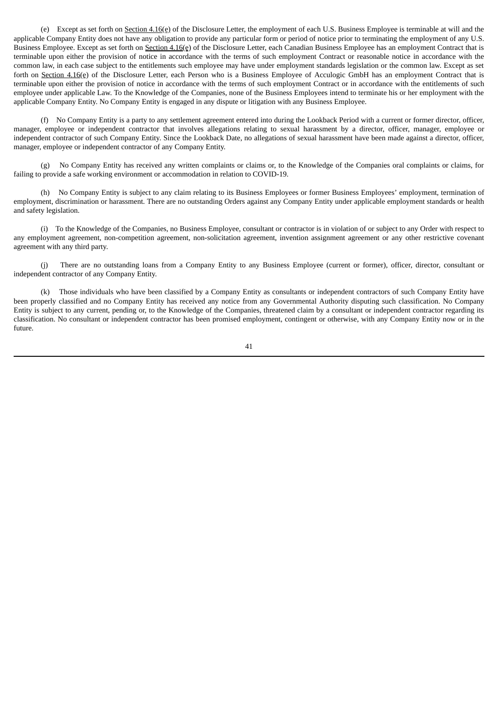(e) Except as set forth on Section 4.16(e) of the Disclosure Letter, the employment of each U.S. Business Employee is terminable at will and the applicable Company Entity does not have any obligation to provide any particular form or period of notice prior to terminating the employment of any U.S. Business Employee. Except as set forth on Section 4.16(e) of the Disclosure Letter, each Canadian Business Employee has an employment Contract that is terminable upon either the provision of notice in accordance with the terms of such employment Contract or reasonable notice in accordance with the common law, in each case subject to the entitlements such employee may have under employment standards legislation or the common law. Except as set forth on Section 4.16(e) of the Disclosure Letter, each Person who is a Business Employee of Acculogic GmbH has an employment Contract that is terminable upon either the provision of notice in accordance with the terms of such employment Contract or in accordance with the entitlements of such employee under applicable Law. To the Knowledge of the Companies, none of the Business Employees intend to terminate his or her employment with the applicable Company Entity. No Company Entity is engaged in any dispute or litigation with any Business Employee.

(f) No Company Entity is a party to any settlement agreement entered into during the Lookback Period with a current or former director, officer, manager, employee or independent contractor that involves allegations relating to sexual harassment by a director, officer, manager, employee or independent contractor of such Company Entity. Since the Lookback Date, no allegations of sexual harassment have been made against a director, officer, manager, employee or independent contractor of any Company Entity.

(g) No Company Entity has received any written complaints or claims or, to the Knowledge of the Companies oral complaints or claims, for failing to provide a safe working environment or accommodation in relation to COVID-19.

(h) No Company Entity is subject to any claim relating to its Business Employees or former Business Employees' employment, termination of employment, discrimination or harassment. There are no outstanding Orders against any Company Entity under applicable employment standards or health and safety legislation.

(i) To the Knowledge of the Companies, no Business Employee, consultant or contractor is in violation of or subject to any Order with respect to any employment agreement, non-competition agreement, non-solicitation agreement, invention assignment agreement or any other restrictive covenant agreement with any third party.

(j) There are no outstanding loans from a Company Entity to any Business Employee (current or former), officer, director, consultant or independent contractor of any Company Entity.

(k) Those individuals who have been classified by a Company Entity as consultants or independent contractors of such Company Entity have been properly classified and no Company Entity has received any notice from any Governmental Authority disputing such classification. No Company Entity is subject to any current, pending or, to the Knowledge of the Companies, threatened claim by a consultant or independent contractor regarding its classification. No consultant or independent contractor has been promised employment, contingent or otherwise, with any Company Entity now or in the future.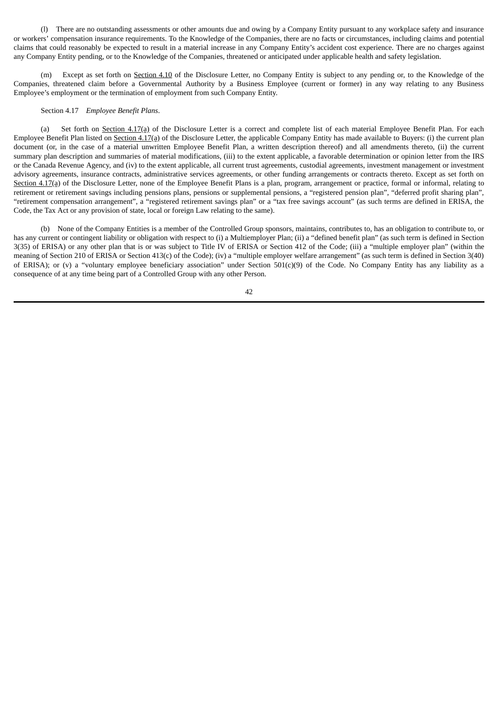(l) There are no outstanding assessments or other amounts due and owing by a Company Entity pursuant to any workplace safety and insurance or workers' compensation insurance requirements. To the Knowledge of the Companies, there are no facts or circumstances, including claims and potential claims that could reasonably be expected to result in a material increase in any Company Entity's accident cost experience. There are no charges against any Company Entity pending, or to the Knowledge of the Companies, threatened or anticipated under applicable health and safety legislation.

Except as set forth on Section 4.10 of the Disclosure Letter, no Company Entity is subject to any pending or, to the Knowledge of the Companies, threatened claim before a Governmental Authority by a Business Employee (current or former) in any way relating to any Business Employee's employment or the termination of employment from such Company Entity.

## Section 4.17 *Employee Benefit Plans*.

(a) Set forth on Section 4.17(a) of the Disclosure Letter is a correct and complete list of each material Employee Benefit Plan. For each Employee Benefit Plan listed on Section  $4.17(a)$  of the Disclosure Letter, the applicable Company Entity has made available to Buyers: (i) the current plan document (or, in the case of a material unwritten Employee Benefit Plan, a written description thereof) and all amendments thereto, (ii) the current summary plan description and summaries of material modifications, (iii) to the extent applicable, a favorable determination or opinion letter from the IRS or the Canada Revenue Agency, and (iv) to the extent applicable, all current trust agreements, custodial agreements, investment management or investment advisory agreements, insurance contracts, administrative services agreements, or other funding arrangements or contracts thereto. Except as set forth on Section 4.17(a) of the Disclosure Letter, none of the Employee Benefit Plans is a plan, program, arrangement or practice, formal or informal, relating to retirement or retirement savings including pensions plans, pensions or supplemental pensions, a "registered pension plan", "deferred profit sharing plan", "retirement compensation arrangement", a "registered retirement savings plan" or a "tax free savings account" (as such terms are defined in ERISA, the Code, the Tax Act or any provision of state, local or foreign Law relating to the same).

(b) None of the Company Entities is a member of the Controlled Group sponsors, maintains, contributes to, has an obligation to contribute to, or has any current or contingent liability or obligation with respect to (i) a Multiemployer Plan; (ii) a "defined benefit plan" (as such term is defined in Section 3(35) of ERISA) or any other plan that is or was subject to Title IV of ERISA or Section 412 of the Code; (iii) a "multiple employer plan" (within the meaning of Section 210 of ERISA or Section 413(c) of the Code); (iv) a "multiple employer welfare arrangement" (as such term is defined in Section 3(40) of ERISA); or (v) a "voluntary employee beneficiary association" under Section 501(c)(9) of the Code. No Company Entity has any liability as a consequence of at any time being part of a Controlled Group with any other Person.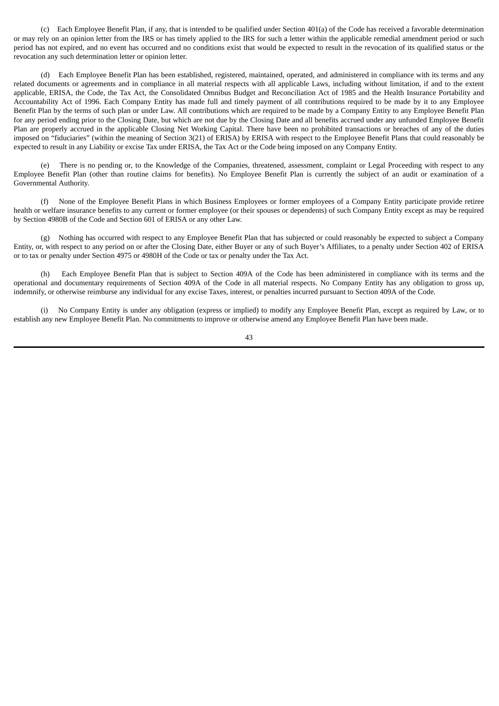(c) Each Employee Benefit Plan, if any, that is intended to be qualified under Section 401(a) of the Code has received a favorable determination or may rely on an opinion letter from the IRS or has timely applied to the IRS for such a letter within the applicable remedial amendment period or such period has not expired, and no event has occurred and no conditions exist that would be expected to result in the revocation of its qualified status or the revocation any such determination letter or opinion letter.

(d) Each Employee Benefit Plan has been established, registered, maintained, operated, and administered in compliance with its terms and any related documents or agreements and in compliance in all material respects with all applicable Laws, including without limitation, if and to the extent applicable, ERISA, the Code, the Tax Act, the Consolidated Omnibus Budget and Reconciliation Act of 1985 and the Health Insurance Portability and Accountability Act of 1996. Each Company Entity has made full and timely payment of all contributions required to be made by it to any Employee Benefit Plan by the terms of such plan or under Law. All contributions which are required to be made by a Company Entity to any Employee Benefit Plan for any period ending prior to the Closing Date, but which are not due by the Closing Date and all benefits accrued under any unfunded Employee Benefit Plan are properly accrued in the applicable Closing Net Working Capital. There have been no prohibited transactions or breaches of any of the duties imposed on "fiduciaries" (within the meaning of Section 3(21) of ERISA) by ERISA with respect to the Employee Benefit Plans that could reasonably be expected to result in any Liability or excise Tax under ERISA, the Tax Act or the Code being imposed on any Company Entity.

(e) There is no pending or, to the Knowledge of the Companies, threatened, assessment, complaint or Legal Proceeding with respect to any Employee Benefit Plan (other than routine claims for benefits). No Employee Benefit Plan is currently the subject of an audit or examination of a Governmental Authority.

(f) None of the Employee Benefit Plans in which Business Employees or former employees of a Company Entity participate provide retiree health or welfare insurance benefits to any current or former employee (or their spouses or dependents) of such Company Entity except as may be required by Section 4980B of the Code and Section 601 of ERISA or any other Law.

(g) Nothing has occurred with respect to any Employee Benefit Plan that has subjected or could reasonably be expected to subject a Company Entity, or, with respect to any period on or after the Closing Date, either Buyer or any of such Buyer's Affiliates, to a penalty under Section 402 of ERISA or to tax or penalty under Section 4975 or 4980H of the Code or tax or penalty under the Tax Act.

(h) Each Employee Benefit Plan that is subject to Section 409A of the Code has been administered in compliance with its terms and the operational and documentary requirements of Section 409A of the Code in all material respects. No Company Entity has any obligation to gross up, indemnify, or otherwise reimburse any individual for any excise Taxes, interest, or penalties incurred pursuant to Section 409A of the Code.

(i) No Company Entity is under any obligation (express or implied) to modify any Employee Benefit Plan, except as required by Law, or to establish any new Employee Benefit Plan. No commitments to improve or otherwise amend any Employee Benefit Plan have been made.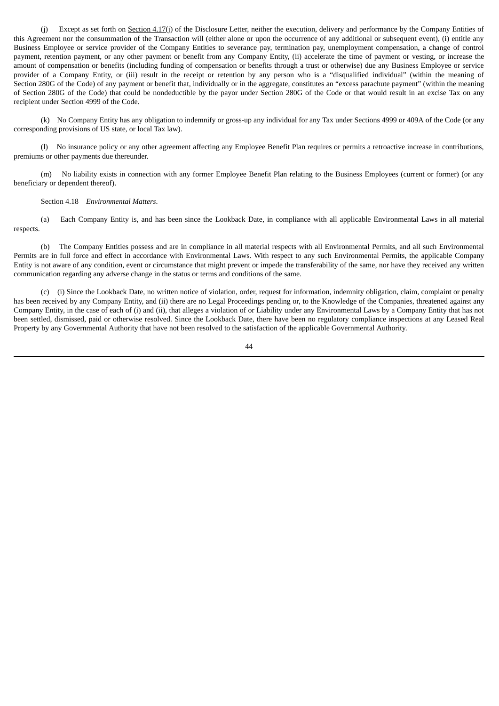(j) Except as set forth on Section 4.17(j) of the Disclosure Letter, neither the execution, delivery and performance by the Company Entities of this Agreement nor the consummation of the Transaction will (either alone or upon the occurrence of any additional or subsequent event), (i) entitle any Business Employee or service provider of the Company Entities to severance pay, termination pay, unemployment compensation, a change of control payment, retention payment, or any other payment or benefit from any Company Entity, (ii) accelerate the time of payment or vesting, or increase the amount of compensation or benefits (including funding of compensation or benefits through a trust or otherwise) due any Business Employee or service provider of a Company Entity, or (iii) result in the receipt or retention by any person who is a "disqualified individual" (within the meaning of Section 280G of the Code) of any payment or benefit that, individually or in the aggregate, constitutes an "excess parachute payment" (within the meaning of Section 280G of the Code) that could be nondeductible by the payor under Section 280G of the Code or that would result in an excise Tax on any recipient under Section 4999 of the Code.

(k) No Company Entity has any obligation to indemnify or gross-up any individual for any Tax under Sections 4999 or 409A of the Code (or any corresponding provisions of US state, or local Tax law).

(l) No insurance policy or any other agreement affecting any Employee Benefit Plan requires or permits a retroactive increase in contributions, premiums or other payments due thereunder.

(m) No liability exists in connection with any former Employee Benefit Plan relating to the Business Employees (current or former) (or any beneficiary or dependent thereof).

# Section 4.18 *Environmental Matters*.

(a) Each Company Entity is, and has been since the Lookback Date, in compliance with all applicable Environmental Laws in all material respects.

(b) The Company Entities possess and are in compliance in all material respects with all Environmental Permits, and all such Environmental Permits are in full force and effect in accordance with Environmental Laws. With respect to any such Environmental Permits, the applicable Company Entity is not aware of any condition, event or circumstance that might prevent or impede the transferability of the same, nor have they received any written communication regarding any adverse change in the status or terms and conditions of the same.

(c) (i) Since the Lookback Date, no written notice of violation, order, request for information, indemnity obligation, claim, complaint or penalty has been received by any Company Entity, and (ii) there are no Legal Proceedings pending or, to the Knowledge of the Companies, threatened against any Company Entity, in the case of each of (i) and (ii), that alleges a violation of or Liability under any Environmental Laws by a Company Entity that has not been settled, dismissed, paid or otherwise resolved. Since the Lookback Date, there have been no regulatory compliance inspections at any Leased Real Property by any Governmental Authority that have not been resolved to the satisfaction of the applicable Governmental Authority.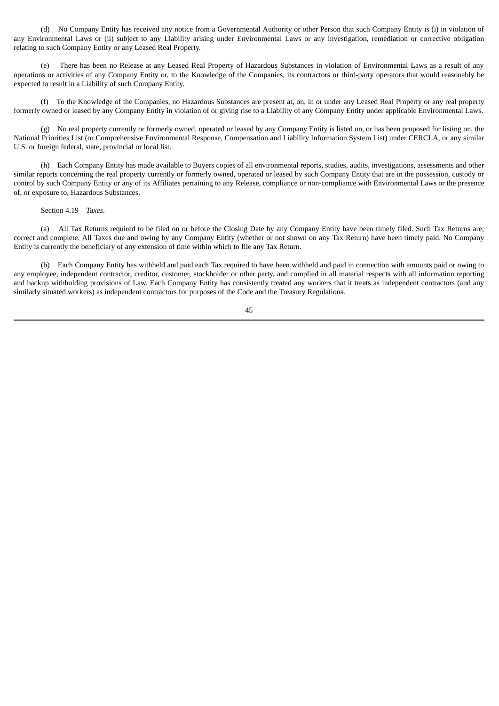(d) No Company Entity has received any notice from a Governmental Authority or other Person that such Company Entity is (i) in violation of any Environmental Laws or (ii) subject to any Liability arising under Environmental Laws or any investigation, remediation or corrective obligation relating to such Company Entity or any Leased Real Property.

There has been no Release at any Leased Real Property of Hazardous Substances in violation of Environmental Laws as a result of any operations or activities of any Company Entity or, to the Knowledge of the Companies, its contractors or third-party operators that would reasonably be expected to result in a Liability of such Company Entity.

(f) To the Knowledge of the Companies, no Hazardous Substances are present at, on, in or under any Leased Real Property or any real property formerly owned or leased by any Company Entity in violation of or giving rise to a Liability of any Company Entity under applicable Environmental Laws.

(g) No real property currently or formerly owned, operated or leased by any Company Entity is listed on, or has been proposed for listing on, the National Priorities List (or Comprehensive Environmental Response, Compensation and Liability Information System List) under CERCLA, or any similar U.S. or foreign federal, state, provincial or local list.

(h) Each Company Entity has made available to Buyers copies of all environmental reports, studies, audits, investigations, assessments and other similar reports concerning the real property currently or formerly owned, operated or leased by such Company Entity that are in the possession, custody or control by such Company Entity or any of its Affiliates pertaining to any Release, compliance or non-compliance with Environmental Laws or the presence of, or exposure to, Hazardous Substances.

Section 4.19 *Taxes*.

(a) All Tax Returns required to be filed on or before the Closing Date by any Company Entity have been timely filed. Such Tax Returns are, correct and complete. All Taxes due and owing by any Company Entity (whether or not shown on any Tax Return) have been timely paid. No Company Entity is currently the beneficiary of any extension of time within which to file any Tax Return.

(b) Each Company Entity has withheld and paid each Tax required to have been withheld and paid in connection with amounts paid or owing to any employee, independent contractor, creditor, customer, stockholder or other party, and complied in all material respects with all information reporting and backup withholding provisions of Law. Each Company Entity has consistently treated any workers that it treats as independent contractors (and any similarly situated workers) as independent contractors for purposes of the Code and the Treasury Regulations.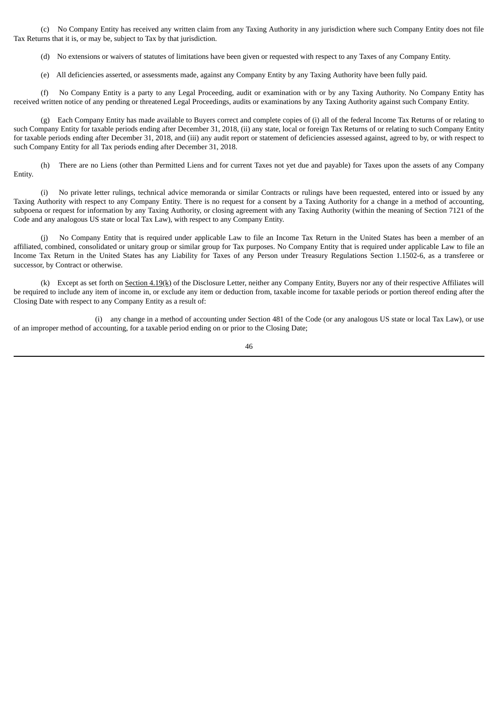(c) No Company Entity has received any written claim from any Taxing Authority in any jurisdiction where such Company Entity does not file Tax Returns that it is, or may be, subject to Tax by that jurisdiction.

(d) No extensions or waivers of statutes of limitations have been given or requested with respect to any Taxes of any Company Entity.

(e) All deficiencies asserted, or assessments made, against any Company Entity by any Taxing Authority have been fully paid.

(f) No Company Entity is a party to any Legal Proceeding, audit or examination with or by any Taxing Authority. No Company Entity has received written notice of any pending or threatened Legal Proceedings, audits or examinations by any Taxing Authority against such Company Entity.

(g) Each Company Entity has made available to Buyers correct and complete copies of (i) all of the federal Income Tax Returns of or relating to such Company Entity for taxable periods ending after December 31, 2018, (ii) any state, local or foreign Tax Returns of or relating to such Company Entity for taxable periods ending after December 31, 2018, and (iii) any audit report or statement of deficiencies assessed against, agreed to by, or with respect to such Company Entity for all Tax periods ending after December 31, 2018.

(h) There are no Liens (other than Permitted Liens and for current Taxes not yet due and payable) for Taxes upon the assets of any Company Entity.

(i) No private letter rulings, technical advice memoranda or similar Contracts or rulings have been requested, entered into or issued by any Taxing Authority with respect to any Company Entity. There is no request for a consent by a Taxing Authority for a change in a method of accounting, subpoena or request for information by any Taxing Authority, or closing agreement with any Taxing Authority (within the meaning of Section 7121 of the Code and any analogous US state or local Tax Law), with respect to any Company Entity.

(j) No Company Entity that is required under applicable Law to file an Income Tax Return in the United States has been a member of an affiliated, combined, consolidated or unitary group or similar group for Tax purposes. No Company Entity that is required under applicable Law to file an Income Tax Return in the United States has any Liability for Taxes of any Person under Treasury Regulations Section 1.1502-6, as a transferee or successor, by Contract or otherwise.

(k) Except as set forth on Section 4.19(k) of the Disclosure Letter, neither any Company Entity, Buyers nor any of their respective Affiliates will be required to include any item of income in, or exclude any item or deduction from, taxable income for taxable periods or portion thereof ending after the Closing Date with respect to any Company Entity as a result of:

(i) any change in a method of accounting under Section 481 of the Code (or any analogous US state or local Tax Law), or use of an improper method of accounting, for a taxable period ending on or prior to the Closing Date;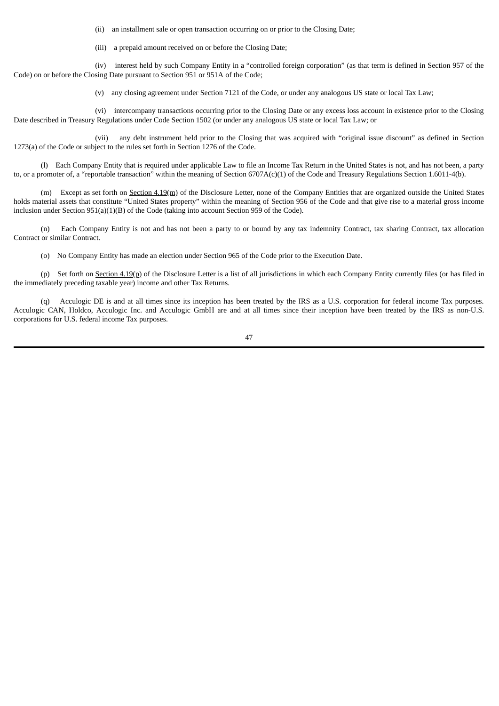(ii) an installment sale or open transaction occurring on or prior to the Closing Date;

(iii) a prepaid amount received on or before the Closing Date;

(iv) interest held by such Company Entity in a "controlled foreign corporation" (as that term is defined in Section 957 of the Code) on or before the Closing Date pursuant to Section 951 or 951A of the Code;

(v) any closing agreement under Section 7121 of the Code, or under any analogous US state or local Tax Law;

(vi) intercompany transactions occurring prior to the Closing Date or any excess loss account in existence prior to the Closing Date described in Treasury Regulations under Code Section 1502 (or under any analogous US state or local Tax Law; or

(vii) any debt instrument held prior to the Closing that was acquired with "original issue discount" as defined in Section 1273(a) of the Code or subject to the rules set forth in Section 1276 of the Code.

(l) Each Company Entity that is required under applicable Law to file an Income Tax Return in the United States is not, and has not been, a party to, or a promoter of, a "reportable transaction" within the meaning of Section 6707A(c)(1) of the Code and Treasury Regulations Section 1.6011-4(b).

(m) Except as set forth on Section 4.19(m) of the Disclosure Letter, none of the Company Entities that are organized outside the United States holds material assets that constitute "United States property" within the meaning of Section 956 of the Code and that give rise to a material gross income inclusion under Section 951(a)(1)(B) of the Code (taking into account Section 959 of the Code).

(n) Each Company Entity is not and has not been a party to or bound by any tax indemnity Contract, tax sharing Contract, tax allocation Contract or similar Contract.

(o) No Company Entity has made an election under Section 965 of the Code prior to the Execution Date.

(p) Set forth on  $S$ ection  $4.19$ (p) of the Disclosure Letter is a list of all jurisdictions in which each Company Entity currently files (or has filed in the immediately preceding taxable year) income and other Tax Returns.

(q) Acculogic DE is and at all times since its inception has been treated by the IRS as a U.S. corporation for federal income Tax purposes. Acculogic CAN, Holdco, Acculogic Inc. and Acculogic GmbH are and at all times since their inception have been treated by the IRS as non-U.S. corporations for U.S. federal income Tax purposes.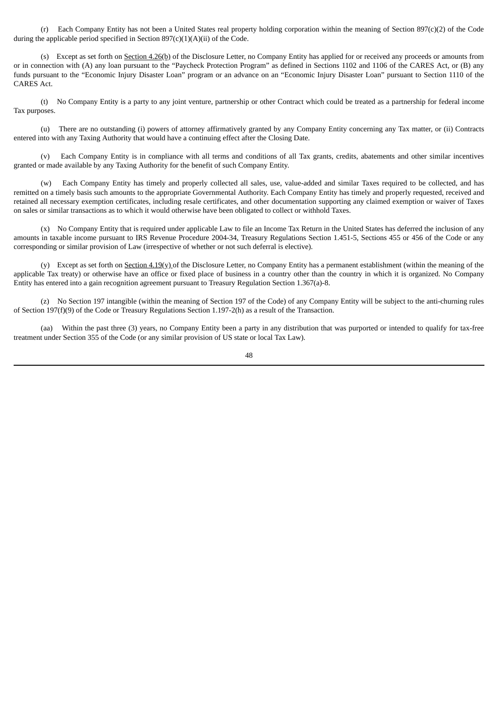(r) Each Company Entity has not been a United States real property holding corporation within the meaning of Section 897(c)(2) of the Code during the applicable period specified in Section  $897(c)(1)(A)(ii)$  of the Code.

(s) Except as set forth on Section 4.26(b) of the Disclosure Letter, no Company Entity has applied for or received any proceeds or amounts from or in connection with (A) any loan pursuant to the "Paycheck Protection Program" as defined in Sections 1102 and 1106 of the CARES Act, or (B) any funds pursuant to the "Economic Injury Disaster Loan" program or an advance on an "Economic Injury Disaster Loan" pursuant to Section 1110 of the CARES Act.

(t) No Company Entity is a party to any joint venture, partnership or other Contract which could be treated as a partnership for federal income Tax purposes.

(u) There are no outstanding (i) powers of attorney affirmatively granted by any Company Entity concerning any Tax matter, or (ii) Contracts entered into with any Taxing Authority that would have a continuing effect after the Closing Date.

(v) Each Company Entity is in compliance with all terms and conditions of all Tax grants, credits, abatements and other similar incentives granted or made available by any Taxing Authority for the benefit of such Company Entity.

(w) Each Company Entity has timely and properly collected all sales, use, value-added and similar Taxes required to be collected, and has remitted on a timely basis such amounts to the appropriate Governmental Authority. Each Company Entity has timely and properly requested, received and retained all necessary exemption certificates, including resale certificates, and other documentation supporting any claimed exemption or waiver of Taxes on sales or similar transactions as to which it would otherwise have been obligated to collect or withhold Taxes.

(x) No Company Entity that is required under applicable Law to file an Income Tax Return in the United States has deferred the inclusion of any amounts in taxable income pursuant to IRS Revenue Procedure 2004-34, Treasury Regulations Section 1.451-5, Sections 455 or 456 of the Code or any corresponding or similar provision of Law (irrespective of whether or not such deferral is elective).

(y) Except as set forth on Section  $4.19(y)$  of the Disclosure Letter, no Company Entity has a permanent establishment (within the meaning of the applicable Tax treaty) or otherwise have an office or fixed place of business in a country other than the country in which it is organized. No Company Entity has entered into a gain recognition agreement pursuant to Treasury Regulation Section 1.367(a)-8.

(z) No Section 197 intangible (within the meaning of Section 197 of the Code) of any Company Entity will be subject to the anti-churning rules of Section 197(f)(9) of the Code or Treasury Regulations Section 1.197-2(h) as a result of the Transaction.

(aa) Within the past three (3) years, no Company Entity been a party in any distribution that was purported or intended to qualify for tax-free treatment under Section 355 of the Code (or any similar provision of US state or local Tax Law).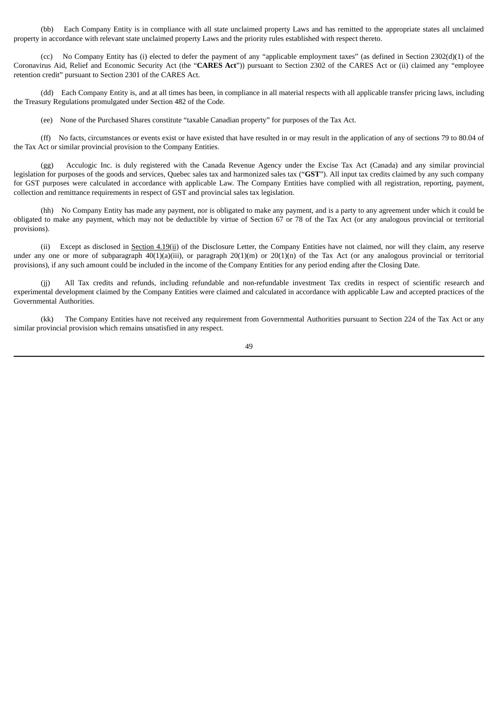(bb) Each Company Entity is in compliance with all state unclaimed property Laws and has remitted to the appropriate states all unclaimed property in accordance with relevant state unclaimed property Laws and the priority rules established with respect thereto.

(cc) No Company Entity has (i) elected to defer the payment of any "applicable employment taxes" (as defined in Section 2302(d)(1) of the Coronavirus Aid, Relief and Economic Security Act (the "**CARES Act**")) pursuant to Section 2302 of the CARES Act or (ii) claimed any "employee retention credit" pursuant to Section 2301 of the CARES Act.

(dd) Each Company Entity is, and at all times has been, in compliance in all material respects with all applicable transfer pricing laws, including the Treasury Regulations promulgated under Section 482 of the Code.

(ee) None of the Purchased Shares constitute "taxable Canadian property" for purposes of the Tax Act.

(ff) No facts, circumstances or events exist or have existed that have resulted in or may result in the application of any of sections 79 to 80.04 of the Tax Act or similar provincial provision to the Company Entities.

(gg) Acculogic Inc. is duly registered with the Canada Revenue Agency under the Excise Tax Act (Canada) and any similar provincial legislation for purposes of the goods and services, Quebec sales tax and harmonized sales tax ("**GST**"). All input tax credits claimed by any such company for GST purposes were calculated in accordance with applicable Law. The Company Entities have complied with all registration, reporting, payment, collection and remittance requirements in respect of GST and provincial sales tax legislation.

(hh) No Company Entity has made any payment, nor is obligated to make any payment, and is a party to any agreement under which it could be obligated to make any payment, which may not be deductible by virtue of Section 67 or 78 of the Tax Act (or any analogous provincial or territorial provisions).

(ii) Except as disclosed in Section 4.19(ii) of the Disclosure Letter, the Company Entities have not claimed, nor will they claim, any reserve under any one or more of subparagraph 40(1)(a)(iii), or paragraph 20(1)(m) or 20(1)(n) of the Tax Act (or any analogous provincial or territorial provisions), if any such amount could be included in the income of the Company Entities for any period ending after the Closing Date.

(jj) All Tax credits and refunds, including refundable and non-refundable investment Tax credits in respect of scientific research and experimental development claimed by the Company Entities were claimed and calculated in accordance with applicable Law and accepted practices of the Governmental Authorities.

(kk) The Company Entities have not received any requirement from Governmental Authorities pursuant to Section 224 of the Tax Act or any similar provincial provision which remains unsatisfied in any respect.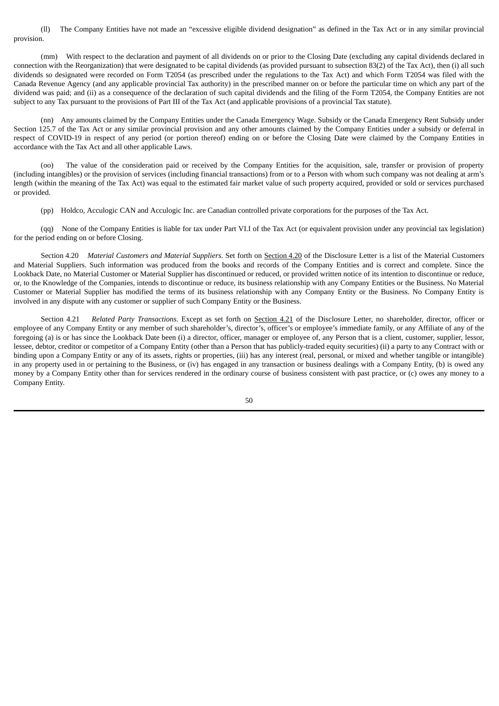(ll) The Company Entities have not made an "excessive eligible dividend designation" as defined in the Tax Act or in any similar provincial provision.

(mm) With respect to the declaration and payment of all dividends on or prior to the Closing Date (excluding any capital dividends declared in connection with the Reorganization) that were designated to be capital dividends (as provided pursuant to subsection 83(2) of the Tax Act), then (i) all such dividends so designated were recorded on Form T2054 (as prescribed under the regulations to the Tax Act) and which Form T2054 was filed with the Canada Revenue Agency (and any applicable provincial Tax authority) in the prescribed manner on or before the particular time on which any part of the dividend was paid; and (ii) as a consequence of the declaration of such capital dividends and the filing of the Form T2054, the Company Entities are not subject to any Tax pursuant to the provisions of Part III of the Tax Act (and applicable provisions of a provincial Tax statute).

(nn) Any amounts claimed by the Company Entities under the Canada Emergency Wage. Subsidy or the Canada Emergency Rent Subsidy under Section 125.7 of the Tax Act or any similar provincial provision and any other amounts claimed by the Company Entities under a subsidy or deferral in respect of COVID-19 in respect of any period (or portion thereof) ending on or before the Closing Date were claimed by the Company Entities in accordance with the Tax Act and all other applicable Laws.

(oo) The value of the consideration paid or received by the Company Entities for the acquisition, sale, transfer or provision of property (including intangibles) or the provision of services (including financial transactions) from or to a Person with whom such company was not dealing at arm's length (within the meaning of the Tax Act) was equal to the estimated fair market value of such property acquired, provided or sold or services purchased or provided.

(pp) Holdco, Acculogic CAN and Acculogic Inc. are Canadian controlled private corporations for the purposes of the Tax Act.

(qq) None of the Company Entities is liable for tax under Part VI.I of the Tax Act (or equivalent provision under any provincial tax legislation) for the period ending on or before Closing.

Section 4.20 *Material Customers and Material Suppliers*. Set forth on Section 4.20 of the Disclosure Letter is a list of the Material Customers and Material Suppliers. Such information was produced from the books and records of the Company Entities and is correct and complete. Since the Lookback Date, no Material Customer or Material Supplier has discontinued or reduced, or provided written notice of its intention to discontinue or reduce, or, to the Knowledge of the Companies, intends to discontinue or reduce, its business relationship with any Company Entities or the Business. No Material Customer or Material Supplier has modified the terms of its business relationship with any Company Entity or the Business. No Company Entity is involved in any dispute with any customer or supplier of such Company Entity or the Business.

Section 4.21 *Related Party Transactions*. Except as set forth on Section 4.21 of the Disclosure Letter, no shareholder, director, officer or employee of any Company Entity or any member of such shareholder's, director's, officer's or employee's immediate family, or any Affiliate of any of the foregoing (a) is or has since the Lookback Date been (i) a director, officer, manager or employee of, any Person that is a client, customer, supplier, lessor, lessee, debtor, creditor or competitor of a Company Entity (other than a Person that has publicly-traded equity securities) (ii) a party to any Contract with or binding upon a Company Entity or any of its assets, rights or properties, (iii) has any interest (real, personal, or mixed and whether tangible or intangible) in any property used in or pertaining to the Business, or (iv) has engaged in any transaction or business dealings with a Company Entity, (b) is owed any money by a Company Entity other than for services rendered in the ordinary course of business consistent with past practice, or (c) owes any money to a Company Entity.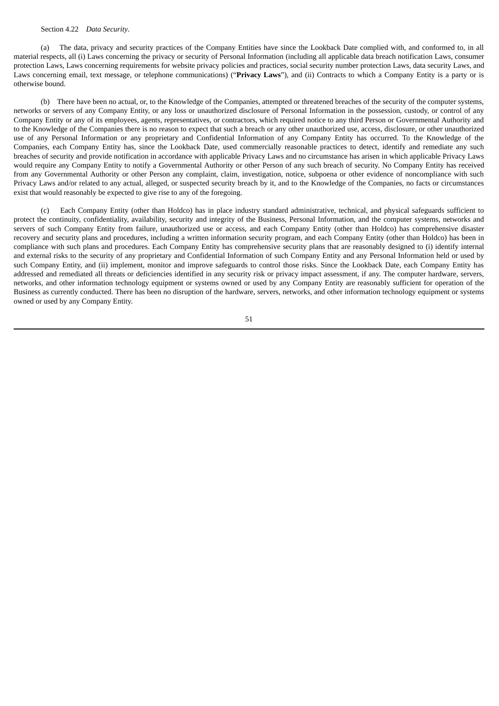### Section 4.22 *Data Security*.

(a) The data, privacy and security practices of the Company Entities have since the Lookback Date complied with, and conformed to, in all material respects, all (i) Laws concerning the privacy or security of Personal Information (including all applicable data breach notification Laws, consumer protection Laws, Laws concerning requirements for website privacy policies and practices, social security number protection Laws, data security Laws, and Laws concerning email, text message, or telephone communications) ("**Privacy Laws**"), and (ii) Contracts to which a Company Entity is a party or is otherwise bound.

(b) There have been no actual, or, to the Knowledge of the Companies, attempted or threatened breaches of the security of the computer systems, networks or servers of any Company Entity, or any loss or unauthorized disclosure of Personal Information in the possession, custody, or control of any Company Entity or any of its employees, agents, representatives, or contractors, which required notice to any third Person or Governmental Authority and to the Knowledge of the Companies there is no reason to expect that such a breach or any other unauthorized use, access, disclosure, or other unauthorized use of any Personal Information or any proprietary and Confidential Information of any Company Entity has occurred. To the Knowledge of the Companies, each Company Entity has, since the Lookback Date, used commercially reasonable practices to detect, identify and remediate any such breaches of security and provide notification in accordance with applicable Privacy Laws and no circumstance has arisen in which applicable Privacy Laws would require any Company Entity to notify a Governmental Authority or other Person of any such breach of security. No Company Entity has received from any Governmental Authority or other Person any complaint, claim, investigation, notice, subpoena or other evidence of noncompliance with such Privacy Laws and/or related to any actual, alleged, or suspected security breach by it, and to the Knowledge of the Companies, no facts or circumstances exist that would reasonably be expected to give rise to any of the foregoing.

(c) Each Company Entity (other than Holdco) has in place industry standard administrative, technical, and physical safeguards sufficient to protect the continuity, confidentiality, availability, security and integrity of the Business, Personal Information, and the computer systems, networks and servers of such Company Entity from failure, unauthorized use or access, and each Company Entity (other than Holdco) has comprehensive disaster recovery and security plans and procedures, including a written information security program, and each Company Entity (other than Holdco) has been in compliance with such plans and procedures. Each Company Entity has comprehensive security plans that are reasonably designed to (i) identify internal and external risks to the security of any proprietary and Confidential Information of such Company Entity and any Personal Information held or used by such Company Entity, and (ii) implement, monitor and improve safeguards to control those risks. Since the Lookback Date, each Company Entity has addressed and remediated all threats or deficiencies identified in any security risk or privacy impact assessment, if any. The computer hardware, servers, networks, and other information technology equipment or systems owned or used by any Company Entity are reasonably sufficient for operation of the Business as currently conducted. There has been no disruption of the hardware, servers, networks, and other information technology equipment or systems owned or used by any Company Entity.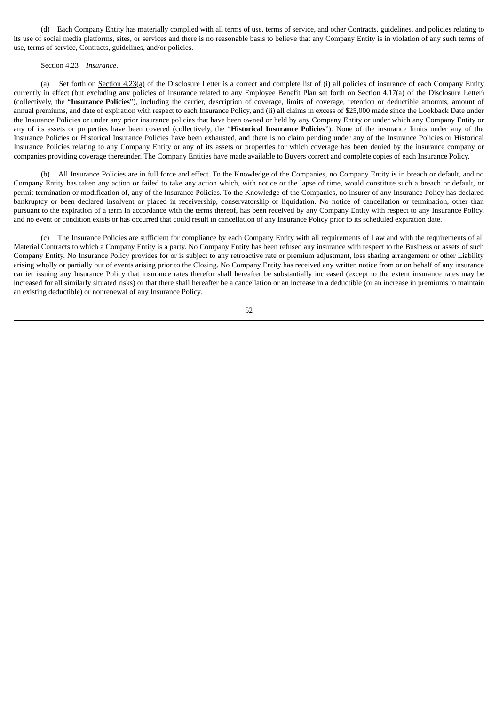(d) Each Company Entity has materially complied with all terms of use, terms of service, and other Contracts, guidelines, and policies relating to its use of social media platforms, sites, or services and there is no reasonable basis to believe that any Company Entity is in violation of any such terms of use, terms of service, Contracts, guidelines, and/or policies.

#### Section 4.23 *Insurance*.

(a) Set forth on Section 4.23(a) of the Disclosure Letter is a correct and complete list of (i) all policies of insurance of each Company Entity currently in effect (but excluding any policies of insurance related to any Employee Benefit Plan set forth on Section 4.17(a) of the Disclosure Letter) (collectively, the "**Insurance Policies**"), including the carrier, description of coverage, limits of coverage, retention or deductible amounts, amount of annual premiums, and date of expiration with respect to each Insurance Policy, and (ii) all claims in excess of \$25,000 made since the Lookback Date under the Insurance Policies or under any prior insurance policies that have been owned or held by any Company Entity or under which any Company Entity or any of its assets or properties have been covered (collectively, the "**Historical Insurance Policies**"). None of the insurance limits under any of the Insurance Policies or Historical Insurance Policies have been exhausted, and there is no claim pending under any of the Insurance Policies or Historical Insurance Policies relating to any Company Entity or any of its assets or properties for which coverage has been denied by the insurance company or companies providing coverage thereunder. The Company Entities have made available to Buyers correct and complete copies of each Insurance Policy.

(b) All Insurance Policies are in full force and effect. To the Knowledge of the Companies, no Company Entity is in breach or default, and no Company Entity has taken any action or failed to take any action which, with notice or the lapse of time, would constitute such a breach or default, or permit termination or modification of, any of the Insurance Policies. To the Knowledge of the Companies, no insurer of any Insurance Policy has declared bankruptcy or been declared insolvent or placed in receivership, conservatorship or liquidation. No notice of cancellation or termination, other than pursuant to the expiration of a term in accordance with the terms thereof, has been received by any Company Entity with respect to any Insurance Policy, and no event or condition exists or has occurred that could result in cancellation of any Insurance Policy prior to its scheduled expiration date.

(c) The Insurance Policies are sufficient for compliance by each Company Entity with all requirements of Law and with the requirements of all Material Contracts to which a Company Entity is a party. No Company Entity has been refused any insurance with respect to the Business or assets of such Company Entity. No Insurance Policy provides for or is subject to any retroactive rate or premium adjustment, loss sharing arrangement or other Liability arising wholly or partially out of events arising prior to the Closing. No Company Entity has received any written notice from or on behalf of any insurance carrier issuing any Insurance Policy that insurance rates therefor shall hereafter be substantially increased (except to the extent insurance rates may be increased for all similarly situated risks) or that there shall hereafter be a cancellation or an increase in a deductible (or an increase in premiums to maintain an existing deductible) or nonrenewal of any Insurance Policy.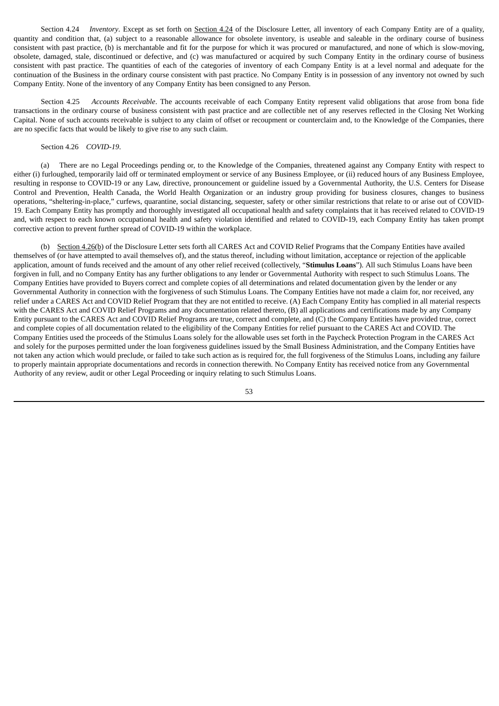Section 4.24 *Inventory*. Except as set forth on Section 4.24 of the Disclosure Letter, all inventory of each Company Entity are of a quality, quantity and condition that, (a) subject to a reasonable allowance for obsolete inventory, is useable and saleable in the ordinary course of business consistent with past practice, (b) is merchantable and fit for the purpose for which it was procured or manufactured, and none of which is slow-moving, obsolete, damaged, stale, discontinued or defective, and (c) was manufactured or acquired by such Company Entity in the ordinary course of business consistent with past practice. The quantities of each of the categories of inventory of each Company Entity is at a level normal and adequate for the continuation of the Business in the ordinary course consistent with past practice. No Company Entity is in possession of any inventory not owned by such Company Entity. None of the inventory of any Company Entity has been consigned to any Person.

Section 4.25 *Accounts Receivable*. The accounts receivable of each Company Entity represent valid obligations that arose from bona fide transactions in the ordinary course of business consistent with past practice and are collectible net of any reserves reflected in the Closing Net Working Capital. None of such accounts receivable is subject to any claim of offset or recoupment or counterclaim and, to the Knowledge of the Companies, there are no specific facts that would be likely to give rise to any such claim.

# Section 4.26 *COVID-19*.

(a) There are no Legal Proceedings pending or, to the Knowledge of the Companies, threatened against any Company Entity with respect to either (i) furloughed, temporarily laid off or terminated employment or service of any Business Employee, or (ii) reduced hours of any Business Employee, resulting in response to COVID-19 or any Law, directive, pronouncement or guideline issued by a Governmental Authority, the U.S. Centers for Disease Control and Prevention, Health Canada, the World Health Organization or an industry group providing for business closures, changes to business operations, "sheltering-in-place," curfews, quarantine, social distancing, sequester, safety or other similar restrictions that relate to or arise out of COVID-19. Each Company Entity has promptly and thoroughly investigated all occupational health and safety complaints that it has received related to COVID-19 and, with respect to each known occupational health and safety violation identified and related to COVID-19, each Company Entity has taken prompt corrective action to prevent further spread of COVID-19 within the workplace.

(b) Section 4.26(b) of the Disclosure Letter sets forth all CARES Act and COVID Relief Programs that the Company Entities have availed themselves of (or have attempted to avail themselves of), and the status thereof, including without limitation, acceptance or rejection of the applicable application, amount of funds received and the amount of any other relief received (collectively, "**Stimulus Loans**"). All such Stimulus Loans have been forgiven in full, and no Company Entity has any further obligations to any lender or Governmental Authority with respect to such Stimulus Loans. The Company Entities have provided to Buyers correct and complete copies of all determinations and related documentation given by the lender or any Governmental Authority in connection with the forgiveness of such Stimulus Loans. The Company Entities have not made a claim for, nor received, any relief under a CARES Act and COVID Relief Program that they are not entitled to receive. (A) Each Company Entity has complied in all material respects with the CARES Act and COVID Relief Programs and any documentation related thereto, (B) all applications and certifications made by any Company Entity pursuant to the CARES Act and COVID Relief Programs are true, correct and complete, and (C) the Company Entities have provided true, correct and complete copies of all documentation related to the eligibility of the Company Entities for relief pursuant to the CARES Act and COVID. The Company Entities used the proceeds of the Stimulus Loans solely for the allowable uses set forth in the Paycheck Protection Program in the CARES Act and solely for the purposes permitted under the loan forgiveness guidelines issued by the Small Business Administration, and the Company Entities have not taken any action which would preclude, or failed to take such action as is required for, the full forgiveness of the Stimulus Loans, including any failure to properly maintain appropriate documentations and records in connection therewith. No Company Entity has received notice from any Governmental Authority of any review, audit or other Legal Proceeding or inquiry relating to such Stimulus Loans.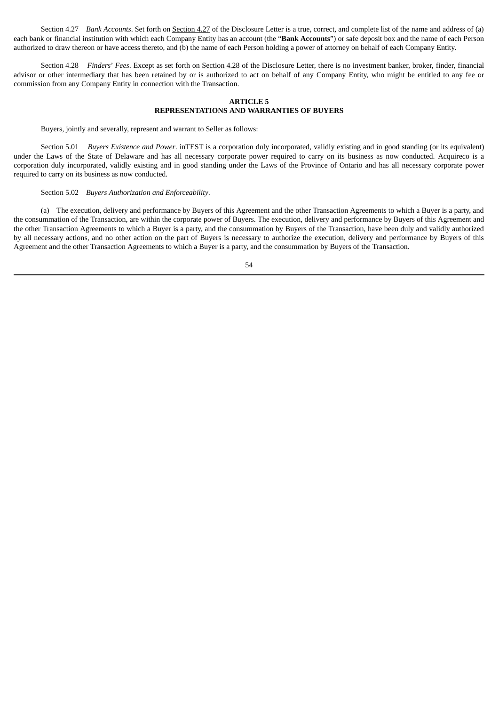Section 4.27 *Bank Accounts*. Set forth on **Section 4.27** of the Disclosure Letter is a true, correct, and complete list of the name and address of (a) each bank or financial institution with which each Company Entity has an account (the "**Bank Accounts**") or safe deposit box and the name of each Person authorized to draw thereon or have access thereto, and (b) the name of each Person holding a power of attorney on behalf of each Company Entity.

Section 4.28 *Finders*' *Fees*. Except as set forth on Section 4.28 of the Disclosure Letter, there is no investment banker, broker, finder, financial advisor or other intermediary that has been retained by or is authorized to act on behalf of any Company Entity, who might be entitled to any fee or commission from any Company Entity in connection with the Transaction.

# **ARTICLE 5 REPRESENTATIONS AND WARRANTIES OF BUYERS**

Buyers, jointly and severally, represent and warrant to Seller as follows:

Section 5.01 *Buyers Existence and Power*. inTEST is a corporation duly incorporated, validly existing and in good standing (or its equivalent) under the Laws of the State of Delaware and has all necessary corporate power required to carry on its business as now conducted. Acquireco is a corporation duly incorporated, validly existing and in good standing under the Laws of the Province of Ontario and has all necessary corporate power required to carry on its business as now conducted.

# Section 5.02 *Buyers Authorization and Enforceability*.

(a) The execution, delivery and performance by Buyers of this Agreement and the other Transaction Agreements to which a Buyer is a party, and the consummation of the Transaction, are within the corporate power of Buyers. The execution, delivery and performance by Buyers of this Agreement and the other Transaction Agreements to which a Buyer is a party, and the consummation by Buyers of the Transaction, have been duly and validly authorized by all necessary actions, and no other action on the part of Buyers is necessary to authorize the execution, delivery and performance by Buyers of this Agreement and the other Transaction Agreements to which a Buyer is a party, and the consummation by Buyers of the Transaction.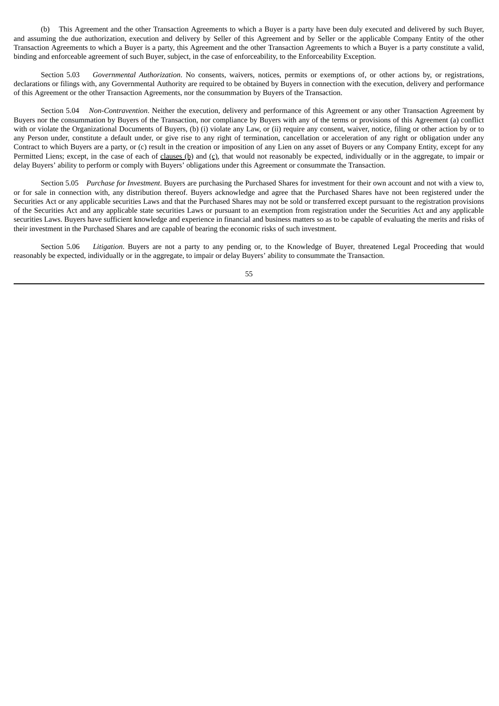(b) This Agreement and the other Transaction Agreements to which a Buyer is a party have been duly executed and delivered by such Buyer, and assuming the due authorization, execution and delivery by Seller of this Agreement and by Seller or the applicable Company Entity of the other Transaction Agreements to which a Buyer is a party, this Agreement and the other Transaction Agreements to which a Buyer is a party constitute a valid, binding and enforceable agreement of such Buyer, subject, in the case of enforceability, to the Enforceability Exception.

Section 5.03 *Governmental Authorization*. No consents, waivers, notices, permits or exemptions of, or other actions by, or registrations, declarations or filings with, any Governmental Authority are required to be obtained by Buyers in connection with the execution, delivery and performance of this Agreement or the other Transaction Agreements, nor the consummation by Buyers of the Transaction.

Section 5.04 *Non-Contravention*. Neither the execution, delivery and performance of this Agreement or any other Transaction Agreement by Buyers nor the consummation by Buyers of the Transaction, nor compliance by Buyers with any of the terms or provisions of this Agreement (a) conflict with or violate the Organizational Documents of Buyers, (b) (i) violate any Law, or (ii) require any consent, waiver, notice, filing or other action by or to any Person under, constitute a default under, or give rise to any right of termination, cancellation or acceleration of any right or obligation under any Contract to which Buyers are a party, or (c) result in the creation or imposition of any Lien on any asset of Buyers or any Company Entity, except for any Permitted Liens; except, in the case of each of clauses  $(p)$  and  $(c)$ , that would not reasonably be expected, individually or in the aggregate, to impair or delay Buyers' ability to perform or comply with Buyers' obligations under this Agreement or consummate the Transaction.

Section 5.05 *Purchase for Investment*. Buyers are purchasing the Purchased Shares for investment for their own account and not with a view to, or for sale in connection with, any distribution thereof. Buyers acknowledge and agree that the Purchased Shares have not been registered under the Securities Act or any applicable securities Laws and that the Purchased Shares may not be sold or transferred except pursuant to the registration provisions of the Securities Act and any applicable state securities Laws or pursuant to an exemption from registration under the Securities Act and any applicable securities Laws. Buyers have sufficient knowledge and experience in financial and business matters so as to be capable of evaluating the merits and risks of their investment in the Purchased Shares and are capable of bearing the economic risks of such investment.

Section 5.06 *Litigation*. Buyers are not a party to any pending or, to the Knowledge of Buyer, threatened Legal Proceeding that would reasonably be expected, individually or in the aggregate, to impair or delay Buyers' ability to consummate the Transaction.

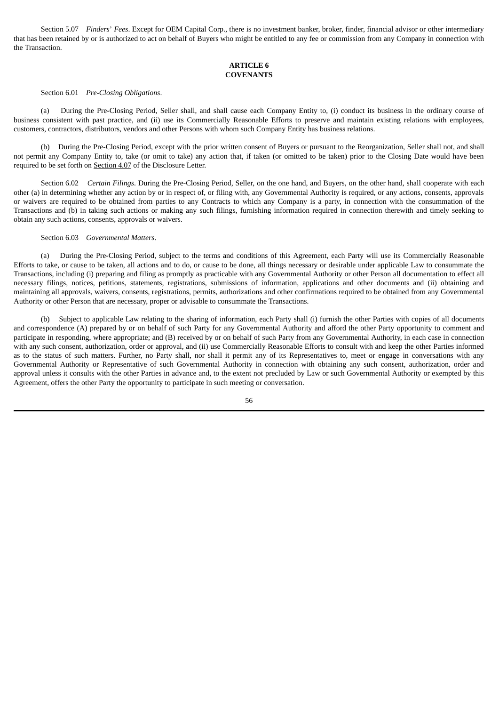Section 5.07 *Finders*' *Fees*. Except for OEM Capital Corp., there is no investment banker, broker, finder, financial advisor or other intermediary that has been retained by or is authorized to act on behalf of Buyers who might be entitled to any fee or commission from any Company in connection with the Transaction.

# **ARTICLE 6 COVENANTS**

#### Section 6.01 *Pre-Closing Obligations*.

(a) During the Pre-Closing Period, Seller shall, and shall cause each Company Entity to, (i) conduct its business in the ordinary course of business consistent with past practice, and (ii) use its Commercially Reasonable Efforts to preserve and maintain existing relations with employees, customers, contractors, distributors, vendors and other Persons with whom such Company Entity has business relations.

(b) During the Pre-Closing Period, except with the prior written consent of Buyers or pursuant to the Reorganization, Seller shall not, and shall not permit any Company Entity to, take (or omit to take) any action that, if taken (or omitted to be taken) prior to the Closing Date would have been required to be set forth on Section 4.07 of the Disclosure Letter.

Section 6.02 *Certain Filings*. During the Pre-Closing Period, Seller, on the one hand, and Buyers, on the other hand, shall cooperate with each other (a) in determining whether any action by or in respect of, or filing with, any Governmental Authority is required, or any actions, consents, approvals or waivers are required to be obtained from parties to any Contracts to which any Company is a party, in connection with the consummation of the Transactions and (b) in taking such actions or making any such filings, furnishing information required in connection therewith and timely seeking to obtain any such actions, consents, approvals or waivers.

# Section 6.03 *Governmental Matters*.

(a) During the Pre-Closing Period, subject to the terms and conditions of this Agreement, each Party will use its Commercially Reasonable Efforts to take, or cause to be taken, all actions and to do, or cause to be done, all things necessary or desirable under applicable Law to consummate the Transactions, including (i) preparing and filing as promptly as practicable with any Governmental Authority or other Person all documentation to effect all necessary filings, notices, petitions, statements, registrations, submissions of information, applications and other documents and (ii) obtaining and maintaining all approvals, waivers, consents, registrations, permits, authorizations and other confirmations required to be obtained from any Governmental Authority or other Person that are necessary, proper or advisable to consummate the Transactions.

Subject to applicable Law relating to the sharing of information, each Party shall (i) furnish the other Parties with copies of all documents and correspondence (A) prepared by or on behalf of such Party for any Governmental Authority and afford the other Party opportunity to comment and participate in responding, where appropriate; and (B) received by or on behalf of such Party from any Governmental Authority, in each case in connection with any such consent, authorization, order or approval, and (ii) use Commercially Reasonable Efforts to consult with and keep the other Parties informed as to the status of such matters. Further, no Party shall, nor shall it permit any of its Representatives to, meet or engage in conversations with any Governmental Authority or Representative of such Governmental Authority in connection with obtaining any such consent, authorization, order and approval unless it consults with the other Parties in advance and, to the extent not precluded by Law or such Governmental Authority or exempted by this Agreement, offers the other Party the opportunity to participate in such meeting or conversation.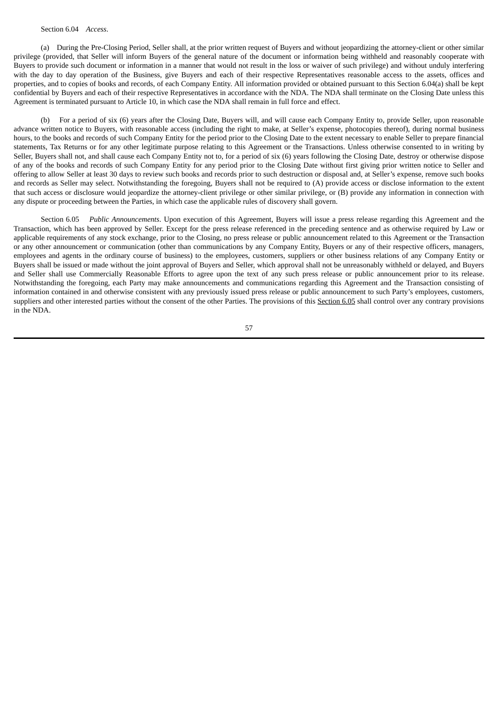### Section 6.04 *Access*.

(a) During the Pre-Closing Period, Seller shall, at the prior written request of Buyers and without jeopardizing the attorney-client or other similar privilege (provided, that Seller will inform Buyers of the general nature of the document or information being withheld and reasonably cooperate with Buyers to provide such document or information in a manner that would not result in the loss or waiver of such privilege) and without unduly interfering with the day to day operation of the Business, give Buyers and each of their respective Representatives reasonable access to the assets, offices and properties, and to copies of books and records, of each Company Entity. All information provided or obtained pursuant to this Section 6.04(a) shall be kept confidential by Buyers and each of their respective Representatives in accordance with the NDA. The NDA shall terminate on the Closing Date unless this Agreement is terminated pursuant to Article 10, in which case the NDA shall remain in full force and effect.

(b) For a period of six (6) years after the Closing Date, Buyers will, and will cause each Company Entity to, provide Seller, upon reasonable advance written notice to Buyers, with reasonable access (including the right to make, at Seller's expense, photocopies thereof), during normal business hours, to the books and records of such Company Entity for the period prior to the Closing Date to the extent necessary to enable Seller to prepare financial statements, Tax Returns or for any other legitimate purpose relating to this Agreement or the Transactions. Unless otherwise consented to in writing by Seller, Buyers shall not, and shall cause each Company Entity not to, for a period of six (6) years following the Closing Date, destroy or otherwise dispose of any of the books and records of such Company Entity for any period prior to the Closing Date without first giving prior written notice to Seller and offering to allow Seller at least 30 days to review such books and records prior to such destruction or disposal and, at Seller's expense, remove such books and records as Seller may select. Notwithstanding the foregoing, Buyers shall not be required to (A) provide access or disclose information to the extent that such access or disclosure would jeopardize the attorney-client privilege or other similar privilege, or (B) provide any information in connection with any dispute or proceeding between the Parties, in which case the applicable rules of discovery shall govern.

Section 6.05 *Public Announcements*. Upon execution of this Agreement, Buyers will issue a press release regarding this Agreement and the Transaction, which has been approved by Seller. Except for the press release referenced in the preceding sentence and as otherwise required by Law or applicable requirements of any stock exchange, prior to the Closing, no press release or public announcement related to this Agreement or the Transaction or any other announcement or communication (other than communications by any Company Entity, Buyers or any of their respective officers, managers, employees and agents in the ordinary course of business) to the employees, customers, suppliers or other business relations of any Company Entity or Buyers shall be issued or made without the joint approval of Buyers and Seller, which approval shall not be unreasonably withheld or delayed, and Buyers and Seller shall use Commercially Reasonable Efforts to agree upon the text of any such press release or public announcement prior to its release. Notwithstanding the foregoing, each Party may make announcements and communications regarding this Agreement and the Transaction consisting of information contained in and otherwise consistent with any previously issued press release or public announcement to such Party's employees, customers, suppliers and other interested parties without the consent of the other Parties. The provisions of this Section 6.05 shall control over any contrary provisions in the NDA.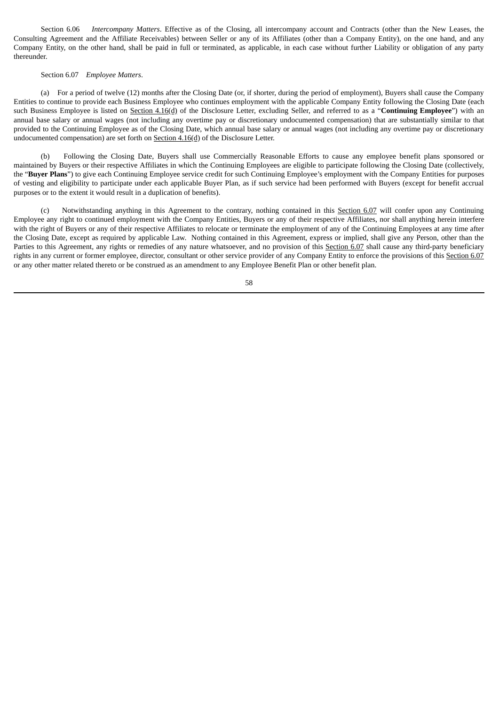Section 6.06 *Intercompany Matters*. Effective as of the Closing, all intercompany account and Contracts (other than the New Leases, the Consulting Agreement and the Affiliate Receivables) between Seller or any of its Affiliates (other than a Company Entity), on the one hand, and any Company Entity, on the other hand, shall be paid in full or terminated, as applicable, in each case without further Liability or obligation of any party thereunder.

### Section 6.07 *Employee Matters*.

(a) For a period of twelve (12) months after the Closing Date (or, if shorter, during the period of employment), Buyers shall cause the Company Entities to continue to provide each Business Employee who continues employment with the applicable Company Entity following the Closing Date (each such Business Employee is listed on Section 4.16(d) of the Disclosure Letter, excluding Seller, and referred to as a "**Continuing Employee**") with an annual base salary or annual wages (not including any overtime pay or discretionary undocumented compensation) that are substantially similar to that provided to the Continuing Employee as of the Closing Date, which annual base salary or annual wages (not including any overtime pay or discretionary undocumented compensation) are set forth on Section 4.16(d) of the Disclosure Letter.

(b) Following the Closing Date, Buyers shall use Commercially Reasonable Efforts to cause any employee benefit plans sponsored or maintained by Buyers or their respective Affiliates in which the Continuing Employees are eligible to participate following the Closing Date (collectively, the "**Buyer Plans**") to give each Continuing Employee service credit for such Continuing Employee's employment with the Company Entities for purposes of vesting and eligibility to participate under each applicable Buyer Plan, as if such service had been performed with Buyers (except for benefit accrual purposes or to the extent it would result in a duplication of benefits).

(c) Notwithstanding anything in this Agreement to the contrary, nothing contained in this Section 6.07 will confer upon any Continuing Employee any right to continued employment with the Company Entities, Buyers or any of their respective Affiliates, nor shall anything herein interfere with the right of Buyers or any of their respective Affiliates to relocate or terminate the employment of any of the Continuing Employees at any time after the Closing Date, except as required by applicable Law. Nothing contained in this Agreement, express or implied, shall give any Person, other than the Parties to this Agreement, any rights or remedies of any nature whatsoever, and no provision of this Section 6.07 shall cause any third-party beneficiary rights in any current or former employee, director, consultant or other service provider of any Company Entity to enforce the provisions of this Section 6.07 or any other matter related thereto or be construed as an amendment to any Employee Benefit Plan or other benefit plan.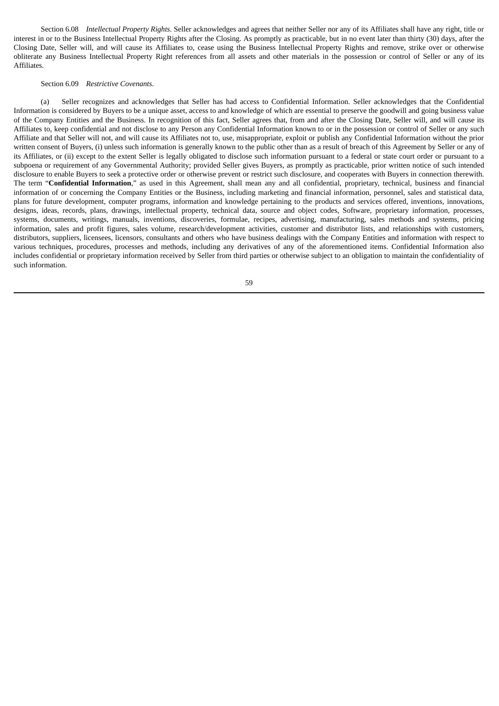Section 6.08 *Intellectual Property Rights*. Seller acknowledges and agrees that neither Seller nor any of its Affiliates shall have any right, title or interest in or to the Business Intellectual Property Rights after the Closing. As promptly as practicable, but in no event later than thirty (30) days, after the Closing Date, Seller will, and will cause its Affiliates to, cease using the Business Intellectual Property Rights and remove, strike over or otherwise obliterate any Business Intellectual Property Right references from all assets and other materials in the possession or control of Seller or any of its Affiliates.

## Section 6.09 *Restrictive Covenants*.

(a) Seller recognizes and acknowledges that Seller has had access to Confidential Information. Seller acknowledges that the Confidential Information is considered by Buyers to be a unique asset, access to and knowledge of which are essential to preserve the goodwill and going business value of the Company Entities and the Business. In recognition of this fact, Seller agrees that, from and after the Closing Date, Seller will, and will cause its Affiliates to, keep confidential and not disclose to any Person any Confidential Information known to or in the possession or control of Seller or any such Affiliate and that Seller will not, and will cause its Affiliates not to, use, misappropriate, exploit or publish any Confidential Information without the prior written consent of Buyers, (i) unless such information is generally known to the public other than as a result of breach of this Agreement by Seller or any of its Affiliates, or (ii) except to the extent Seller is legally obligated to disclose such information pursuant to a federal or state court order or pursuant to a subpoena or requirement of any Governmental Authority; provided Seller gives Buyers, as promptly as practicable, prior written notice of such intended disclosure to enable Buyers to seek a protective order or otherwise prevent or restrict such disclosure, and cooperates with Buyers in connection therewith. The term "**Confidential Information**," as used in this Agreement, shall mean any and all confidential, proprietary, technical, business and financial information of or concerning the Company Entities or the Business, including marketing and financial information, personnel, sales and statistical data, plans for future development, computer programs, information and knowledge pertaining to the products and services offered, inventions, innovations, designs, ideas, records, plans, drawings, intellectual property, technical data, source and object codes, Software, proprietary information, processes, systems, documents, writings, manuals, inventions, discoveries, formulae, recipes, advertising, manufacturing, sales methods and systems, pricing information, sales and profit figures, sales volume, research/development activities, customer and distributor lists, and relationships with customers, distributors, suppliers, licensees, licensors, consultants and others who have business dealings with the Company Entities and information with respect to various techniques, procedures, processes and methods, including any derivatives of any of the aforementioned items. Confidential Information also includes confidential or proprietary information received by Seller from third parties or otherwise subject to an obligation to maintain the confidentiality of such information.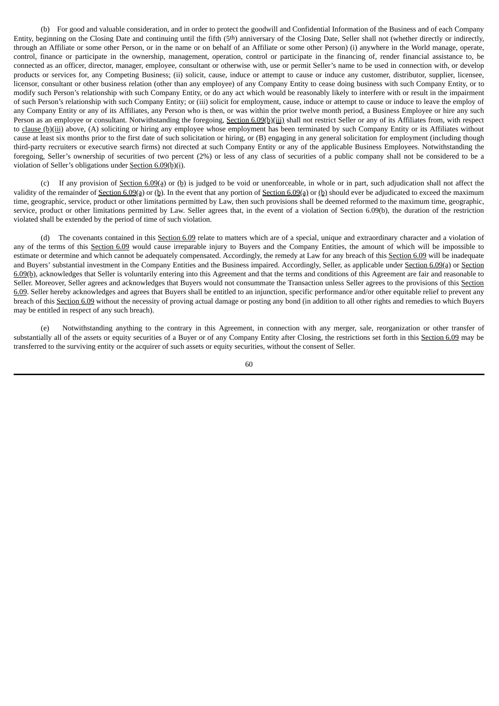(b) For good and valuable consideration, and in order to protect the goodwill and Confidential Information of the Business and of each Company Entity, beginning on the Closing Date and continuing until the fifth (5th) anniversary of the Closing Date, Seller shall not (whether directly or indirectly, through an Affiliate or some other Person, or in the name or on behalf of an Affiliate or some other Person) (i) anywhere in the World manage, operate, control, finance or participate in the ownership, management, operation, control or participate in the financing of, render financial assistance to, be connected as an officer, director, manager, employee, consultant or otherwise with, use or permit Seller's name to be used in connection with, or develop products or services for, any Competing Business; (ii) solicit, cause, induce or attempt to cause or induce any customer, distributor, supplier, licensee, licensor, consultant or other business relation (other than any employee) of any Company Entity to cease doing business with such Company Entity, or to modify such Person's relationship with such Company Entity, or do any act which would be reasonably likely to interfere with or result in the impairment of such Person's relationship with such Company Entity; or (iii) solicit for employment, cause, induce or attempt to cause or induce to leave the employ of any Company Entity or any of its Affiliates, any Person who is then, or was within the prior twelve month period, a Business Employee or hire any such Person as an employee or consultant. Notwithstanding the foregoing, Section 6.09(b)(iii) shall not restrict Seller or any of its Affiliates from, with respect to clause  $(b)(iii)$  above, (A) soliciting or hiring any employee whose employment has been terminated by such Company Entity or its Affiliates without cause at least six months prior to the first date of such solicitation or hiring, or (B) engaging in any general solicitation for employment (including though third-party recruiters or executive search firms) not directed at such Company Entity or any of the applicable Business Employees. Notwithstanding the foregoing, Seller's ownership of securities of two percent (2%) or less of any class of securities of a public company shall not be considered to be a violation of Seller's obligations under Section 6.09(b)(i).

(c) If any provision of Section 6.09(a) or (b) is judged to be void or unenforceable, in whole or in part, such adjudication shall not affect the validity of the remainder of Section  $6.09(a)$  or (b). In the event that any portion of Section  $6.09(a)$  or (b) should ever be adjudicated to exceed the maximum time, geographic, service, product or other limitations permitted by Law, then such provisions shall be deemed reformed to the maximum time, geographic, service, product or other limitations permitted by Law. Seller agrees that, in the event of a violation of Section 6.09(b), the duration of the restriction violated shall be extended by the period of time of such violation.

(d) The covenants contained in this Section 6.09 relate to matters which are of a special, unique and extraordinary character and a violation of any of the terms of this Section 6.09 would cause irreparable injury to Buyers and the Company Entities, the amount of which will be impossible to estimate or determine and which cannot be adequately compensated. Accordingly, the remedy at Law for any breach of this Section 6.09 will be inadequate and Buyers' substantial investment in the Company Entities and the Business impaired. Accordingly, Seller, as applicable under Section 6.09(a) or Section 6.09(b), acknowledges that Seller is voluntarily entering into this Agreement and that the terms and conditions of this Agreement are fair and reasonable to Seller. Moreover, Seller agrees and acknowledges that Buyers would not consummate the Transaction unless Seller agrees to the provisions of this Section 6.09. Seller hereby acknowledges and agrees that Buyers shall be entitled to an injunction, specific performance and/or other equitable relief to prevent any breach of this Section 6.09 without the necessity of proving actual damage or posting any bond (in addition to all other rights and remedies to which Buyers may be entitled in respect of any such breach).

(e) Notwithstanding anything to the contrary in this Agreement, in connection with any merger, sale, reorganization or other transfer of substantially all of the assets or equity securities of a Buyer or of any Company Entity after Closing, the restrictions set forth in this Section 6.09 may be transferred to the surviving entity or the acquirer of such assets or equity securities, without the consent of Seller.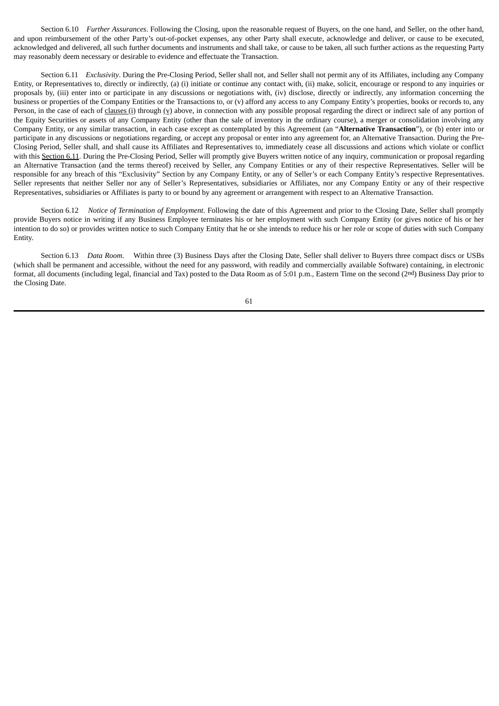Section 6.10 *Further Assurances*. Following the Closing, upon the reasonable request of Buyers, on the one hand, and Seller, on the other hand, and upon reimbursement of the other Party's out-of-pocket expenses, any other Party shall execute, acknowledge and deliver, or cause to be executed, acknowledged and delivered, all such further documents and instruments and shall take, or cause to be taken, all such further actions as the requesting Party may reasonably deem necessary or desirable to evidence and effectuate the Transaction.

Section 6.11 *Exclusivity*. During the Pre-Closing Period, Seller shall not, and Seller shall not permit any of its Affiliates, including any Company Entity, or Representatives to, directly or indirectly, (a) (i) initiate or continue any contact with, (ii) make, solicit, encourage or respond to any inquiries or proposals by, (iii) enter into or participate in any discussions or negotiations with, (iv) disclose, directly or indirectly, any information concerning the business or properties of the Company Entities or the Transactions to, or (v) afford any access to any Company Entity's properties, books or records to, any Person, in the case of each of clauses (i) through (v) above, in connection with any possible proposal regarding the direct or indirect sale of any portion of the Equity Securities or assets of any Company Entity (other than the sale of inventory in the ordinary course), a merger or consolidation involving any Company Entity, or any similar transaction, in each case except as contemplated by this Agreement (an "**Alternative Transaction**"), or (b) enter into or participate in any discussions or negotiations regarding, or accept any proposal or enter into any agreement for, an Alternative Transaction. During the Pre-Closing Period, Seller shall, and shall cause its Affiliates and Representatives to, immediately cease all discussions and actions which violate or conflict with this Section 6.11. During the Pre-Closing Period, Seller will promptly give Buyers written notice of any inquiry, communication or proposal regarding an Alternative Transaction (and the terms thereof) received by Seller, any Company Entities or any of their respective Representatives. Seller will be responsible for any breach of this "Exclusivity" Section by any Company Entity, or any of Seller's or each Company Entity's respective Representatives. Seller represents that neither Seller nor any of Seller's Representatives, subsidiaries or Affiliates, nor any Company Entity or any of their respective Representatives, subsidiaries or Affiliates is party to or bound by any agreement or arrangement with respect to an Alternative Transaction.

Section 6.12 *Notice of Termination of Employment*. Following the date of this Agreement and prior to the Closing Date, Seller shall promptly provide Buyers notice in writing if any Business Employee terminates his or her employment with such Company Entity (or gives notice of his or her intention to do so) or provides written notice to such Company Entity that he or she intends to reduce his or her role or scope of duties with such Company Entity.

Section 6.13 *Data Room*. Within three (3) Business Days after the Closing Date, Seller shall deliver to Buyers three compact discs or USBs (which shall be permanent and accessible, without the need for any password, with readily and commercially available Software) containing, in electronic format, all documents (including legal, financial and Tax) posted to the Data Room as of 5:01 p.m., Eastern Time on the second (2nd) Business Day prior to the Closing Date.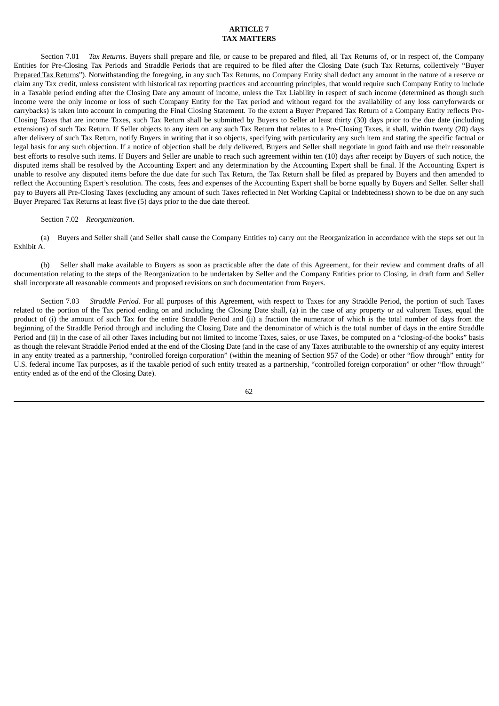## **ARTICLE 7 TAX MATTERS**

Section 7.01 *Tax Returns*. Buyers shall prepare and file, or cause to be prepared and filed, all Tax Returns of, or in respect of, the Company Entities for Pre-Closing Tax Periods and Straddle Periods that are required to be filed after the Closing Date (such Tax Returns, collectively "Buyer" Prepared Tax Returns"). Notwithstanding the foregoing, in any such Tax Returns, no Company Entity shall deduct any amount in the nature of a reserve or claim any Tax credit, unless consistent with historical tax reporting practices and accounting principles, that would require such Company Entity to include in a Taxable period ending after the Closing Date any amount of income, unless the Tax Liability in respect of such income (determined as though such income were the only income or loss of such Company Entity for the Tax period and without regard for the availability of any loss carryforwards or carrybacks) is taken into account in computing the Final Closing Statement. To the extent a Buyer Prepared Tax Return of a Company Entity reflects Pre-Closing Taxes that are income Taxes, such Tax Return shall be submitted by Buyers to Seller at least thirty (30) days prior to the due date (including extensions) of such Tax Return. If Seller objects to any item on any such Tax Return that relates to a Pre-Closing Taxes, it shall, within twenty (20) days after delivery of such Tax Return, notify Buyers in writing that it so objects, specifying with particularity any such item and stating the specific factual or legal basis for any such objection. If a notice of objection shall be duly delivered, Buyers and Seller shall negotiate in good faith and use their reasonable best efforts to resolve such items. If Buyers and Seller are unable to reach such agreement within ten (10) days after receipt by Buyers of such notice, the disputed items shall be resolved by the Accounting Expert and any determination by the Accounting Expert shall be final. If the Accounting Expert is unable to resolve any disputed items before the due date for such Tax Return, the Tax Return shall be filed as prepared by Buyers and then amended to reflect the Accounting Expert's resolution. The costs, fees and expenses of the Accounting Expert shall be borne equally by Buyers and Seller. Seller shall pay to Buyers all Pre-Closing Taxes (excluding any amount of such Taxes reflected in Net Working Capital or Indebtedness) shown to be due on any such Buyer Prepared Tax Returns at least five (5) days prior to the due date thereof.

### Section 7.02 *Reorganization*.

(a) Buyers and Seller shall (and Seller shall cause the Company Entities to) carry out the Reorganization in accordance with the steps set out in Exhibit A.

(b) Seller shall make available to Buyers as soon as practicable after the date of this Agreement, for their review and comment drafts of all documentation relating to the steps of the Reorganization to be undertaken by Seller and the Company Entities prior to Closing, in draft form and Seller shall incorporate all reasonable comments and proposed revisions on such documentation from Buyers.

Section 7.03 *Straddle Period.* For all purposes of this Agreement, with respect to Taxes for any Straddle Period, the portion of such Taxes related to the portion of the Tax period ending on and including the Closing Date shall, (a) in the case of any property or ad valorem Taxes, equal the product of (i) the amount of such Tax for the entire Straddle Period and (ii) a fraction the numerator of which is the total number of days from the beginning of the Straddle Period through and including the Closing Date and the denominator of which is the total number of days in the entire Straddle Period and (ii) in the case of all other Taxes including but not limited to income Taxes, sales, or use Taxes, be computed on a "closing-of-the books" basis as though the relevant Straddle Period ended at the end of the Closing Date (and in the case of any Taxes attributable to the ownership of any equity interest in any entity treated as a partnership, "controlled foreign corporation" (within the meaning of Section 957 of the Code) or other "flow through" entity for U.S. federal income Tax purposes, as if the taxable period of such entity treated as a partnership, "controlled foreign corporation" or other "flow through" entity ended as of the end of the Closing Date).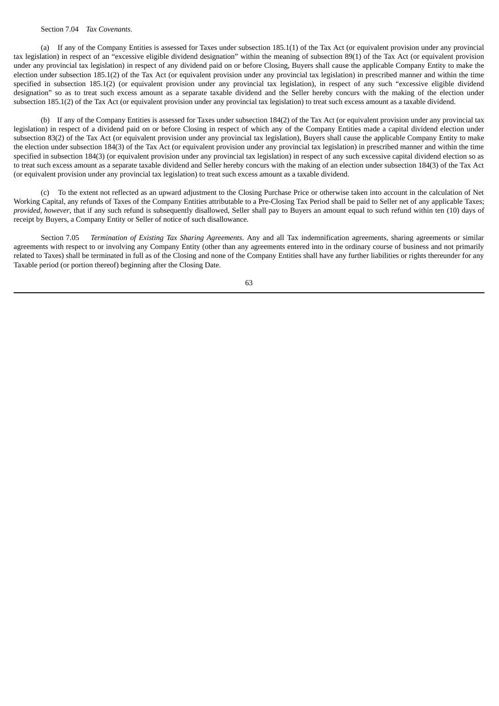#### Section 7.04 *Tax Covenants*.

(a) If any of the Company Entities is assessed for Taxes under subsection 185.1(1) of the Tax Act (or equivalent provision under any provincial tax legislation) in respect of an "excessive eligible dividend designation" within the meaning of subsection 89(1) of the Tax Act (or equivalent provision under any provincial tax legislation) in respect of any dividend paid on or before Closing, Buyers shall cause the applicable Company Entity to make the election under subsection 185.1(2) of the Tax Act (or equivalent provision under any provincial tax legislation) in prescribed manner and within the time specified in subsection 185.1(2) (or equivalent provision under any provincial tax legislation), in respect of any such "excessive eligible dividend designation" so as to treat such excess amount as a separate taxable dividend and the Seller hereby concurs with the making of the election under subsection 185.1(2) of the Tax Act (or equivalent provision under any provincial tax legislation) to treat such excess amount as a taxable dividend.

(b) If any of the Company Entities is assessed for Taxes under subsection 184(2) of the Tax Act (or equivalent provision under any provincial tax legislation) in respect of a dividend paid on or before Closing in respect of which any of the Company Entities made a capital dividend election under subsection 83(2) of the Tax Act (or equivalent provision under any provincial tax legislation), Buyers shall cause the applicable Company Entity to make the election under subsection 184(3) of the Tax Act (or equivalent provision under any provincial tax legislation) in prescribed manner and within the time specified in subsection 184(3) (or equivalent provision under any provincial tax legislation) in respect of any such excessive capital dividend election so as to treat such excess amount as a separate taxable dividend and Seller hereby concurs with the making of an election under subsection 184(3) of the Tax Act (or equivalent provision under any provincial tax legislation) to treat such excess amount as a taxable dividend.

(c) To the extent not reflected as an upward adjustment to the Closing Purchase Price or otherwise taken into account in the calculation of Net Working Capital, any refunds of Taxes of the Company Entities attributable to a Pre-Closing Tax Period shall be paid to Seller net of any applicable Taxes; *provided*, *however*, that if any such refund is subsequently disallowed, Seller shall pay to Buyers an amount equal to such refund within ten (10) days of receipt by Buyers, a Company Entity or Seller of notice of such disallowance.

Section 7.05 *Termination of Existing Tax Sharing Agreements*. Any and all Tax indemnification agreements, sharing agreements or similar agreements with respect to or involving any Company Entity (other than any agreements entered into in the ordinary course of business and not primarily related to Taxes) shall be terminated in full as of the Closing and none of the Company Entities shall have any further liabilities or rights thereunder for any Taxable period (or portion thereof) beginning after the Closing Date.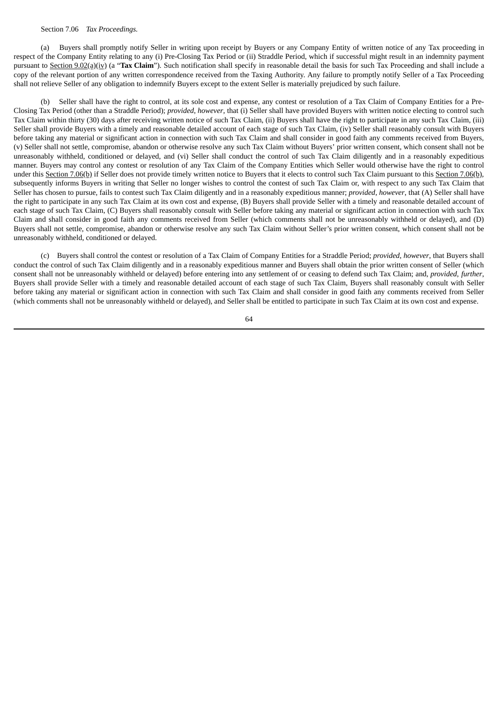### Section 7.06 *Tax Proceedings.*

(a) Buyers shall promptly notify Seller in writing upon receipt by Buyers or any Company Entity of written notice of any Tax proceeding in respect of the Company Entity relating to any (i) Pre-Closing Tax Period or (ii) Straddle Period, which if successful might result in an indemnity payment pursuant to Section 9.02(a)(iv) (a "Tax Claim"). Such notification shall specify in reasonable detail the basis for such Tax Proceeding and shall include a copy of the relevant portion of any written correspondence received from the Taxing Authority. Any failure to promptly notify Seller of a Tax Proceeding shall not relieve Seller of any obligation to indemnify Buyers except to the extent Seller is materially prejudiced by such failure.

(b) Seller shall have the right to control, at its sole cost and expense, any contest or resolution of a Tax Claim of Company Entities for a Pre-Closing Tax Period (other than a Straddle Period); *provided*, *however*, that (i) Seller shall have provided Buyers with written notice electing to control such Tax Claim within thirty (30) days after receiving written notice of such Tax Claim, (ii) Buyers shall have the right to participate in any such Tax Claim, (iii) Seller shall provide Buyers with a timely and reasonable detailed account of each stage of such Tax Claim, (iv) Seller shall reasonably consult with Buyers before taking any material or significant action in connection with such Tax Claim and shall consider in good faith any comments received from Buyers, (v) Seller shall not settle, compromise, abandon or otherwise resolve any such Tax Claim without Buyers' prior written consent, which consent shall not be unreasonably withheld, conditioned or delayed, and (vi) Seller shall conduct the control of such Tax Claim diligently and in a reasonably expeditious manner. Buyers may control any contest or resolution of any Tax Claim of the Company Entities which Seller would otherwise have the right to control under this Section 7.06(b) if Seller does not provide timely written notice to Buyers that it elects to control such Tax Claim pursuant to this Section 7.06(b), subsequently informs Buyers in writing that Seller no longer wishes to control the contest of such Tax Claim or, with respect to any such Tax Claim that Seller has chosen to pursue, fails to contest such Tax Claim diligently and in a reasonably expeditious manner; *provided*, *however*, that (A) Seller shall have the right to participate in any such Tax Claim at its own cost and expense, (B) Buyers shall provide Seller with a timely and reasonable detailed account of each stage of such Tax Claim, (C) Buyers shall reasonably consult with Seller before taking any material or significant action in connection with such Tax Claim and shall consider in good faith any comments received from Seller (which comments shall not be unreasonably withheld or delayed), and (D) Buyers shall not settle, compromise, abandon or otherwise resolve any such Tax Claim without Seller's prior written consent, which consent shall not be unreasonably withheld, conditioned or delayed.

(c) Buyers shall control the contest or resolution of a Tax Claim of Company Entities for a Straddle Period; *provided*, *however*, that Buyers shall conduct the control of such Tax Claim diligently and in a reasonably expeditious manner and Buyers shall obtain the prior written consent of Seller (which consent shall not be unreasonably withheld or delayed) before entering into any settlement of or ceasing to defend such Tax Claim; and, *provided*, *further*, Buyers shall provide Seller with a timely and reasonable detailed account of each stage of such Tax Claim, Buyers shall reasonably consult with Seller before taking any material or significant action in connection with such Tax Claim and shall consider in good faith any comments received from Seller (which comments shall not be unreasonably withheld or delayed), and Seller shall be entitled to participate in such Tax Claim at its own cost and expense.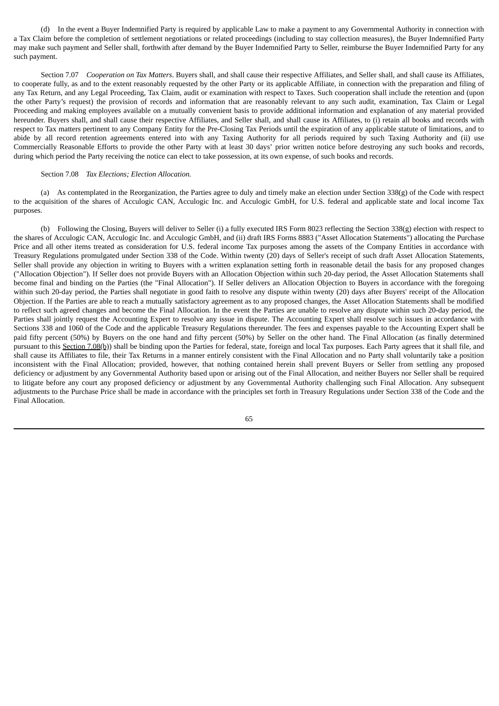(d) In the event a Buyer Indemnified Party is required by applicable Law to make a payment to any Governmental Authority in connection with a Tax Claim before the completion of settlement negotiations or related proceedings (including to stay collection measures), the Buyer Indemnified Party may make such payment and Seller shall, forthwith after demand by the Buyer Indemnified Party to Seller, reimburse the Buyer Indemnified Party for any such payment.

Section 7.07 *Cooperation on Tax Matters*. Buyers shall, and shall cause their respective Affiliates, and Seller shall, and shall cause its Affiliates, to cooperate fully, as and to the extent reasonably requested by the other Party or its applicable Affiliate, in connection with the preparation and filing of any Tax Return, and any Legal Proceeding, Tax Claim, audit or examination with respect to Taxes. Such cooperation shall include the retention and (upon the other Party's request) the provision of records and information that are reasonably relevant to any such audit, examination, Tax Claim or Legal Proceeding and making employees available on a mutually convenient basis to provide additional information and explanation of any material provided hereunder. Buyers shall, and shall cause their respective Affiliates, and Seller shall, and shall cause its Affiliates, to (i) retain all books and records with respect to Tax matters pertinent to any Company Entity for the Pre-Closing Tax Periods until the expiration of any applicable statute of limitations, and to abide by all record retention agreements entered into with any Taxing Authority for all periods required by such Taxing Authority and (ii) use Commercially Reasonable Efforts to provide the other Party with at least 30 days' prior written notice before destroying any such books and records, during which period the Party receiving the notice can elect to take possession, at its own expense, of such books and records.

## Section 7.08 *Tax Elections; Election Allocation.*

(a) As contemplated in the Reorganization, the Parties agree to duly and timely make an election under Section 338(g) of the Code with respect to the acquisition of the shares of Acculogic CAN, Acculogic Inc. and Acculogic GmbH, for U.S. federal and applicable state and local income Tax purposes.

(b) Following the Closing, Buyers will deliver to Seller (i) a fully executed IRS Form 8023 reflecting the Section 338(g) election with respect to the shares of Acculogic CAN, Acculogic Inc. and Acculogic GmbH, and (ii) draft IRS Forms 8883 ("Asset Allocation Statements") allocating the Purchase Price and all other items treated as consideration for U.S. federal income Tax purposes among the assets of the Company Entities in accordance with Treasury Regulations promulgated under Section 338 of the Code. Within twenty (20) days of Seller's receipt of such draft Asset Allocation Statements, Seller shall provide any objection in writing to Buyers with a written explanation setting forth in reasonable detail the basis for any proposed changes ("Allocation Objection"). If Seller does not provide Buyers with an Allocation Objection within such 20-day period, the Asset Allocation Statements shall become final and binding on the Parties (the "Final Allocation"). If Seller delivers an Allocation Objection to Buyers in accordance with the foregoing within such 20-day period, the Parties shall negotiate in good faith to resolve any dispute within twenty (20) days after Buyers' receipt of the Allocation Objection. If the Parties are able to reach a mutually satisfactory agreement as to any proposed changes, the Asset Allocation Statements shall be modified to reflect such agreed changes and become the Final Allocation. In the event the Parties are unable to resolve any dispute within such 20-day period, the Parties shall jointly request the Accounting Expert to resolve any issue in dispute. The Accounting Expert shall resolve such issues in accordance with Sections 338 and 1060 of the Code and the applicable Treasury Regulations thereunder. The fees and expenses payable to the Accounting Expert shall be paid fifty percent (50%) by Buyers on the one hand and fifty percent (50%) by Seller on the other hand. The Final Allocation (as finally determined pursuant to this Section 7.08(b)) shall be binding upon the Parties for federal, state, foreign and local Tax purposes. Each Party agrees that it shall file, and shall cause its Affiliates to file, their Tax Returns in a manner entirely consistent with the Final Allocation and no Party shall voluntarily take a position inconsistent with the Final Allocation; provided, however, that nothing contained herein shall prevent Buyers or Seller from settling any proposed deficiency or adjustment by any Governmental Authority based upon or arising out of the Final Allocation, and neither Buyers nor Seller shall be required to litigate before any court any proposed deficiency or adjustment by any Governmental Authority challenging such Final Allocation. Any subsequent adjustments to the Purchase Price shall be made in accordance with the principles set forth in Treasury Regulations under Section 338 of the Code and the Final Allocation.

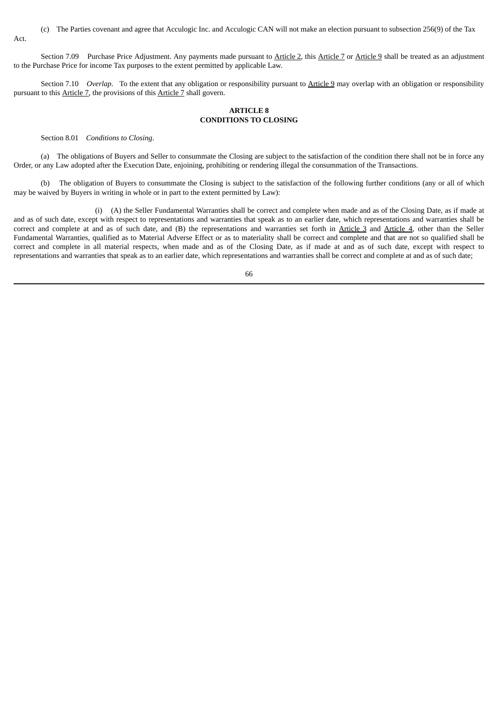(c) The Parties covenant and agree that Acculogic Inc. and Acculogic CAN will not make an election pursuant to subsection 256(9) of the Tax Act.

Section 7.09 Purchase Price Adjustment. Any payments made pursuant to Article 2, this Article 7 or Article 9 shall be treated as an adjustment to the Purchase Price for income Tax purposes to the extent permitted by applicable Law.

Section 7.10 *Overlap*. To the extent that any obligation or responsibility pursuant to Article 9 may overlap with an obligation or responsibility pursuant to this Article 7, the provisions of this Article 7 shall govern.

# **ARTICLE 8 CONDITIONS TO CLOSING**

Section 8.01 *Conditions to Closing*.

(a) The obligations of Buyers and Seller to consummate the Closing are subject to the satisfaction of the condition there shall not be in force any Order, or any Law adopted after the Execution Date, enjoining, prohibiting or rendering illegal the consummation of the Transactions.

(b) The obligation of Buyers to consummate the Closing is subject to the satisfaction of the following further conditions (any or all of which may be waived by Buyers in writing in whole or in part to the extent permitted by Law):

(i) (A) the Seller Fundamental Warranties shall be correct and complete when made and as of the Closing Date, as if made at and as of such date, except with respect to representations and warranties that speak as to an earlier date, which representations and warranties shall be correct and complete at and as of such date, and (B) the representations and warranties set forth in Article 3 and Article 4, other than the Seller Fundamental Warranties, qualified as to Material Adverse Effect or as to materiality shall be correct and complete and that are not so qualified shall be correct and complete in all material respects, when made and as of the Closing Date, as if made at and as of such date, except with respect to representations and warranties that speak as to an earlier date, which representations and warranties shall be correct and complete at and as of such date;

<sup>66</sup>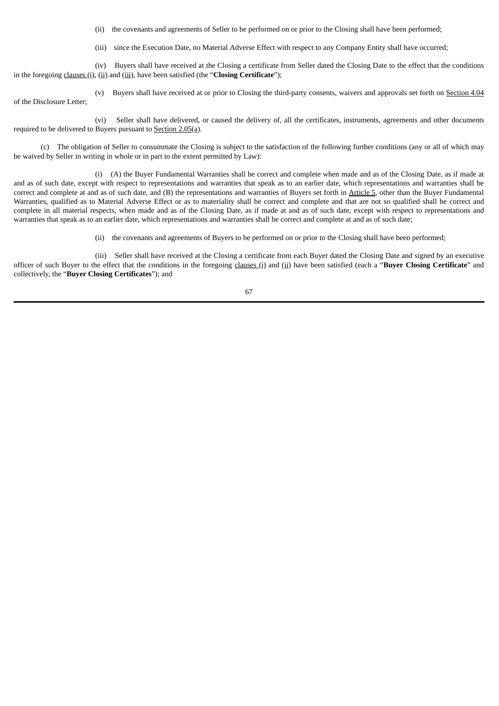(ii) the covenants and agreements of Seller to be performed on or prior to the Closing shall have been performed;

(iii) since the Execution Date, no Material Adverse Effect with respect to any Company Entity shall have occurred;

(iv) Buyers shall have received at the Closing a certificate from Seller dated the Closing Date to the effect that the conditions in the foregoing clauses (i), (ii) and (iii), have been satisfied (the "**Closing Certificate**");

(v) Buyers shall have received at or prior to Closing the third-party consents, waivers and approvals set forth on Section 4.04 of the Disclosure Letter;

(vi) Seller shall have delivered, or caused the delivery of, all the certificates, instruments, agreements and other documents required to be delivered to Buyers pursuant to Section 2.05(a).

(c) The obligation of Seller to consummate the Closing is subject to the satisfaction of the following further conditions (any or all of which may be waived by Seller in writing in whole or in part to the extent permitted by Law):

(i) (A) the Buyer Fundamental Warranties shall be correct and complete when made and as of the Closing Date, as if made at and as of such date, except with respect to representations and warranties that speak as to an earlier date, which representations and warranties shall be correct and complete at and as of such date, and (B) the representations and warranties of Buyers set forth in Article 5, other than the Buyer Fundamental Warranties, qualified as to Material Adverse Effect or as to materiality shall be correct and complete and that are not so qualified shall be correct and complete in all material respects, when made and as of the Closing Date, as if made at and as of such date, except with respect to representations and warranties that speak as to an earlier date, which representations and warranties shall be correct and complete at and as of such date;

(ii) the covenants and agreements of Buyers to be performed on or prior to the Closing shall have been performed;

(iii) Seller shall have received at the Closing a certificate from each Buyer dated the Closing Date and signed by an executive officer of such Buyer to the effect that the conditions in the foregoing clauses (i) and (ii) have been satisfied (each a "**Buyer Closing Certificate**" and collectively, the "**Buyer Closing Certificates**"); and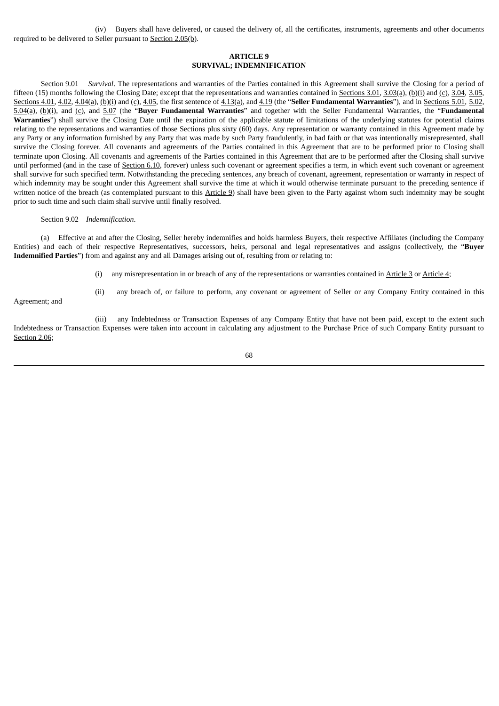(iv) Buyers shall have delivered, or caused the delivery of, all the certificates, instruments, agreements and other documents required to be delivered to Seller pursuant to Section 2.05(b).

### **ARTICLE 9 SURVIVAL; INDEMNIFICATION**

Section 9.01 *Survival*. The representations and warranties of the Parties contained in this Agreement shall survive the Closing for a period of fifteen (15) months following the Closing Date; except that the representations and warranties contained in Sections 3.01, 3.03(a), (b)(i) and (c), 3.04, 3.05, Sections 4.01, 4.02, 4.04(a), (b)(i) and (c), 4.05, the first sentence of 4.13(a), and 4.19 (the "**Seller Fundamental Warranties**"), and in Sections 5.01, 5.02, 5.04(a), (b)(i), and (c), and 5.07 (the "**Buyer Fundamental Warranties**" and together with the Seller Fundamental Warranties, the "**Fundamental Warranties**") shall survive the Closing Date until the expiration of the applicable statute of limitations of the underlying statutes for potential claims relating to the representations and warranties of those Sections plus sixty (60) days. Any representation or warranty contained in this Agreement made by any Party or any information furnished by any Party that was made by such Party fraudulently, in bad faith or that was intentionally misrepresented, shall survive the Closing forever. All covenants and agreements of the Parties contained in this Agreement that are to be performed prior to Closing shall terminate upon Closing. All covenants and agreements of the Parties contained in this Agreement that are to be performed after the Closing shall survive until performed (and in the case of Section 6.10, forever) unless such covenant or agreement specifies a term, in which event such covenant or agreement shall survive for such specified term. Notwithstanding the preceding sentences, any breach of covenant, agreement, representation or warranty in respect of which indemnity may be sought under this Agreement shall survive the time at which it would otherwise terminate pursuant to the preceding sentence if written notice of the breach (as contemplated pursuant to this Article 9) shall have been given to the Party against whom such indemnity may be sought prior to such time and such claim shall survive until finally resolved.

#### Section 9.02 *Indemnification*.

(a) Effective at and after the Closing, Seller hereby indemnifies and holds harmless Buyers, their respective Affiliates (including the Company Entities) and each of their respective Representatives, successors, heirs, personal and legal representatives and assigns (collectively, the "**Buyer Indemnified Parties**") from and against any and all Damages arising out of, resulting from or relating to:

(i) any misrepresentation in or breach of any of the representations or warranties contained in Article 3 or Article 4;

Agreement; and

(ii) any breach of, or failure to perform, any covenant or agreement of Seller or any Company Entity contained in this

(iii) any Indebtedness or Transaction Expenses of any Company Entity that have not been paid, except to the extent such Indebtedness or Transaction Expenses were taken into account in calculating any adjustment to the Purchase Price of such Company Entity pursuant to Section 2.06;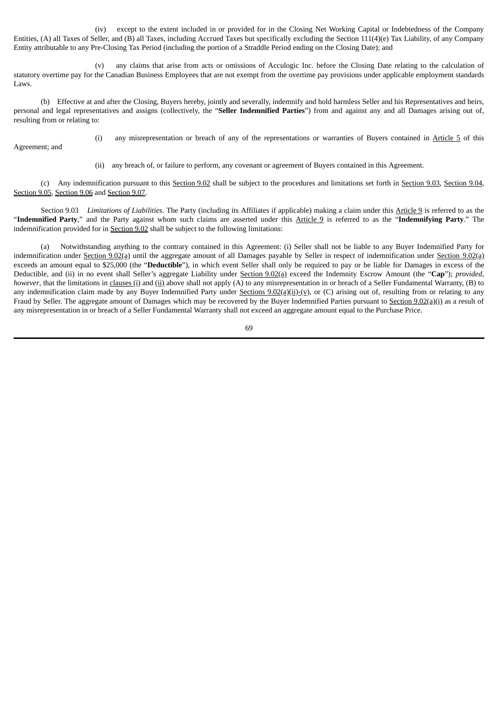(iv) except to the extent included in or provided for in the Closing Net Working Capital or Indebtedness of the Company Entities, (A) all Taxes of Seller, and (B) all Taxes, including Accrued Taxes but specifically excluding the Section 111(4)(e) Tax Liability, of any Company Entity attributable to any Pre-Closing Tax Period (including the portion of a Straddle Period ending on the Closing Date); and

(v) any claims that arise from acts or omissions of Acculogic Inc. before the Closing Date relating to the calculation of statutory overtime pay for the Canadian Business Employees that are not exempt from the overtime pay provisions under applicable employment standards Laws.

(b) Effective at and after the Closing, Buyers hereby, jointly and severally, indemnify and hold harmless Seller and his Representatives and heirs, personal and legal representatives and assigns (collectively, the "**Seller Indemnified Parties**") from and against any and all Damages arising out of, resulting from or relating to:

Agreement; and

(i) any misrepresentation or breach of any of the representations or warranties of Buyers contained in Article 5 of this

(ii) any breach of, or failure to perform, any covenant or agreement of Buyers contained in this Agreement.

(c) Any indemnification pursuant to this Section 9.02 shall be subject to the procedures and limitations set forth in Section 9.03, Section 9.04, Section 9.05, Section 9.06 and Section 9.07.

Section 9.03 *Limitations of Liabilities*. The Party (including its Affiliates if applicable) making a claim under this Article 9 is referred to as the "**Indemnified Party**," and the Party against whom such claims are asserted under this Article 9 is referred to as the "**Indemnifying Party**." The indemnification provided for in Section 9.02 shall be subject to the following limitations:

(a) Notwithstanding anything to the contrary contained in this Agreement: (i) Seller shall not be liable to any Buyer Indemnified Party for indemnification under Section 9.02(a) until the aggregate amount of all Damages payable by Seller in respect of indemnification under Section 9.02(a) exceeds an amount equal to \$25,000 (the "**Deductible**"), in which event Seller shall only be required to pay or be liable for Damages in excess of the Deductible, and (ii) in no event shall Seller's aggregate Liability under Section 9.02(a) exceed the Indemnity Escrow Amount (the "**Cap**"); *provided*, *however*, that the limitations in *clauses* (i) and (ii) above shall not apply (A) to any misrepresentation in or breach of a Seller Fundamental Warranty, (B) to any indemnification claim made by any Buyer Indemnified Party under Sections 9.02(a)(ii)-(v), or (C) arising out of, resulting from or relating to any Fraud by Seller. The aggregate amount of Damages which may be recovered by the Buyer Indemnified Parties pursuant to Section 9.02(a)(i) as a result of any misrepresentation in or breach of a Seller Fundamental Warranty shall not exceed an aggregate amount equal to the Purchase Price.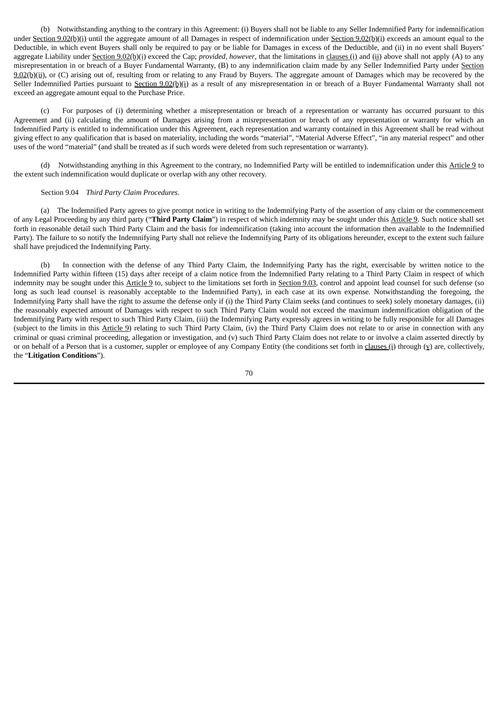(b) Notwithstanding anything to the contrary in this Agreement: (i) Buyers shall not be liable to any Seller Indemnified Party for indemnification under Section 9.02(b)(i) until the aggregate amount of all Damages in respect of indemnification under Section 9.02(b)(i) exceeds an amount equal to the Deductible, in which event Buyers shall only be required to pay or be liable for Damages in excess of the Deductible, and (ii) in no event shall Buyers' aggregate Liability under Section 9.02(b)(i) exceed the Cap; *provided*, *however*, that the limitations in clauses (i) and (ii) above shall not apply (A) to any misrepresentation in or breach of a Buyer Fundamental Warranty, (B) to any indemnification claim made by any Seller Indemnified Party under Section  $9.02(b)$ (ii), or (C) arising out of, resulting from or relating to any Fraud by Buyers. The aggregate amount of Damages which may be recovered by the Seller Indemnified Parties pursuant to Section 9.02(b)(i) as a result of any misrepresentation in or breach of a Buyer Fundamental Warranty shall not exceed an aggregate amount equal to the Purchase Price.

(c) For purposes of (i) determining whether a misrepresentation or breach of a representation or warranty has occurred pursuant to this Agreement and (ii) calculating the amount of Damages arising from a misrepresentation or breach of any representation or warranty for which an Indemnified Party is entitled to indemnification under this Agreement, each representation and warranty contained in this Agreement shall be read without giving effect to any qualification that is based on materiality, including the words "material", "Material Adverse Effect", "in any material respect" and other uses of the word "material" (and shall be treated as if such words were deleted from such representation or warranty).

(d) Notwithstanding anything in this Agreement to the contrary, no Indemnified Party will be entitled to indemnification under this Article 9 to the extent such indemnification would duplicate or overlap with any other recovery.

#### Section 9.04 *Third Party Claim Procedures*.

(a) The Indemnified Party agrees to give prompt notice in writing to the Indemnifying Party of the assertion of any claim or the commencement of any Legal Proceeding by any third party ("**Third Party Claim**") in respect of which indemnity may be sought under this Article 9. Such notice shall set forth in reasonable detail such Third Party Claim and the basis for indemnification (taking into account the information then available to the Indemnified Party). The failure to so notify the Indemnifying Party shall not relieve the Indemnifying Party of its obligations hereunder, except to the extent such failure shall have prejudiced the Indemnifying Party.

(b) In connection with the defense of any Third Party Claim, the Indemnifying Party has the right, exercisable by written notice to the Indemnified Party within fifteen (15) days after receipt of a claim notice from the Indemnified Party relating to a Third Party Claim in respect of which indemnity may be sought under this Article 9 to, subject to the limitations set forth in Section 9.03, control and appoint lead counsel for such defense (so long as such lead counsel is reasonably acceptable to the Indemnified Party), in each case at its own expense. Notwithstanding the foregoing, the Indemnifying Party shall have the right to assume the defense only if (i) the Third Party Claim seeks (and continues to seek) solely monetary damages, (ii) the reasonably expected amount of Damages with respect to such Third Party Claim would not exceed the maximum indemnification obligation of the Indemnifying Party with respect to such Third Party Claim, (iii) the Indemnifying Party expressly agrees in writing to be fully responsible for all Damages (subject to the limits in this Article 9) relating to such Third Party Claim, (iv) the Third Party Claim does not relate to or arise in connection with any criminal or quasi criminal proceeding, allegation or investigation, and (v) such Third Party Claim does not relate to or involve a claim asserted directly by or on behalf of a Person that is a customer, suppler or employee of any Company Entity (the conditions set forth in clauses (i) through  $(y)$  are, collectively, the "**Litigation Conditions**").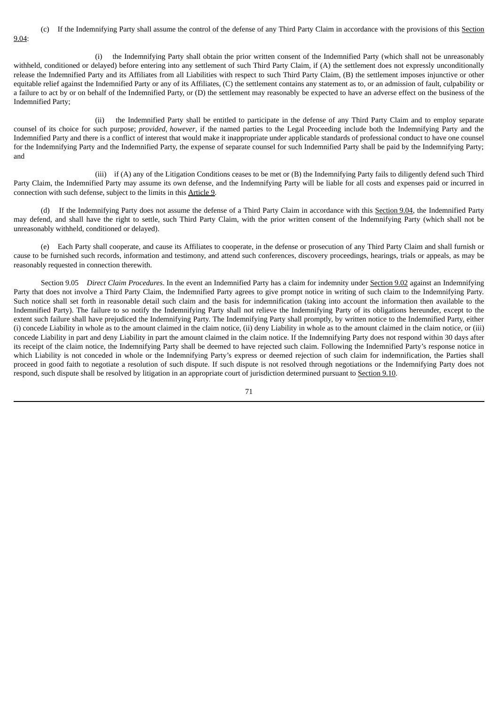(c) If the Indemnifying Party shall assume the control of the defense of any Third Party Claim in accordance with the provisions of this Section 9.04:

(i) the Indemnifying Party shall obtain the prior written consent of the Indemnified Party (which shall not be unreasonably withheld, conditioned or delayed) before entering into any settlement of such Third Party Claim, if (A) the settlement does not expressly unconditionally release the Indemnified Party and its Affiliates from all Liabilities with respect to such Third Party Claim, (B) the settlement imposes injunctive or other equitable relief against the Indemnified Party or any of its Affiliates, (C) the settlement contains any statement as to, or an admission of fault, culpability or a failure to act by or on behalf of the Indemnified Party, or (D) the settlement may reasonably be expected to have an adverse effect on the business of the Indemnified Party;

(ii) the Indemnified Party shall be entitled to participate in the defense of any Third Party Claim and to employ separate counsel of its choice for such purpose; *provided*, *however*, if the named parties to the Legal Proceeding include both the Indemnifying Party and the Indemnified Party and there is a conflict of interest that would make it inappropriate under applicable standards of professional conduct to have one counsel for the Indemnifying Party and the Indemnified Party, the expense of separate counsel for such Indemnified Party shall be paid by the Indemnifying Party; and

(iii) if (A) any of the Litigation Conditions ceases to be met or (B) the Indemnifying Party fails to diligently defend such Third Party Claim, the Indemnified Party may assume its own defense, and the Indemnifying Party will be liable for all costs and expenses paid or incurred in connection with such defense, subject to the limits in this Article 9.

(d) If the Indemnifying Party does not assume the defense of a Third Party Claim in accordance with this Section 9.04, the Indemnified Party may defend, and shall have the right to settle, such Third Party Claim, with the prior written consent of the Indemnifying Party (which shall not be unreasonably withheld, conditioned or delayed).

(e) Each Party shall cooperate, and cause its Affiliates to cooperate, in the defense or prosecution of any Third Party Claim and shall furnish or cause to be furnished such records, information and testimony, and attend such conferences, discovery proceedings, hearings, trials or appeals, as may be reasonably requested in connection therewith.

Section 9.05 *Direct Claim Procedures*. In the event an Indemnified Party has a claim for indemnity under Section 9.02 against an Indemnifying Party that does not involve a Third Party Claim, the Indemnified Party agrees to give prompt notice in writing of such claim to the Indemnifying Party. Such notice shall set forth in reasonable detail such claim and the basis for indemnification (taking into account the information then available to the Indemnified Party). The failure to so notify the Indemnifying Party shall not relieve the Indemnifying Party of its obligations hereunder, except to the extent such failure shall have prejudiced the Indemnifying Party. The Indemnifying Party shall promptly, by written notice to the Indemnified Party, either (i) concede Liability in whole as to the amount claimed in the claim notice, (ii) deny Liability in whole as to the amount claimed in the claim notice, or (iii) concede Liability in part and deny Liability in part the amount claimed in the claim notice. If the Indemnifying Party does not respond within 30 days after its receipt of the claim notice, the Indemnifying Party shall be deemed to have rejected such claim. Following the Indemnified Party's response notice in which Liability is not conceded in whole or the Indemnifying Party's express or deemed rejection of such claim for indemnification, the Parties shall proceed in good faith to negotiate a resolution of such dispute. If such dispute is not resolved through negotiations or the Indemnifying Party does not respond, such dispute shall be resolved by litigation in an appropriate court of jurisdiction determined pursuant to Section 9.10.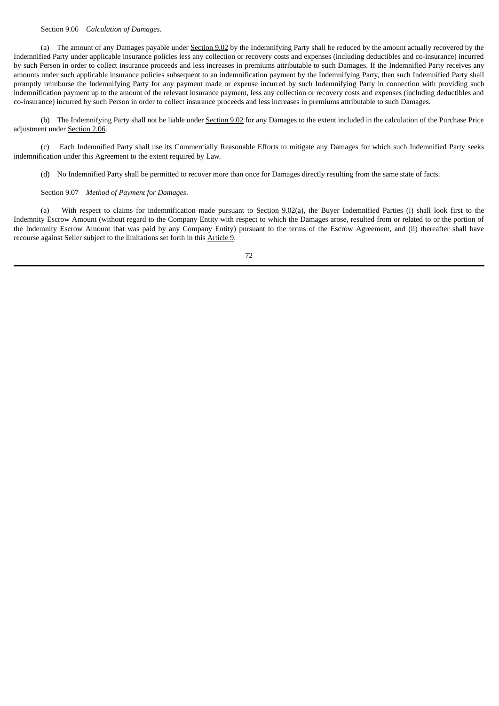### Section 9.06 *Calculation of Damages*.

(a) The amount of any Damages payable under Section 9.02 by the Indemnifying Party shall be reduced by the amount actually recovered by the Indemnified Party under applicable insurance policies less any collection or recovery costs and expenses (including deductibles and co-insurance) incurred by such Person in order to collect insurance proceeds and less increases in premiums attributable to such Damages. If the Indemnified Party receives any amounts under such applicable insurance policies subsequent to an indemnification payment by the Indemnifying Party, then such Indemnified Party shall promptly reimburse the Indemnifying Party for any payment made or expense incurred by such Indemnifying Party in connection with providing such indemnification payment up to the amount of the relevant insurance payment, less any collection or recovery costs and expenses (including deductibles and co-insurance) incurred by such Person in order to collect insurance proceeds and less increases in premiums attributable to such Damages.

(b) The Indemnifying Party shall not be liable under Section 9.02 for any Damages to the extent included in the calculation of the Purchase Price adjustment under Section 2.06.

(c) Each Indemnified Party shall use its Commercially Reasonable Efforts to mitigate any Damages for which such Indemnified Party seeks indemnification under this Agreement to the extent required by Law.

(d) No Indemnified Party shall be permitted to recover more than once for Damages directly resulting from the same state of facts.

#### Section 9.07 *Method of Payment for Damages*.

(a) With respect to claims for indemnification made pursuant to Section  $9.02$ (a), the Buyer Indemnified Parties (i) shall look first to the Indemnity Escrow Amount (without regard to the Company Entity with respect to which the Damages arose, resulted from or related to or the portion of the Indemnity Escrow Amount that was paid by any Company Entity) pursuant to the terms of the Escrow Agreement, and (ii) thereafter shall have recourse against Seller subject to the limitations set forth in this Article 9.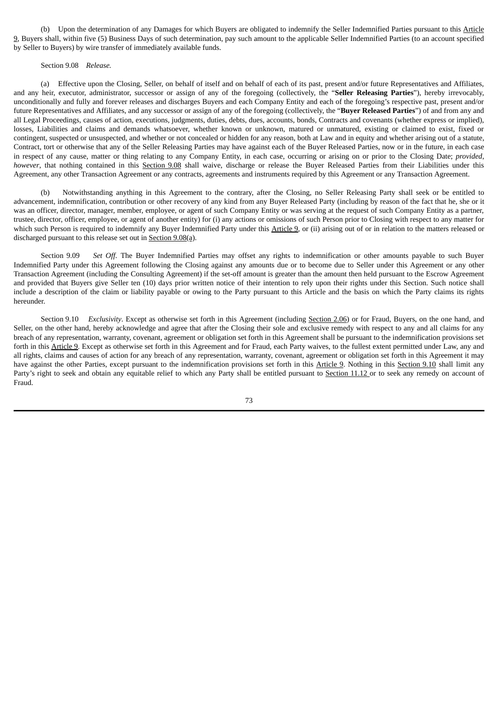(b) Upon the determination of any Damages for which Buyers are obligated to indemnify the Seller Indemnified Parties pursuant to this Article 9, Buyers shall, within five (5) Business Days of such determination, pay such amount to the applicable Seller Indemnified Parties (to an account specified by Seller to Buyers) by wire transfer of immediately available funds.

#### Section 9.08 *Release.*

(a) Effective upon the Closing, Seller, on behalf of itself and on behalf of each of its past, present and/or future Representatives and Affiliates, and any heir, executor, administrator, successor or assign of any of the foregoing (collectively, the "**Seller Releasing Parties**"), hereby irrevocably, unconditionally and fully and forever releases and discharges Buyers and each Company Entity and each of the foregoing's respective past, present and/or future Representatives and Affiliates, and any successor or assign of any of the foregoing (collectively, the "**Buyer Released Parties**") of and from any and all Legal Proceedings, causes of action, executions, judgments, duties, debts, dues, accounts, bonds, Contracts and covenants (whether express or implied), losses, Liabilities and claims and demands whatsoever, whether known or unknown, matured or unmatured, existing or claimed to exist, fixed or contingent, suspected or unsuspected, and whether or not concealed or hidden for any reason, both at Law and in equity and whether arising out of a statute, Contract, tort or otherwise that any of the Seller Releasing Parties may have against each of the Buyer Released Parties, now or in the future, in each case in respect of any cause, matter or thing relating to any Company Entity, in each case, occurring or arising on or prior to the Closing Date; *provided*, *however*, that nothing contained in this Section 9.08 shall waive, discharge or release the Buyer Released Parties from their Liabilities under this Agreement, any other Transaction Agreement or any contracts, agreements and instruments required by this Agreement or any Transaction Agreement.

(b) Notwithstanding anything in this Agreement to the contrary, after the Closing, no Seller Releasing Party shall seek or be entitled to advancement, indemnification, contribution or other recovery of any kind from any Buyer Released Party (including by reason of the fact that he, she or it was an officer, director, manager, member, employee, or agent of such Company Entity or was serving at the request of such Company Entity as a partner, trustee, director, officer, employee, or agent of another entity) for (i) any actions or omissions of such Person prior to Closing with respect to any matter for which such Person is required to indemnify any Buyer Indemnified Party under this Article 9, or (ii) arising out of or in relation to the matters released or discharged pursuant to this release set out in Section 9.08(a).

Section 9.09 *Set Off*. The Buyer Indemnified Parties may offset any rights to indemnification or other amounts payable to such Buyer Indemnified Party under this Agreement following the Closing against any amounts due or to become due to Seller under this Agreement or any other Transaction Agreement (including the Consulting Agreement) if the set-off amount is greater than the amount then held pursuant to the Escrow Agreement and provided that Buyers give Seller ten (10) days prior written notice of their intention to rely upon their rights under this Section. Such notice shall include a description of the claim or liability payable or owing to the Party pursuant to this Article and the basis on which the Party claims its rights hereunder.

Section 9.10 *Exclusivity*. Except as otherwise set forth in this Agreement (including Section 2.06) or for Fraud, Buyers, on the one hand, and Seller, on the other hand, hereby acknowledge and agree that after the Closing their sole and exclusive remedy with respect to any and all claims for any breach of any representation, warranty, covenant, agreement or obligation set forth in this Agreement shall be pursuant to the indemnification provisions set forth in this Article 9. Except as otherwise set forth in this Agreement and for Fraud, each Party waives, to the fullest extent permitted under Law, any and all rights, claims and causes of action for any breach of any representation, warranty, covenant, agreement or obligation set forth in this Agreement it may have against the other Parties, except pursuant to the indemnification provisions set forth in this Article 9. Nothing in this Section 9.10 shall limit any Party's right to seek and obtain any equitable relief to which any Party shall be entitled pursuant to Section 11.12 or to seek any remedy on account of Fraud.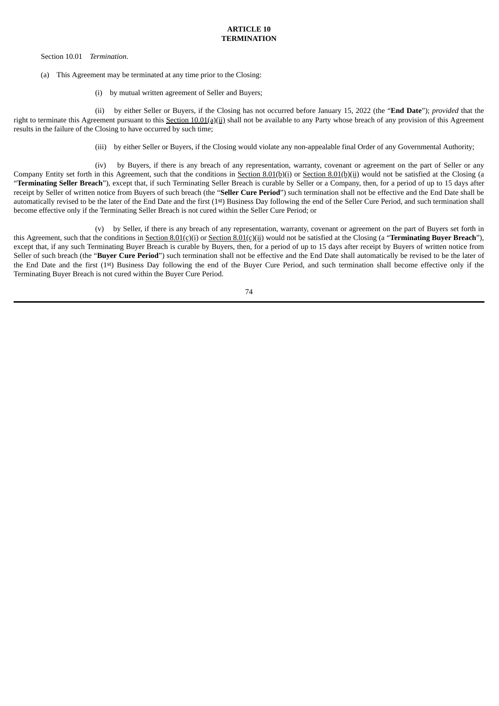Section 10.01 *Termination*.

- (a) This Agreement may be terminated at any time prior to the Closing:
	- (i) by mutual written agreement of Seller and Buyers;

(ii) by either Seller or Buyers, if the Closing has not occurred before January 15, 2022 (the "**End Date**"); *provided* that the right to terminate this Agreement pursuant to this Section  $10.01(a)(ii)$  shall not be available to any Party whose breach of any provision of this Agreement results in the failure of the Closing to have occurred by such time;

(iii) by either Seller or Buyers, if the Closing would violate any non-appealable final Order of any Governmental Authority;

(iv) by Buyers, if there is any breach of any representation, warranty, covenant or agreement on the part of Seller or any Company Entity set forth in this Agreement, such that the conditions in Section 8.01(b)(i) or Section 8.01(b)(ii) would not be satisfied at the Closing (a "**Terminating Seller Breach**"), except that, if such Terminating Seller Breach is curable by Seller or a Company, then, for a period of up to 15 days after receipt by Seller of written notice from Buyers of such breach (the "**Seller Cure Period**") such termination shall not be effective and the End Date shall be automatically revised to be the later of the End Date and the first (1st) Business Day following the end of the Seller Cure Period, and such termination shall become effective only if the Terminating Seller Breach is not cured within the Seller Cure Period; or

(v) by Seller, if there is any breach of any representation, warranty, covenant or agreement on the part of Buyers set forth in this Agreement, such that the conditions in Section 8.01(c)(i) or Section 8.01(c)(ii) would not be satisfied at the Closing (a "**Terminating Buyer Breach**"), except that, if any such Terminating Buyer Breach is curable by Buyers, then, for a period of up to 15 days after receipt by Buyers of written notice from Seller of such breach (the "**Buyer Cure Period**") such termination shall not be effective and the End Date shall automatically be revised to be the later of the End Date and the first (1st) Business Day following the end of the Buyer Cure Period, and such termination shall become effective only if the Terminating Buyer Breach is not cured within the Buyer Cure Period.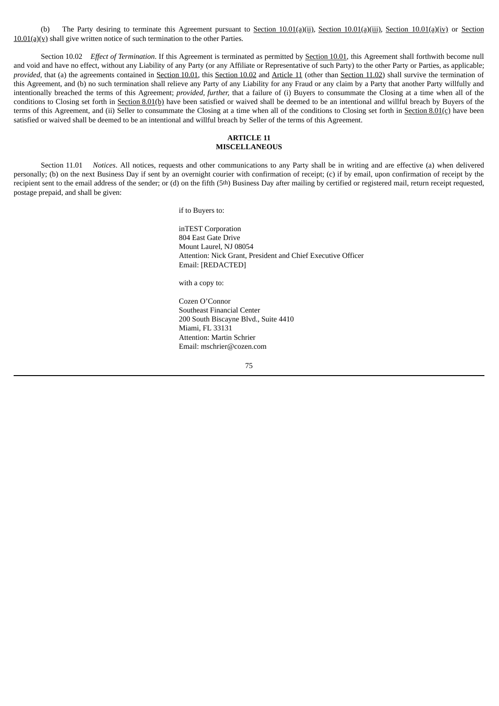(b) The Party desiring to terminate this Agreement pursuant to Section 10.01(a)(ii), Section 10.01(a)(iii), Section 10.01(a)(iv) or Section  $10.01(a)(y)$  shall give written notice of such termination to the other Parties.

Section 10.02 *Effect of Termination*. If this Agreement is terminated as permitted by Section 10.01, this Agreement shall forthwith become null and void and have no effect, without any Liability of any Party (or any Affiliate or Representative of such Party) to the other Party or Parties, as applicable; *provided*, that (a) the agreements contained in Section 10.01, this Section 10.02 and Article 11 (other than Section 11.02) shall survive the termination of this Agreement, and (b) no such termination shall relieve any Party of any Liability for any Fraud or any claim by a Party that another Party willfully and intentionally breached the terms of this Agreement; *provided, further,* that a failure of (i) Buyers to consummate the Closing at a time when all of the conditions to Closing set forth in Section 8.01(b) have been satisfied or waived shall be deemed to be an intentional and willful breach by Buyers of the terms of this Agreement, and (ii) Seller to consummate the Closing at a time when all of the conditions to Closing set forth in Section 8.01(c) have been satisfied or waived shall be deemed to be an intentional and willful breach by Seller of the terms of this Agreement.

### **ARTICLE 11 MISCELLANEOUS**

Section 11.01 *Notices*. All notices, requests and other communications to any Party shall be in writing and are effective (a) when delivered personally; (b) on the next Business Day if sent by an overnight courier with confirmation of receipt; (c) if by email, upon confirmation of receipt by the recipient sent to the email address of the sender; or (d) on the fifth (5<sup>th</sup>) Business Day after mailing by certified or registered mail, return receipt requested, postage prepaid, and shall be given:

if to Buyers to:

inTEST Corporation 804 East Gate Drive Mount Laurel, NJ 08054 Attention: Nick Grant, President and Chief Executive Officer Email: [REDACTED]

with a copy to:

Cozen O'Connor Southeast Financial Center 200 South Biscayne Blvd., Suite 4410 Miami, FL 33131 Attention: Martin Schrier Email: mschrier@cozen.com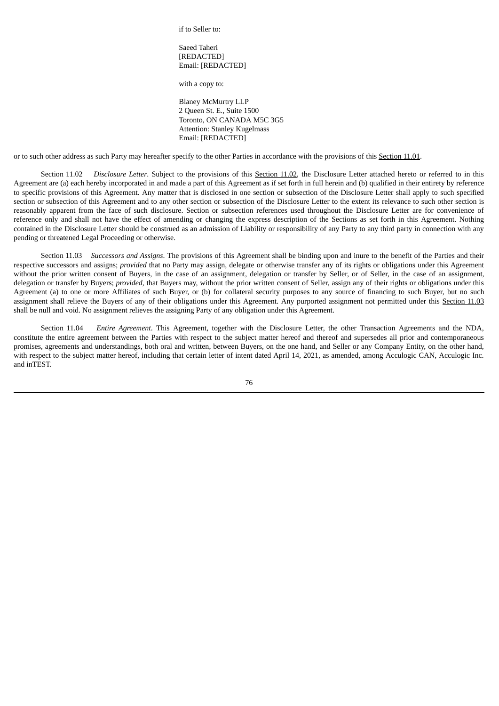if to Seller to:

# Saeed Taheri [REDACTED] Email: [REDACTED]

with a copy to:

Blaney McMurtry LLP 2 Queen St. E., Suite 1500 Toronto, ON CANADA M5C 3G5 Attention: Stanley Kugelmass Email: [REDACTED]

or to such other address as such Party may hereafter specify to the other Parties in accordance with the provisions of this Section 11.01.

Section 11.02 *Disclosure Letter*. Subject to the provisions of this Section 11.02, the Disclosure Letter attached hereto or referred to in this Agreement are (a) each hereby incorporated in and made a part of this Agreement as if set forth in full herein and (b) qualified in their entirety by reference to specific provisions of this Agreement. Any matter that is disclosed in one section or subsection of the Disclosure Letter shall apply to such specified section or subsection of this Agreement and to any other section or subsection of the Disclosure Letter to the extent its relevance to such other section is reasonably apparent from the face of such disclosure. Section or subsection references used throughout the Disclosure Letter are for convenience of reference only and shall not have the effect of amending or changing the express description of the Sections as set forth in this Agreement. Nothing contained in the Disclosure Letter should be construed as an admission of Liability or responsibility of any Party to any third party in connection with any pending or threatened Legal Proceeding or otherwise.

Section 11.03 *Successors and Assigns*. The provisions of this Agreement shall be binding upon and inure to the benefit of the Parties and their respective successors and assigns; *provided* that no Party may assign, delegate or otherwise transfer any of its rights or obligations under this Agreement without the prior written consent of Buyers, in the case of an assignment, delegation or transfer by Seller, or of Seller, in the case of an assignment, delegation or transfer by Buyers; *provided*, that Buyers may, without the prior written consent of Seller, assign any of their rights or obligations under this Agreement (a) to one or more Affiliates of such Buyer, or (b) for collateral security purposes to any source of financing to such Buyer, but no such assignment shall relieve the Buyers of any of their obligations under this Agreement. Any purported assignment not permitted under this Section 11.03 shall be null and void. No assignment relieves the assigning Party of any obligation under this Agreement.

Section 11.04 *Entire Agreement*. This Agreement, together with the Disclosure Letter, the other Transaction Agreements and the NDA, constitute the entire agreement between the Parties with respect to the subject matter hereof and thereof and supersedes all prior and contemporaneous promises, agreements and understandings, both oral and written, between Buyers, on the one hand, and Seller or any Company Entity, on the other hand, with respect to the subject matter hereof, including that certain letter of intent dated April 14, 2021, as amended, among Acculogic CAN, Acculogic Inc. and inTEST.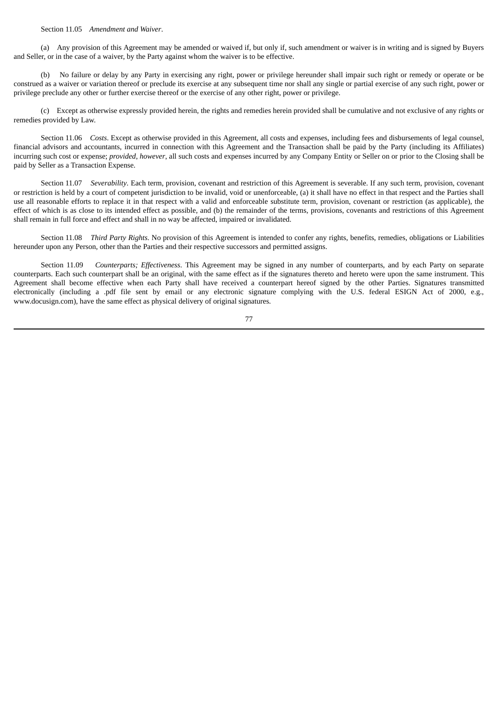Section 11.05 *Amendment and Waiver*.

(a) Any provision of this Agreement may be amended or waived if, but only if, such amendment or waiver is in writing and is signed by Buyers and Seller, or in the case of a waiver, by the Party against whom the waiver is to be effective.

(b) No failure or delay by any Party in exercising any right, power or privilege hereunder shall impair such right or remedy or operate or be construed as a waiver or variation thereof or preclude its exercise at any subsequent time nor shall any single or partial exercise of any such right, power or privilege preclude any other or further exercise thereof or the exercise of any other right, power or privilege.

(c) Except as otherwise expressly provided herein, the rights and remedies herein provided shall be cumulative and not exclusive of any rights or remedies provided by Law.

Section 11.06 *Costs*. Except as otherwise provided in this Agreement, all costs and expenses, including fees and disbursements of legal counsel, financial advisors and accountants, incurred in connection with this Agreement and the Transaction shall be paid by the Party (including its Affiliates) incurring such cost or expense; *provided*, *however*, all such costs and expenses incurred by any Company Entity or Seller on or prior to the Closing shall be paid by Seller as a Transaction Expense.

Section 11.07 *Severability*. Each term, provision, covenant and restriction of this Agreement is severable. If any such term, provision, covenant or restriction is held by a court of competent jurisdiction to be invalid, void or unenforceable, (a) it shall have no effect in that respect and the Parties shall use all reasonable efforts to replace it in that respect with a valid and enforceable substitute term, provision, covenant or restriction (as applicable), the effect of which is as close to its intended effect as possible, and (b) the remainder of the terms, provisions, covenants and restrictions of this Agreement shall remain in full force and effect and shall in no way be affected, impaired or invalidated.

Section 11.08 *Third Party Rights*. No provision of this Agreement is intended to confer any rights, benefits, remedies, obligations or Liabilities hereunder upon any Person, other than the Parties and their respective successors and permitted assigns.

Section 11.09 *Counterparts; Effectiveness*. This Agreement may be signed in any number of counterparts, and by each Party on separate counterparts. Each such counterpart shall be an original, with the same effect as if the signatures thereto and hereto were upon the same instrument. This Agreement shall become effective when each Party shall have received a counterpart hereof signed by the other Parties. Signatures transmitted electronically (including a .pdf file sent by email or any electronic signature complying with the U.S. federal ESIGN Act of 2000, e.g., www.docusign.com), have the same effect as physical delivery of original signatures.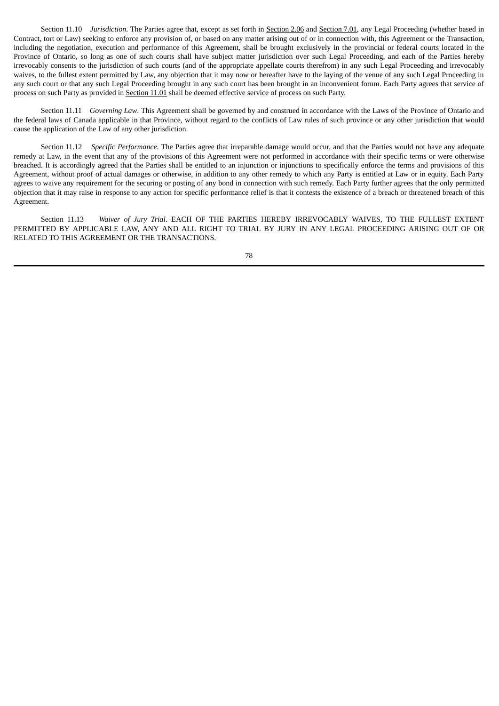Section 11.10 *Jurisdiction*. The Parties agree that, except as set forth in Section 2.06 and Section 7.01, any Legal Proceeding (whether based in Contract, tort or Law) seeking to enforce any provision of, or based on any matter arising out of or in connection with, this Agreement or the Transaction, including the negotiation, execution and performance of this Agreement, shall be brought exclusively in the provincial or federal courts located in the Province of Ontario, so long as one of such courts shall have subject matter jurisdiction over such Legal Proceeding, and each of the Parties hereby irrevocably consents to the jurisdiction of such courts (and of the appropriate appellate courts therefrom) in any such Legal Proceeding and irrevocably waives, to the fullest extent permitted by Law, any objection that it may now or hereafter have to the laying of the venue of any such Legal Proceeding in any such court or that any such Legal Proceeding brought in any such court has been brought in an inconvenient forum. Each Party agrees that service of process on such Party as provided in Section 11.01 shall be deemed effective service of process on such Party.

Section 11.11 *Governing Law*. This Agreement shall be governed by and construed in accordance with the Laws of the Province of Ontario and the federal laws of Canada applicable in that Province, without regard to the conflicts of Law rules of such province or any other jurisdiction that would cause the application of the Law of any other jurisdiction.

Section 11.12 *Specific Performance*. The Parties agree that irreparable damage would occur, and that the Parties would not have any adequate remedy at Law, in the event that any of the provisions of this Agreement were not performed in accordance with their specific terms or were otherwise breached. It is accordingly agreed that the Parties shall be entitled to an injunction or injunctions to specifically enforce the terms and provisions of this Agreement, without proof of actual damages or otherwise, in addition to any other remedy to which any Party is entitled at Law or in equity. Each Party agrees to waive any requirement for the securing or posting of any bond in connection with such remedy. Each Party further agrees that the only permitted objection that it may raise in response to any action for specific performance relief is that it contests the existence of a breach or threatened breach of this Agreement.

Section 11.13 *Waiver of Jury Trial*. EACH OF THE PARTIES HEREBY IRREVOCABLY WAIVES, TO THE FULLEST EXTENT PERMITTED BY APPLICABLE LAW, ANY AND ALL RIGHT TO TRIAL BY JURY IN ANY LEGAL PROCEEDING ARISING OUT OF OR RELATED TO THIS AGREEMENT OR THE TRANSACTIONS.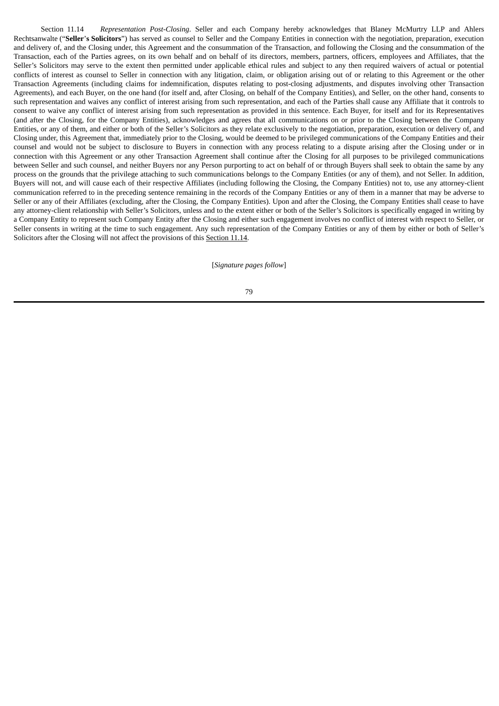Section 11.14 *Representation Post-Closing*. Seller and each Company hereby acknowledges that Blaney McMurtry LLP and Ahlers Rechtsanwalte ("**Seller**'**s Solicitors**") has served as counsel to Seller and the Company Entities in connection with the negotiation, preparation, execution and delivery of, and the Closing under, this Agreement and the consummation of the Transaction, and following the Closing and the consummation of the Transaction, each of the Parties agrees, on its own behalf and on behalf of its directors, members, partners, officers, employees and Affiliates, that the Seller's Solicitors may serve to the extent then permitted under applicable ethical rules and subject to any then required waivers of actual or potential conflicts of interest as counsel to Seller in connection with any litigation, claim, or obligation arising out of or relating to this Agreement or the other Transaction Agreements (including claims for indemnification, disputes relating to post-closing adjustments, and disputes involving other Transaction Agreements), and each Buyer, on the one hand (for itself and, after Closing, on behalf of the Company Entities), and Seller, on the other hand, consents to such representation and waives any conflict of interest arising from such representation, and each of the Parties shall cause any Affiliate that it controls to consent to waive any conflict of interest arising from such representation as provided in this sentence. Each Buyer, for itself and for its Representatives (and after the Closing, for the Company Entities), acknowledges and agrees that all communications on or prior to the Closing between the Company Entities, or any of them, and either or both of the Seller's Solicitors as they relate exclusively to the negotiation, preparation, execution or delivery of, and Closing under, this Agreement that, immediately prior to the Closing, would be deemed to be privileged communications of the Company Entities and their counsel and would not be subject to disclosure to Buyers in connection with any process relating to a dispute arising after the Closing under or in connection with this Agreement or any other Transaction Agreement shall continue after the Closing for all purposes to be privileged communications between Seller and such counsel, and neither Buyers nor any Person purporting to act on behalf of or through Buyers shall seek to obtain the same by any process on the grounds that the privilege attaching to such communications belongs to the Company Entities (or any of them), and not Seller. In addition, Buyers will not, and will cause each of their respective Affiliates (including following the Closing, the Company Entities) not to, use any attorney-client communication referred to in the preceding sentence remaining in the records of the Company Entities or any of them in a manner that may be adverse to Seller or any of their Affiliates (excluding, after the Closing, the Company Entities). Upon and after the Closing, the Company Entities shall cease to have any attorney-client relationship with Seller's Solicitors, unless and to the extent either or both of the Seller's Solicitors is specifically engaged in writing by a Company Entity to represent such Company Entity after the Closing and either such engagement involves no conflict of interest with respect to Seller, or Seller consents in writing at the time to such engagement. Any such representation of the Company Entities or any of them by either or both of Seller's Solicitors after the Closing will not affect the provisions of this Section 11.14.

[*Signature pages follow*]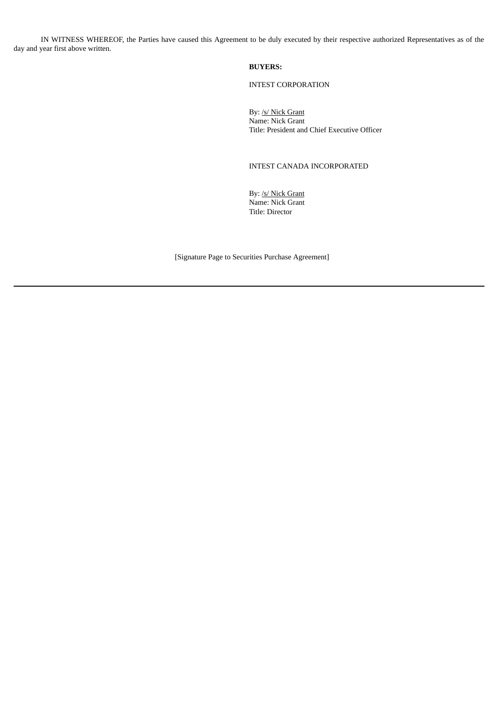IN WITNESS WHEREOF, the Parties have caused this Agreement to be duly executed by their respective authorized Representatives as of the day and year first above written.

### **BUYERS:**

INTEST CORPORATION

By: /s/ Nick Grant Name: Nick Grant Title: President and Chief Executive Officer

# INTEST CANADA INCORPORATED

By: /s/ Nick Grant Name: Nick Grant Title: Director

[Signature Page to Securities Purchase Agreement]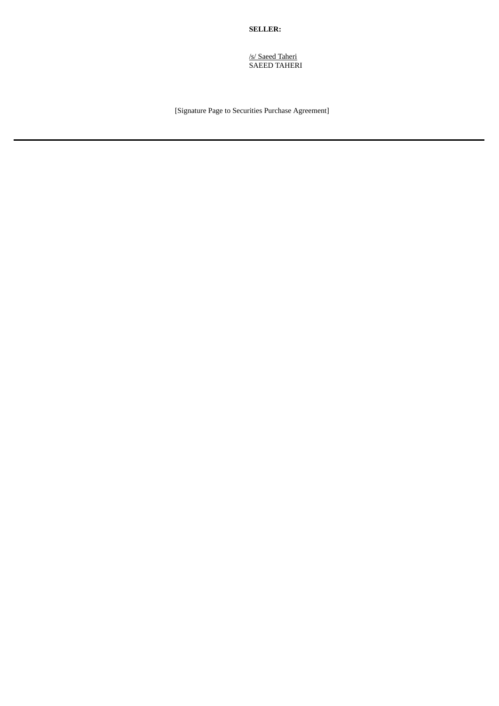# **SELLER:**

/s/ Saeed Taheri SAEED TAHERI

[Signature Page to Securities Purchase Agreement]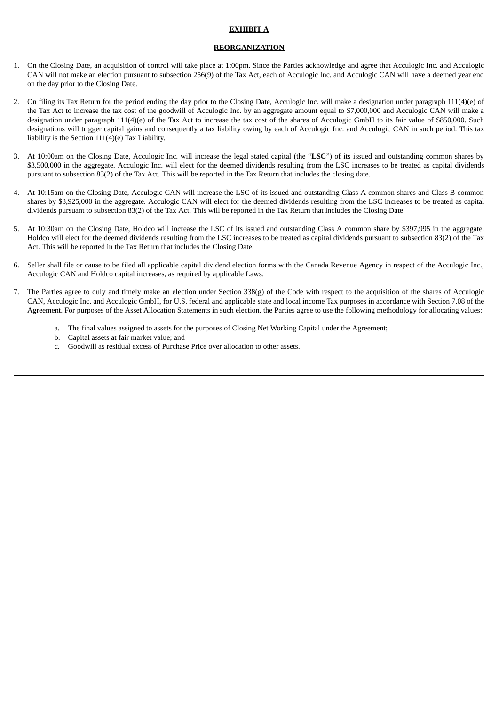## **EXHIBIT A**

# **REORGANIZATION**

- 1. On the Closing Date, an acquisition of control will take place at 1:00pm. Since the Parties acknowledge and agree that Acculogic Inc. and Acculogic CAN will not make an election pursuant to subsection 256(9) of the Tax Act, each of Acculogic Inc. and Acculogic CAN will have a deemed year end on the day prior to the Closing Date.
- 2. On filing its Tax Return for the period ending the day prior to the Closing Date, Acculogic Inc. will make a designation under paragraph 111(4)(e) of the Tax Act to increase the tax cost of the goodwill of Acculogic Inc. by an aggregate amount equal to \$7,000,000 and Acculogic CAN will make a designation under paragraph 111(4)(e) of the Tax Act to increase the tax cost of the shares of Acculogic GmbH to its fair value of \$850,000. Such designations will trigger capital gains and consequently a tax liability owing by each of Acculogic Inc. and Acculogic CAN in such period. This tax liability is the Section 111(4)(e) Tax Liability.
- 3. At 10:00am on the Closing Date, Acculogic Inc. will increase the legal stated capital (the "**LSC**") of its issued and outstanding common shares by \$3,500,000 in the aggregate. Acculogic Inc. will elect for the deemed dividends resulting from the LSC increases to be treated as capital dividends pursuant to subsection 83(2) of the Tax Act. This will be reported in the Tax Return that includes the closing date.
- 4. At 10:15am on the Closing Date, Acculogic CAN will increase the LSC of its issued and outstanding Class A common shares and Class B common shares by \$3,925,000 in the aggregate. Acculogic CAN will elect for the deemed dividends resulting from the LSC increases to be treated as capital dividends pursuant to subsection 83(2) of the Tax Act. This will be reported in the Tax Return that includes the Closing Date.
- 5. At 10:30am on the Closing Date, Holdco will increase the LSC of its issued and outstanding Class A common share by \$397,995 in the aggregate. Holdco will elect for the deemed dividends resulting from the LSC increases to be treated as capital dividends pursuant to subsection 83(2) of the Tax Act. This will be reported in the Tax Return that includes the Closing Date.
- 6. Seller shall file or cause to be filed all applicable capital dividend election forms with the Canada Revenue Agency in respect of the Acculogic Inc., Acculogic CAN and Holdco capital increases, as required by applicable Laws.
- 7. The Parties agree to duly and timely make an election under Section 338(g) of the Code with respect to the acquisition of the shares of Acculogic CAN, Acculogic Inc. and Acculogic GmbH, for U.S. federal and applicable state and local income Tax purposes in accordance with Section 7.08 of the Agreement. For purposes of the Asset Allocation Statements in such election, the Parties agree to use the following methodology for allocating values:
	- a. The final values assigned to assets for the purposes of Closing Net Working Capital under the Agreement;
	- b. Capital assets at fair market value; and
	- c. Goodwill as residual excess of Purchase Price over allocation to other assets.